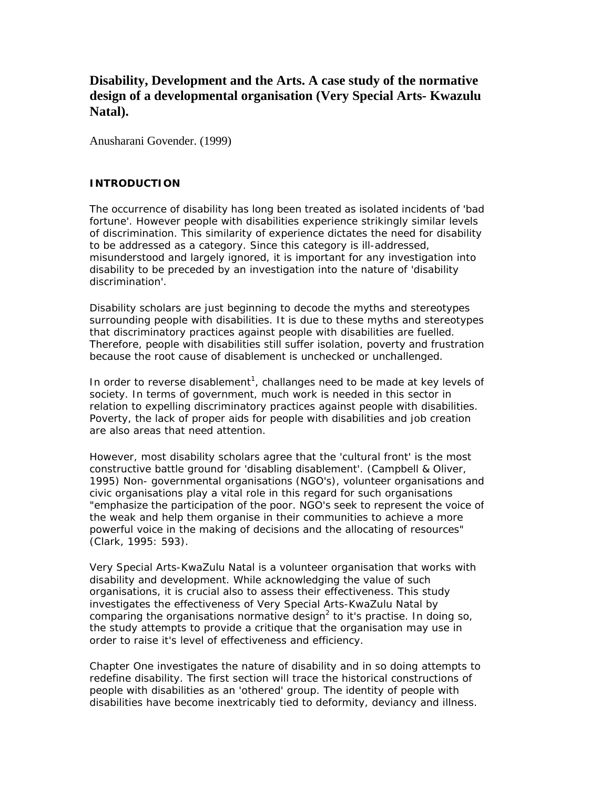# **Disability, Development and the Arts. A case study of the normative design of a developmental organisation (Very Special Arts- Kwazulu Natal).**

Anusharani Govender. (1999)

# **INTRODUCTION**

The occurrence of disability has long been treated as isolated incidents of 'bad fortune'. However people with disabilities experience strikingly similar levels of discrimination. This similarity of experience dictates the need for disability to be addressed as a category. Since this category is ill-addressed, misunderstood and largely ignored, it is important for any investigation into disability to be preceded by an investigation into the nature of 'disability discrimination'.

Disability scholars are just beginning to decode the myths and stereotypes surrounding people with disabilities. It is due to these myths and stereotypes that discriminatory practices against people with disabilities are fuelled. Therefore, people with disabilities still suffer isolation, poverty and frustration because the root cause of disablement is unchecked or unchallenged.

In order to reverse disablement<sup>1</sup>, challanges need to be made at key levels of society. In terms of government, much work is needed in this sector in relation to expelling discriminatory practices against people with disabilities. Poverty, the lack of proper aids for people with disabilities and job creation are also areas that need attention.

However, most disability scholars agree that the 'cultural front' is the most constructive battle ground for 'disabling disablement'. (Campbell & Oliver, 1995) Non- governmental organisations (NGO's), volunteer organisations and civic organisations play a vital role in this regard for such organisations "emphasize the participation of the poor. NGO's seek to represent the voice of the weak and help them organise in their communities to achieve a more powerful voice in the making of decisions and the allocating of resources" (Clark, 1995: 593).

Very Special Arts-KwaZulu Natal is a volunteer organisation that works with disability and development. While acknowledging the value of such organisations, it is crucial also to assess their effectiveness. This study investigates the effectiveness of Very Special Arts-KwaZulu Natal by comparing the organisations normative design<sup>2</sup> to it's practise. In doing so, the study attempts to provide a critique that the organisation may use in order to raise it's level of effectiveness and efficiency.

Chapter One investigates the nature of disability and in so doing attempts to redefine disability. The first section will trace the historical constructions of people with disabilities as an 'othered' group. The identity of people with disabilities have become inextricably tied to deformity, deviancy and illness.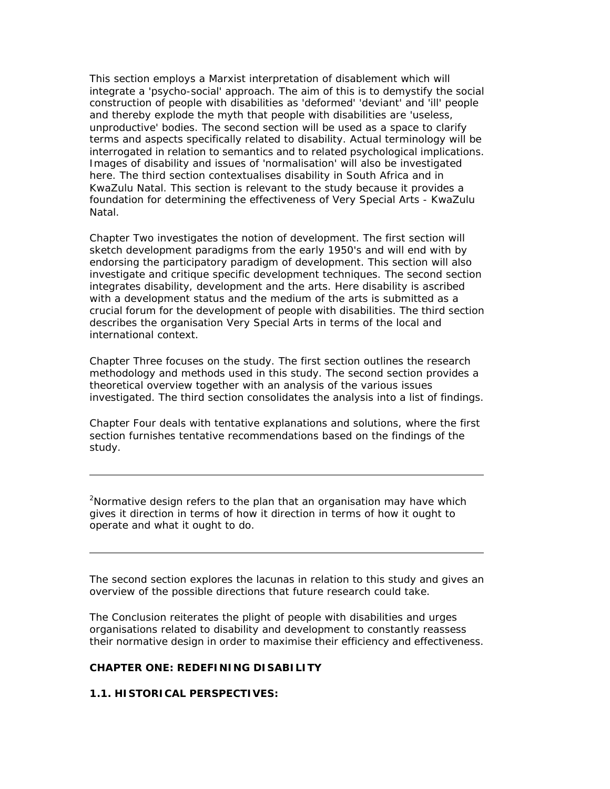This section employs a Marxist interpretation of disablement which will integrate a 'psycho-social' approach. The aim of this is to demystify the social construction of people with disabilities as 'deformed' 'deviant' and 'ill' people and thereby explode the myth that people with disabilities are 'useless, unproductive' bodies. The second section will be used as a space to clarify terms and aspects specifically related to disability. Actual terminology will be interrogated in relation to semantics and to related psychological implications. Images of disability and issues of 'normalisation' will also be investigated here. The third section contextualises disability in South Africa and in KwaZulu Natal. This section is relevant to the study because it provides a foundation for determining the effectiveness of Very Special Arts - KwaZulu Natal.

Chapter Two investigates the notion of development. The first section will sketch development paradigms from the early 1950's and will end with by endorsing the participatory paradigm of development. This section will also investigate and critique specific development techniques. The second section integrates disability, development and the arts. Here disability is ascribed with a development status and the medium of the arts is submitted as a crucial forum for the development of people with disabilities. The third section describes the organisation Very Special Arts in terms of the local and international context.

Chapter Three focuses on the study. The first section outlines the research methodology and methods used in this study. The second section provides a theoretical overview together with an analysis of the various issues investigated. The third section consolidates the analysis into a list of findings.

Chapter Four deals with tentative explanations and solutions, where the first section furnishes tentative recommendations based on the findings of the study.

*<sup>2</sup>Normative design refers to the plan that an organisation may have which gives it direction in terms of how it direction in terms of how it ought to operate and what it ought to do.*

The second section explores the lacunas in relation to this study and gives an overview of the possible directions that future research could take.

The Conclusion reiterates the plight of people with disabilities and urges organisations related to disability and development to constantly reassess their normative design in order to maximise their efficiency and effectiveness.

### **CHAPTER ONE: REDEFINING DISABILITY**

### **1.1. HISTORICAL PERSPECTIVES:**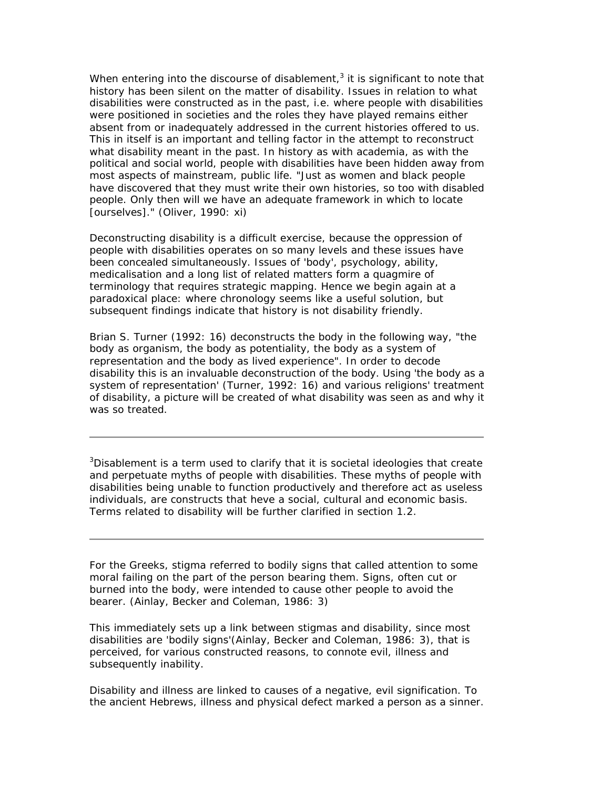When entering into the discourse of disablement,<sup>3</sup> it is significant to note that history has been silent on the matter of disability. Issues in relation to what disabilities were constructed as in the past, i.e. where people with disabilities were positioned in societies and the roles they have played remains either absent from or inadequately addressed in the current histories offered to us. This in itself is an important and telling factor in the attempt to reconstruct what disability meant in the past. In history as with academia, as with the political and social world, people with disabilities have been hidden away from most aspects of mainstream, public life. "Just as women and black people have discovered that they must write their own histories, so too with disabled people. Only then will we have an adequate framework in which to locate [ourselves]." (Oliver, 1990: xi)

Deconstructing disability is a difficult exercise, because the oppression of people with disabilities operates on so many levels and these issues have been concealed simultaneously. Issues of 'body', psychology, ability, medicalisation and a long list of related matters form a quagmire of terminology that requires strategic mapping. Hence we begin again at a paradoxical place: where chronology seems like a useful solution, but subsequent findings indicate that history is not disability friendly.

Brian S. Turner (1992: 16) deconstructs the body in the following way, "the body as organism, the body as potentiality, the body as a system of representation and the body as lived experience". In order to decode disability this is an invaluable deconstruction of the body. Using 'the body as a system of representation' (Turner, 1992: 16) and various religions' treatment of disability, a picture will be created of what disability was seen as and why it was so treated.

*<sup>3</sup>Disablement is a term used to clarify that it is societal ideologies that create and perpetuate myths of people with disabilities. These myths of people with disabilities being unable to function productively and therefore act as useless individuals, are constructs that heve a social, cultural and economic basis. Terms related to disability will be further clarified in section 1.2.*

For the Greeks, stigma referred to bodily signs that called attention to some moral failing on the part of the person bearing them. Signs, often cut or burned into the body, were intended to cause other people to avoid the bearer. (Ainlay, Becker and Coleman, 1986: 3)

This immediately sets up a link between stigmas and disability, since most disabilities are 'bodily signs'(Ainlay, Becker and Coleman, 1986: 3), that is perceived, for various constructed reasons, to connote evil, illness and subsequently inability.

Disability and illness are linked to causes of a negative, evil signification. To the ancient Hebrews, illness and physical defect marked a person as a sinner.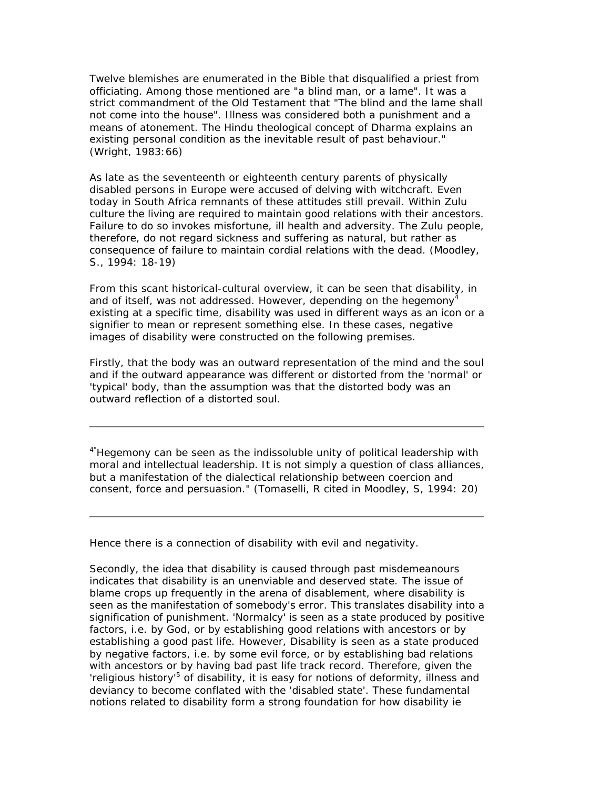Twelve blemishes are enumerated in the Bible that disqualified a priest from officiating. Among those mentioned are "a blind man, or a lame". It was a strict commandment of the Old Testament that "The blind and the lame shall not come into the house". Illness was considered both a punishment and a means of atonement. The Hindu theological concept of Dharma explains an existing personal condition as the inevitable result of past behaviour." (Wright, 1983:66)

As late as the seventeenth or eighteenth century parents of physically disabled persons in Europe were accused of delving with witchcraft. Even today in South Africa remnants of these attitudes still prevail. Within Zulu culture the living are required to maintain good relations with their ancestors. Failure to do so invokes misfortune, ill health and adversity. The Zulu people, therefore, do not regard sickness and suffering as natural, but rather as consequence of failure to maintain cordial relations with the dead. (Moodley, S., 1994: 18-19)

From this scant historical-cultural overview, it can be seen that disability, in and of itself, was not addressed. However, depending on the hegemony<sup>4</sup> existing at a specific time, disability was used in different ways as an icon or a signifier to mean or represent something else. In these cases, negative images of disability were constructed on the following premises.

Firstly, that the body was an outward representation of the mind and the soul and if the outward appearance was different or distorted from the 'normal' or 'typical' body, than the assumption was that the distorted body was an outward reflection of a distorted soul.

*4"Hegemony can be seen as the indissoluble unity of political leadership with moral and intellectual leadership. It is not simply a question of class alliances, but a manifestation of the dialectical relationship between coercion and consent, force and persuasion." (Tomaselli, R cited in Moodley, S, 1994: 20)*

Hence there is a connection of disability with evil and negativity.

Secondly, the idea that disability is caused through past misdemeanours indicates that disability is an unenviable and deserved state. The issue of blame crops up frequently in the arena of disablement, where disability is seen as the manifestation of somebody's error. This translates disability into a signification of punishment. 'Normalcy' is seen as a state produced by positive factors, i.e. by God, or by establishing good relations with ancestors or by establishing a good past life. However, Disability is seen as a state produced by negative factors, i.e. by some evil force, or by establishing bad relations with ancestors or by having bad past life track record. Therefore, given the 'religious history<sup>'5</sup> of disability, it is easy for notions of deformity, illness and deviancy to become conflated with the 'disabled state'. These fundamental notions related to disability form a strong foundation for how disability ie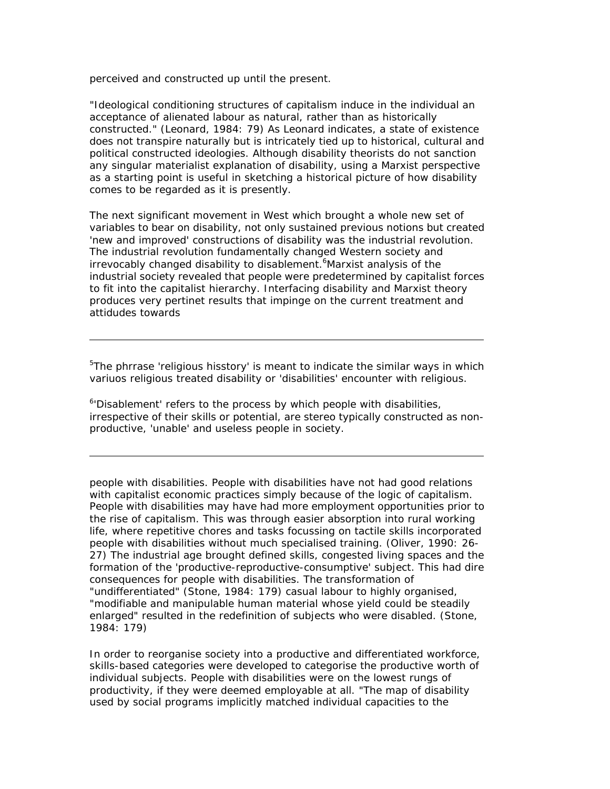perceived and constructed up until the present.

"Ideological conditioning structures of capitalism induce in the individual an acceptance of alienated labour as natural, rather than as historically constructed." (Leonard, 1984: 79) As Leonard indicates, a state of existence does not transpire naturally but is intricately tied up to historical, cultural and political constructed ideologies. Although disability theorists do not sanction any singular materialist explanation of disability, using a Marxist perspective as a starting point is useful in sketching a historical picture of how disability comes to be regarded as it is presently.

The next significant movement in West which brought a whole new set of variables to bear on disability, not only sustained previous notions but created 'new and improved' constructions of disability was the industrial revolution. The industrial revolution fundamentally changed Western society and irrevocably changed disability to disablement.<sup>6</sup>Marxist analysis of the industrial society revealed that people were predetermined by capitalist forces to fit into the capitalist hierarchy. Interfacing disability and Marxist theory produces very pertinet results that impinge on the current treatment and attidudes towards

 $5$ The phrrase 'religious hisstory' is meant to indicate the similar ways in which variuos religious treated disability or 'disabilities' encounter with religious.

<sup>6</sup>'Disablement' refers to the process by which people with disabilities, irrespective of their skills or potential, are stereo typically constructed as nonproductive, 'unable' and useless people in society.

people with disabilities. People with disabilities have not had good relations with capitalist economic practices simply because of the logic of capitalism. People with disabilities may have had more employment opportunities prior to the rise of capitalism. This was through easier absorption into rural working life, where repetitive chores and tasks focussing on tactile skills incorporated people with disabilities without much specialised training. (Oliver, 1990: 26- 27) The industrial age brought defined skills, congested living spaces and the formation of the 'productive-reproductive-consumptive' subject. This had dire consequences for people with disabilities. The transformation of "undifferentiated" (Stone, 1984: 179) casual labour to highly organised, "modifiable and manipulable human material whose yield could be steadily enlarged" resulted in the redefinition of subjects who were disabled. (Stone, 1984: 179)

In order to reorganise society into a productive and differentiated workforce, skills-based categories were developed to categorise the productive worth of individual subjects. People with disabilities were on the lowest rungs of productivity, if they were deemed employable at all. "The map of disability used by social programs implicitly matched individual capacities to the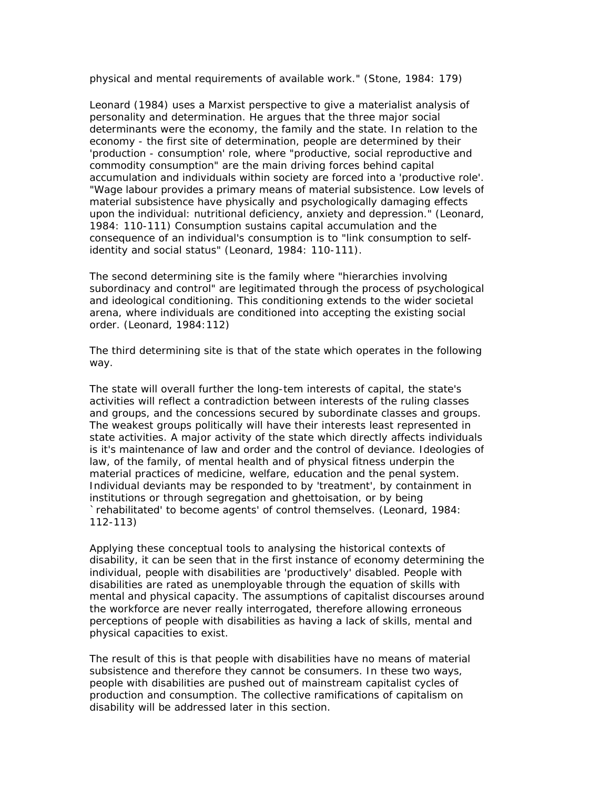physical and mental requirements of available work." (Stone, 1984: 179)

Leonard (1984) uses a Marxist perspective to give a materialist analysis of personality and determination. He argues that the three major social determinants were the economy, the family and the state. In relation to the economy - the first site of determination, people are determined by their 'production - consumption' role, where "productive, social reproductive and commodity consumption" are the main driving forces behind capital accumulation and individuals within society are forced into a 'productive role'. "Wage labour provides a primary means of material subsistence. Low levels of material subsistence have physically and psychologically damaging effects upon the individual: nutritional deficiency, anxiety and depression." (Leonard, 1984: 110-111) Consumption sustains capital accumulation and the consequence of an individual's consumption is to "link consumption to selfidentity and social status" (Leonard, 1984: 110-111).

The second determining site is the family where "hierarchies involving subordinacy and control" are legitimated through the process of psychological and ideological conditioning. This conditioning extends to the wider societal arena, where individuals are conditioned into accepting the existing social order. (Leonard, 1984:112)

The third determining site is that of the state which operates in the following way.

The state will overall further the long-tem interests of capital, the state's activities will reflect a contradiction between interests of the ruling classes and groups, and the concessions secured by subordinate classes and groups. The weakest groups politically will have their interests least represented in state activities. A major activity of the state which directly affects individuals is it's maintenance of law and order and the control of deviance. Ideologies of law, of the family, of mental health and of physical fitness underpin the material practices of medicine, welfare, education and the penal system. Individual deviants may be responded to by 'treatment', by containment in institutions or through segregation and ghettoisation, or by being `rehabilitated' to become agents' of control themselves. (Leonard, 1984: 112-113)

Applying these conceptual tools to analysing the historical contexts of disability, it can be seen that in the first instance of economy determining the individual, people with disabilities are 'productively' disabled. People with disabilities are rated as unemployable through the equation of skills with mental and physical capacity. The assumptions of capitalist discourses around the workforce are never really interrogated, therefore allowing erroneous perceptions of people with disabilities as having a lack of skills, mental and physical capacities to exist.

The result of this is that people with disabilities have no means of material subsistence and therefore they cannot be consumers. In these two ways, people with disabilities are pushed out of mainstream capitalist cycles of production and consumption. The collective ramifications of capitalism on disability will be addressed later in this section.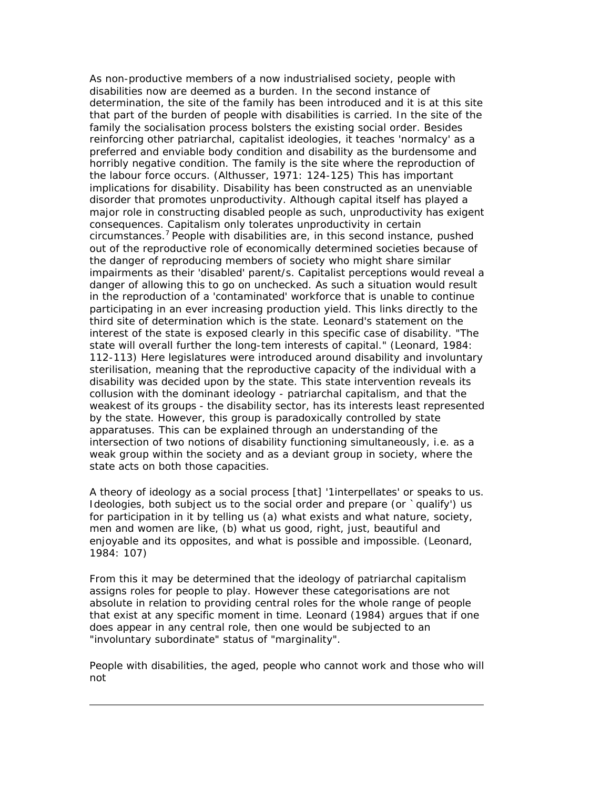As non-productive members of a now industrialised society, people with disabilities now are deemed as a burden. In the second instance of determination, the site of the family has been introduced and it is at this site that part of the burden of people with disabilities is carried. In the site of the family the socialisation process bolsters the existing social order. Besides reinforcing other patriarchal, capitalist ideologies, it teaches 'normalcy' as a preferred and enviable body condition and disability as the burdensome and horribly negative condition. The family is the site where the reproduction of the labour force occurs. (Althusser, 1971: 124-125) This has important implications for disability. Disability has been constructed as an unenviable disorder that promotes unproductivity. Although capital itself has played a major role in constructing disabled people as such, unproductivity has exigent consequences. Capitalism only tolerates unproductivity in certain circumstances.<sup>7</sup> People with disabilities are, in this second instance, pushed out of the reproductive role of economically determined societies because of the danger of reproducing members of society who might share similar impairments as their 'disabled' parent/s. Capitalist perceptions would reveal a danger of allowing this to go on unchecked. As such a situation would result in the reproduction of a 'contaminated' workforce that is unable to continue participating in an ever increasing production yield. This links directly to the third site of determination which is the state. Leonard's statement on the interest of the state is exposed clearly in this specific case of disability. "The state will overall further the long-tem interests of capital." (Leonard, 1984: 112-113) Here legislatures were introduced around disability and involuntary sterilisation, meaning that the reproductive capacity of the individual with a disability was decided upon by the state. This state intervention reveals its collusion with the dominant ideology - patriarchal capitalism, and that the weakest of its groups - the disability sector, has its interests least represented by the state. However, this group is paradoxically controlled by state apparatuses. This can be explained through an understanding of the intersection of two notions of disability functioning simultaneously, i.e. as a weak group within the society and as a deviant group in society, where the state acts on both those capacities.

A theory of ideology as a social process [that] '1interpellates' or speaks to us. Ideologies, both subject us to the social order and prepare (or `qualify') us for participation in it by telling us (a) what exists and what nature, society, men and women are like, (b) what us good, right, just, beautiful and enjoyable and its opposites, and what is possible and impossible. (Leonard, 1984: 107)

From this it may be determined that the ideology of patriarchal capitalism assigns roles for people to play. However these categorisations are not absolute in relation to providing central roles for the whole range of people that exist at any specific moment in time. Leonard (1984) argues that if one does appear in any central role, then one would be subjected to an "involuntary subordinate" status of "marginality".

People with disabilities, the aged, people who cannot work and those who will not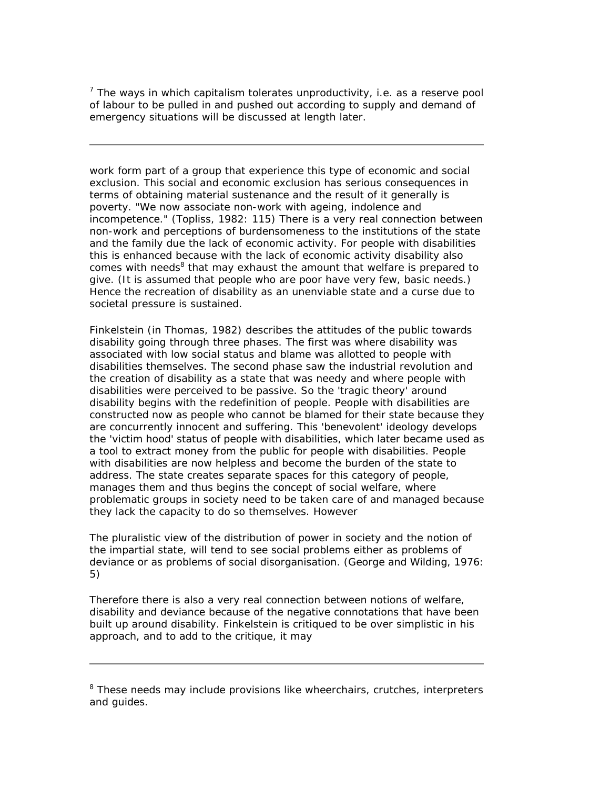*7 The ways in which capitalism tolerates unproductivity, i.e. as a reserve pool of labour to be pulled in and pushed out according to supply and demand of emergency situations will be discussed at length later.*

work form part of a group that experience this type of economic and social exclusion. This social and economic exclusion has serious consequences in terms of obtaining material sustenance and the result of it generally is poverty. "We now associate non-work with ageing, indolence and incompetence." (Topliss, 1982: 115) There is a very real connection between non-work and perceptions of burdensomeness to the institutions of the state and the family due the lack of economic activity. For people with disabilities this is enhanced because with the lack of economic activity disability also comes with needs<sup>8</sup> that may exhaust the amount that welfare is prepared to give. (It is assumed that people who are poor have very few, basic needs.) Hence the recreation of disability as an unenviable state and a curse due to societal pressure is sustained.

Finkelstein (in Thomas, 1982) describes the attitudes of the public towards disability going through three phases. The first was where disability was associated with low social status and blame was allotted to people with disabilities themselves. The second phase saw the industrial revolution and the creation of disability as a state that was needy and where people with disabilities were perceived to be passive. So the 'tragic theory' around disability begins with the redefinition of people. People with disabilities are constructed now as people who cannot be blamed for their state because they are concurrently innocent and suffering. This 'benevolent' ideology develops the 'victim hood' status of people with disabilities, which later became used as a tool to extract money from the public for people with disabilities. People with disabilities are now helpless and become the burden of the state to address. The state creates separate spaces for this category of people, manages them and thus begins the concept of social welfare, where problematic groups in society need to be taken care of and managed because they lack the capacity to do so themselves. However

The pluralistic view of the distribution of power in society and the notion of the impartial state, will tend to see social problems either as problems of deviance or as problems of social disorganisation. (George and Wilding, 1976: 5)

Therefore there is also a very real connection between notions of welfare, disability and deviance because of the negative connotations that have been built up around disability. Finkelstein is critiqued to be over simplistic in his approach, and to add to the critique, it may

*<sup>8</sup> These needs may include provisions like wheerchairs, crutches, interpreters and guides.*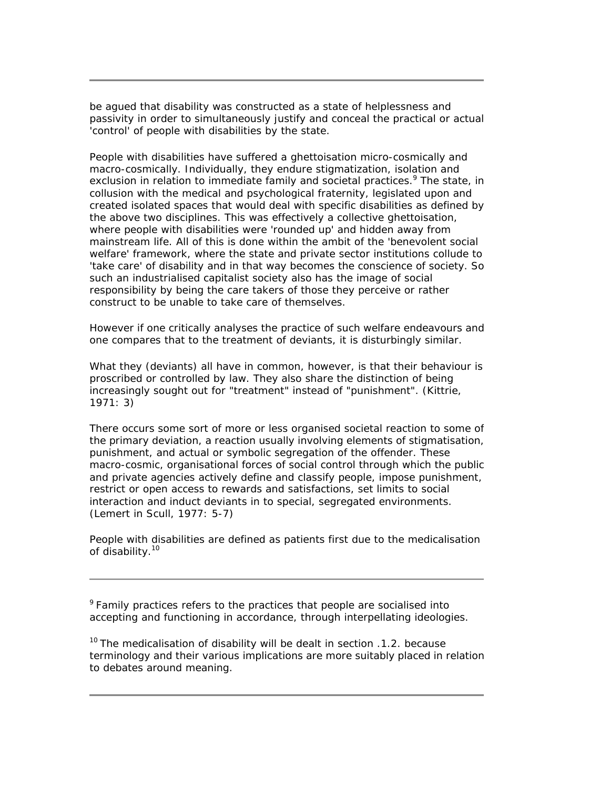be agued that disability was constructed as a state of helplessness and passivity in order to simultaneously justify and conceal the practical or actual 'control' of people with disabilities by the state.

People with disabilities have suffered a ghettoisation micro-cosmically and macro-cosmically. Individually, they endure stigmatization, isolation and exclusion in relation to immediate family and societal practices.<sup>9</sup> The state, in collusion with the medical and psychological fraternity, legislated upon and created isolated spaces that would deal with specific disabilities as defined by the above two disciplines. This was effectively a collective ghettoisation, where people with disabilities were 'rounded up' and hidden away from mainstream life. All of this is done within the ambit of the 'benevolent social welfare' framework, where the state and private sector institutions collude to 'take care' of disability and in that way becomes the conscience of society. So such an industrialised capitalist society also has the image of social responsibility by being the care takers of those they perceive or rather construct to be unable to take care of themselves.

However if one critically analyses the practice of such welfare endeavours and one compares that to the treatment of deviants, it is disturbingly similar.

What they (deviants) all have in common, however, is that their behaviour is proscribed or controlled by law. They also share the distinction of being increasingly sought out for "treatment" instead of "punishment". (Kittrie, 1971: 3)

There occurs some sort of more or less organised societal reaction to some of the primary deviation, a reaction usually involving elements of stigmatisation, punishment, and actual or symbolic segregation of the offender. These macro-cosmic, organisational forces of social control through which the public and private agencies actively define and classify people, impose punishment, restrict or open access to rewards and satisfactions, set limits to social interaction and induct deviants in to special, segregated environments. (Lemert in Scull, 1977: 5-7)

People with disabilities are defined as patients first due to the medicalisation of disability.<sup>10</sup>

*<sup>9</sup>Family practices refers to the practices that people are socialised into accepting and functioning in accordance, through interpellating ideologies.*

*<sup>10</sup>The medicalisation of disability will be dealt in section .1.2. because terminology and their various implications are more suitably placed in relation to debates around meaning.*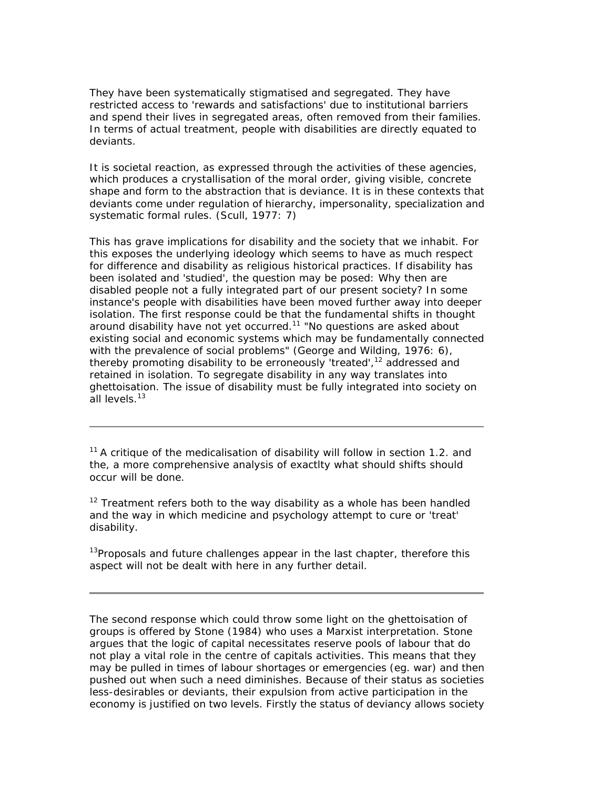They have been systematically stigmatised and segregated. They have restricted access to 'rewards and satisfactions' due to institutional barriers and spend their lives in segregated areas, often removed from their families. In terms of actual treatment, people with disabilities are directly equated to deviants.

It is societal reaction, as expressed through the activities of these agencies, which produces a crystallisation of the moral order, giving visible, concrete shape and form to the abstraction that is deviance. It is in these contexts that deviants come under regulation of hierarchy, impersonality, specialization and systematic formal rules. (Scull, 1977: 7)

This has grave implications for disability and the society that we inhabit. For this exposes the underlying ideology which seems to have as much respect for difference and disability as religious historical practices. If disability has been isolated and 'studied', the question may be posed: Why then are disabled people not a fully integrated part of our present society? In some instance's people with disabilities have been moved further away into deeper isolation. The first response could be that the fundamental shifts in thought around disability have not yet occurred.<sup>11</sup> "No questions are asked about existing social and economic systems which may be fundamentally connected with the prevalence of social problems" (George and Wilding, 1976: 6), thereby promoting disability to be erroneously 'treated',<sup>12</sup> addressed and retained in isolation. To segregate disability in any way translates into ghettoisation. The issue of disability must be fully integrated into society on all levels.<sup>13</sup>

*<sup>11</sup>A critique of the medicalisation of disability will follow in section 1.2. and the, a more comprehensive analysis of exactlty what should shifts should occur will be done.*

*<sup>12</sup> Treatment refers both to the way disability as a whole has been handled and the way in which medicine and psychology attempt to cure or 'treat' disability.*

*<sup>13</sup>Proposals and future challenges appear in the last chapter, therefore this aspect will not be dealt with here in any further detail.*

The second response which could throw some light on the ghettoisation of groups is offered by Stone (1984) who uses a Marxist interpretation. Stone argues that the logic of capital necessitates reserve pools of labour that do not play a vital role in the centre of capitals activities. This means that they may be pulled in times of labour shortages or emergencies (eg. war) and then pushed out when such a need diminishes. Because of their status as societies less-desirables or deviants, their expulsion from active participation in the economy is justified on two levels. Firstly the status of deviancy allows society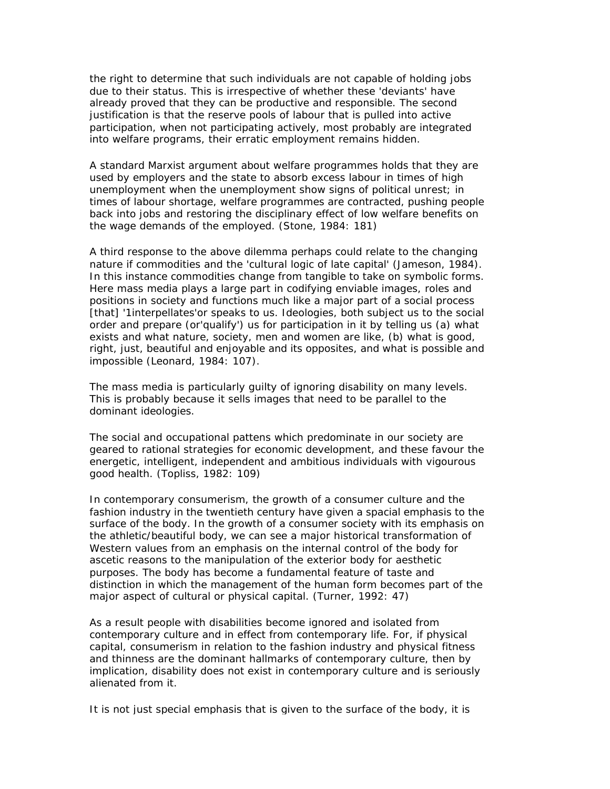the right to determine that such individuals are not capable of holding jobs due to their status. This is irrespective of whether these 'deviants' have already proved that they can be productive and responsible. The second justification is that the reserve pools of labour that is pulled into active participation, when not participating actively, most probably are integrated into welfare programs, their erratic employment remains hidden.

A standard Marxist argument about welfare programmes holds that they are used by employers and the state to absorb excess labour in times of high unemployment when the unemployment show signs of political unrest; in times of labour shortage, welfare programmes are contracted, pushing people back into jobs and restoring the disciplinary effect of low welfare benefits on the wage demands of the employed. (Stone, 1984: 181)

A third response to the above dilemma perhaps could relate to the changing nature if commodities and the 'cultural logic of late capital' (Jameson, 1984). In this instance commodities change from tangible to take on symbolic forms. Here mass media plays a large part in codifying enviable images, roles and positions in society and functions much like a major part of a social process [that] '1interpellates'or speaks to us. Ideologies, both subject us to the social order and prepare (or'qualify') us for participation in it by telling us (a) what exists and what nature, society, men and women are like, (b) what is good, right, just, beautiful and enjoyable and its opposites, and what is possible and impossible (Leonard, 1984: 107).

The mass media is particularly guilty of ignoring disability on many levels. This is probably because it sells images that need to be parallel to the dominant ideologies.

The social and occupational pattens which predominate in our society are geared to rational strategies for economic development, and these favour the energetic, intelligent, independent and ambitious individuals with vigourous good health. (Topliss, 1982: 109)

In contemporary consumerism, the growth of a consumer culture and the fashion industry in the twentieth century have given a spacial emphasis to the surface of the body. In the growth of a consumer society with its emphasis on the athletic/beautiful body, we can see a major historical transformation of Western values from an emphasis on the internal control of the body for ascetic reasons to the manipulation of the exterior body for aesthetic purposes. The body has become a fundamental feature of taste and distinction in which the management of the human form becomes part of the major aspect of cultural or physical capital. (Turner, 1992: 47)

As a result people with disabilities become ignored and isolated from contemporary culture and in effect from contemporary life. For, if physical capital, consumerism in relation to the fashion industry and physical fitness and thinness are the dominant hallmarks of contemporary culture, then by implication, disability does not exist in contemporary culture and is seriously alienated from it.

It is not just special emphasis that is given to the surface of the body, it is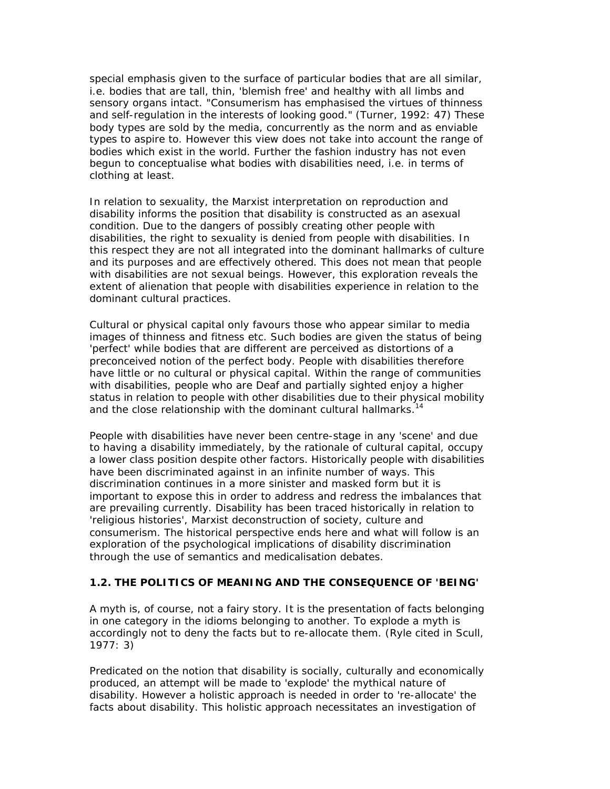special emphasis given to the surface of particular bodies that are all similar, i.e. bodies that are tall, thin, 'blemish free' and healthy with all limbs and sensory organs intact. "Consumerism has emphasised the virtues of thinness and self-regulation in the interests of looking good." (Turner, 1992: 47) These body types are sold by the media, concurrently as the norm and as enviable types to aspire to. However this view does not take into account the range of bodies which exist in the world. Further the fashion industry has not even begun to conceptualise what bodies with disabilities need, i.e. in terms of clothing at least.

In relation to sexuality, the Marxist interpretation on reproduction and disability informs the position that disability is constructed as an asexual condition. Due to the dangers of possibly creating other people with disabilities, the right to sexuality is denied from people with disabilities. In this respect they are not all integrated into the dominant hallmarks of culture and its purposes and are effectively othered. This does not mean that people with disabilities are not sexual beings. However, this exploration reveals the extent of alienation that people with disabilities experience in relation to the dominant cultural practices.

Cultural or physical capital only favours those who appear similar to media images of thinness and fitness etc. Such bodies are given the status of being 'perfect' while bodies that are different are perceived as distortions of a preconceived notion of the perfect body. People with disabilities therefore have little or no cultural or physical capital. Within the range of communities with disabilities, people who are Deaf and partially sighted enjoy a higher status in relation to people with other disabilities due to their physical mobility and the close relationship with the dominant cultural hallmarks.<sup>14</sup>

People with disabilities have never been centre-stage in any 'scene' and due to having a disability immediately, by the rationale of cultural capital, occupy a lower class position despite other factors. Historically people with disabilities have been discriminated against in an infinite number of ways. This discrimination continues in a more sinister and masked form but it is important to expose this in order to address and redress the imbalances that are prevailing currently. Disability has been traced historically in relation to 'religious histories', Marxist deconstruction of society, culture and consumerism. The historical perspective ends here and what will follow is an exploration of the psychological implications of disability discrimination through the use of semantics and medicalisation debates.

### **1.2. THE POLITICS OF MEANING AND THE CONSEQUENCE OF 'BEING'**

A myth is, of course, not a fairy story. It is the presentation of facts belonging in one category in the idioms belonging to another. To explode a myth is accordingly not to deny the facts but to re-allocate them. (Ryle cited in Scull, 1977: 3)

Predicated on the notion that disability is socially, culturally and economically produced, an attempt will be made to 'explode' the mythical nature of disability. However a holistic approach is needed in order to 're-allocate' the facts about disability. This holistic approach necessitates an investigation of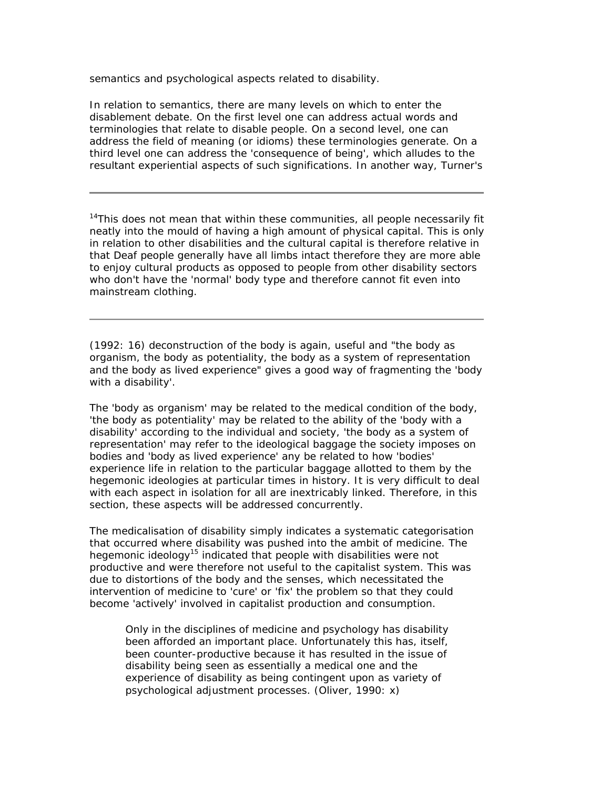semantics and psychological aspects related to disability.

In relation to semantics, there are many levels on which to enter the disablement debate. On the first level one can address actual words and terminologies that relate to disable people. On a second level, one can address the field of meaning (or idioms) these terminologies generate. On a third level one can address the 'consequence of being', which alludes to the resultant experiential aspects of such significations. In another way, Turner's

*<sup>14</sup>This does not mean that within these communities, all people necessarily fit neatly into the mould of having a high amount of physical capital. This is only in relation to other disabilities and the cultural capital is therefore relative in that Deaf people generally have all limbs intact therefore they are more able to enjoy cultural products as opposed to people from other disability sectors who don't have the 'normal' body type and therefore cannot fit even into mainstream clothing.*

(1992: 16) deconstruction of the body is again, useful and "the body as organism, the body as potentiality, the body as a system of representation and the body as lived experience" gives a good way of fragmenting the 'body with a disability'.

The 'body as organism' may be related to the medical condition of the body, 'the body as potentiality' may be related to the ability of the 'body with a disability' according to the individual and society, 'the body as a system of representation' may refer to the ideological baggage the society imposes on bodies and 'body as lived experience' any be related to how 'bodies' experience life in relation to the particular baggage allotted to them by the hegemonic ideologies at particular times in history. It is very difficult to deal with each aspect in isolation for all are inextricably linked. Therefore, in this section, these aspects will be addressed concurrently.

The medicalisation of disability simply indicates a systematic categorisation that occurred where disability was pushed into the ambit of medicine. The hegemonic ideology<sup>15</sup> indicated that people with disabilities were not productive and were therefore not useful to the capitalist system. This was due to distortions of the body and the senses, which necessitated the intervention of medicine to 'cure' or 'fix' the problem so that they could become 'actively' involved in capitalist production and consumption.

Only in the disciplines of medicine and psychology has disability been afforded an important place. Unfortunately this has, itself, been counter-productive because it has resulted in the issue of disability being seen as essentially a medical one and the experience of disability as being contingent upon as variety of psychological adjustment processes. (Oliver, 1990: x)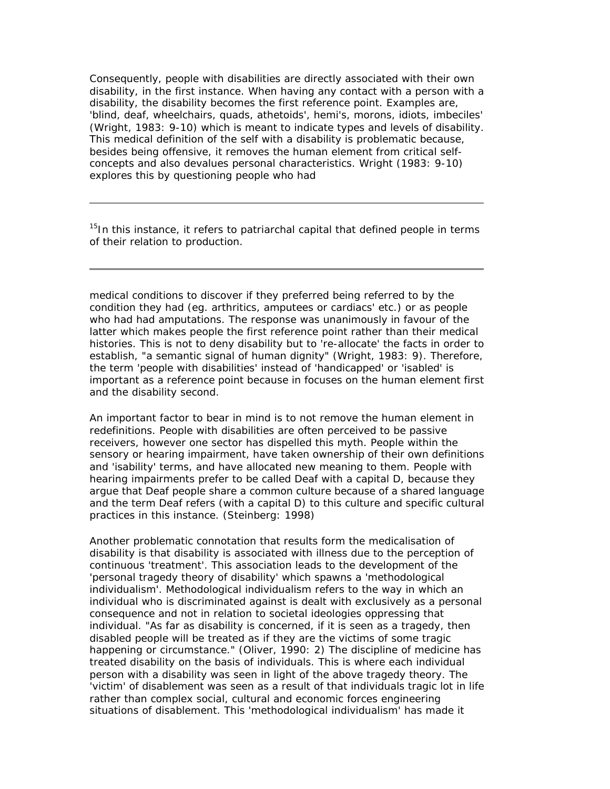Consequently, people with disabilities are directly associated with their own disability, in the first instance. When having any contact with a person with a disability, the disability becomes the first reference point. Examples are, 'blind, deaf, wheelchairs, quads, athetoids', hemi's, morons, idiots, imbeciles' (Wright, 1983: 9-10) which is meant to indicate types and levels of disability. This medical definition of the self with a disability is problematic because, besides being offensive, it removes the human element from critical selfconcepts and also devalues personal characteristics. Wright (1983: 9-10) explores this by questioning people who had

*<sup>15</sup>In this instance, it refers to patriarchal capital that defined people in terms of their relation to production.*

medical conditions to discover if they preferred being referred to by the condition they had (eg. arthritics, amputees or cardiacs' etc.) or as people who had had amputations. The response was unanimously in favour of the latter which makes people the first reference point rather than their medical histories. This is not to deny disability but to 're-allocate' the facts in order to establish, "a semantic signal of human dignity" (Wright, 1983: 9). Therefore, the term 'people with disabilities' instead of 'handicapped' or 'isabled' is important as a reference point because in focuses on the human element first and the disability second.

An important factor to bear in mind is to not remove the human element in redefinitions. People with disabilities are often perceived to be passive receivers, however one sector has dispelled this myth. People within the sensory or hearing impairment, have taken ownership of their own definitions and 'isability' terms, and have allocated new meaning to them. People with hearing impairments prefer to be called Deaf with a capital D, because they argue that Deaf people share a common culture because of a shared language and the term Deaf refers (with a capital D) to this culture and specific cultural practices in this instance. (Steinberg: 1998)

Another problematic connotation that results form the medicalisation of disability is that disability is associated with illness due to the perception of continuous 'treatment'. This association leads to the development of the 'personal tragedy theory of disability' which spawns a 'methodological individualism'. Methodological individualism refers to the way in which an individual who is discriminated against is dealt with exclusively as a personal consequence and not in relation to societal ideologies oppressing that individual. "As far as disability is concerned, if it is seen as a tragedy, then disabled people will be treated as if they are the victims of some tragic happening or circumstance." (Oliver, 1990: 2) The discipline of medicine has treated disability on the basis of individuals. This is where each individual person with a disability was seen in light of the above tragedy theory. The 'victim' of disablement was seen as a result of that individuals tragic lot in life rather than complex social, cultural and economic forces engineering situations of disablement. This 'methodological individualism' has made it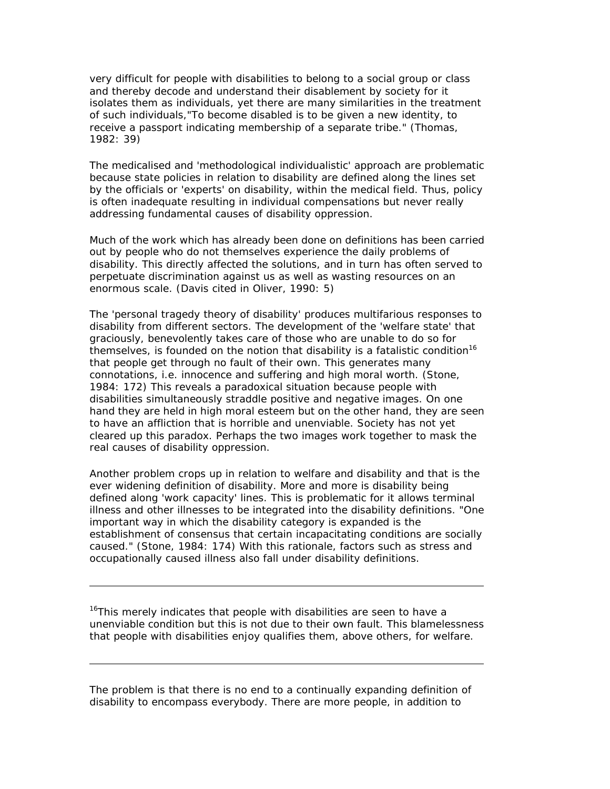very difficult for people with disabilities to belong to a social group or class and thereby decode and understand their disablement by society for it isolates them as individuals, yet there are many similarities in the treatment of such individuals,"To become disabled is to be given a new identity, to receive a passport indicating membership of a separate tribe." (Thomas, 1982: 39)

The medicalised and 'methodological individualistic' approach are problematic because state policies in relation to disability are defined along the lines set by the officials or 'experts' on disability, within the medical field. Thus, policy is often inadequate resulting in individual compensations but never really addressing fundamental causes of disability oppression.

Much of the work which has already been done on definitions has been carried out by people who do not themselves experience the daily problems of disability. This directly affected the solutions, and in turn has often served to perpetuate discrimination against us as well as wasting resources on an enormous scale. (Davis cited in Oliver, 1990: 5)

The 'personal tragedy theory of disability' produces multifarious responses to disability from different sectors. The development of the 'welfare state' that graciously, benevolently takes care of those who are unable to do so for themselves, is founded on the notion that disability is a fatalistic condition<sup>16</sup> that people get through no fault of their own. This generates many connotations, i.e. innocence and suffering and high moral worth. (Stone, 1984: 172) This reveals a paradoxical situation because people with disabilities simultaneously straddle positive and negative images. On one hand they are held in high moral esteem but on the other hand, they are seen to have an affliction that is horrible and unenviable. Society has not yet cleared up this paradox. Perhaps the two images work together to mask the real causes of disability oppression.

Another problem crops up in relation to welfare and disability and that is the ever widening definition of disability. More and more is disability being defined along 'work capacity' lines. This is problematic for it allows terminal illness and other illnesses to be integrated into the disability definitions. "One important way in which the disability category is expanded is the establishment of consensus that certain incapacitating conditions are socially caused." (Stone, 1984: 174) With this rationale, factors such as stress and occupationally caused illness also fall under disability definitions.

*<sup>16</sup>This merely indicates that people with disabilities are seen to have a unenviable condition but this is not due to their own fault. This blamelessness that people with disabilities enjoy qualifies them, above others, for welfare.*

The problem is that there is no end to a continually expanding definition of disability to encompass everybody. There are more people, in addition to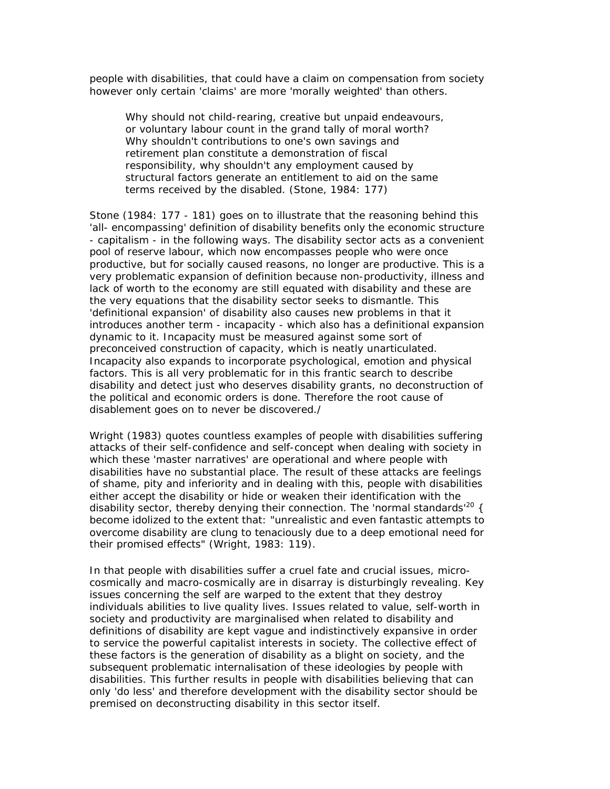people with disabilities, that could have a claim on compensation from society however only certain 'claims' are more 'morally weighted' than others.

Why should not child-rearing, creative but unpaid endeavours, or voluntary labour count in the grand tally of moral worth? Why shouldn't contributions to one's own savings and retirement plan constitute a demonstration of fiscal responsibility, why shouldn't any employment caused by structural factors generate an entitlement to aid on the same terms received by the disabled. (Stone, 1984: 177)

Stone (1984: 177 - 181) goes on to illustrate that the reasoning behind this 'all- encompassing' definition of disability benefits only the economic structure - capitalism - in the following ways. The disability sector acts as a convenient pool of reserve labour, which now encompasses people who were once productive, but for socially caused reasons, no longer are productive. This is a very problematic expansion of definition because non-productivity, illness and lack of worth to the economy are still equated with disability and these are the very equations that the disability sector seeks to dismantle. This 'definitional expansion' of disability also causes new problems in that it introduces another term - incapacity - which also has a definitional expansion dynamic to it. Incapacity must be measured against some sort of preconceived construction of capacity, which is neatly unarticulated. Incapacity also expands to incorporate psychological, emotion and physical factors. This is all very problematic for in this frantic search to describe disability and detect just who deserves disability grants, no deconstruction of the political and economic orders is done. Therefore the root cause of disablement goes on to never be discovered./

Wright (1983) quotes countless examples of people with disabilities suffering attacks of their self-confidence and self-concept when dealing with society in which these 'master narratives' are operational and where people with disabilities have no substantial place. The result of these attacks are feelings of shame, pity and inferiority and in dealing with this, people with disabilities either accept the disability or hide or weaken their identification with the disability sector, thereby denying their connection. The 'normal standards<sup>'20</sup> { become idolized to the extent that: "unrealistic and even fantastic attempts to overcome disability are clung to tenaciously due to a deep emotional need for their promised effects" (Wright, 1983: 119).

In that people with disabilities suffer a cruel fate and crucial issues, microcosmically and macro-cosmically are in disarray is disturbingly revealing. Key issues concerning the self are warped to the extent that they destroy individuals abilities to live quality lives. Issues related to value, self-worth in society and productivity are marginalised when related to disability and definitions of disability are kept vague and indistinctively expansive in order to service the powerful capitalist interests in society. The collective effect of these factors is the generation of disability as a blight on society, and the subsequent problematic internalisation of these ideologies by people with disabilities. This further results in people with disabilities believing that can only 'do less' and therefore development with the disability sector should be premised on deconstructing disability in this sector itself.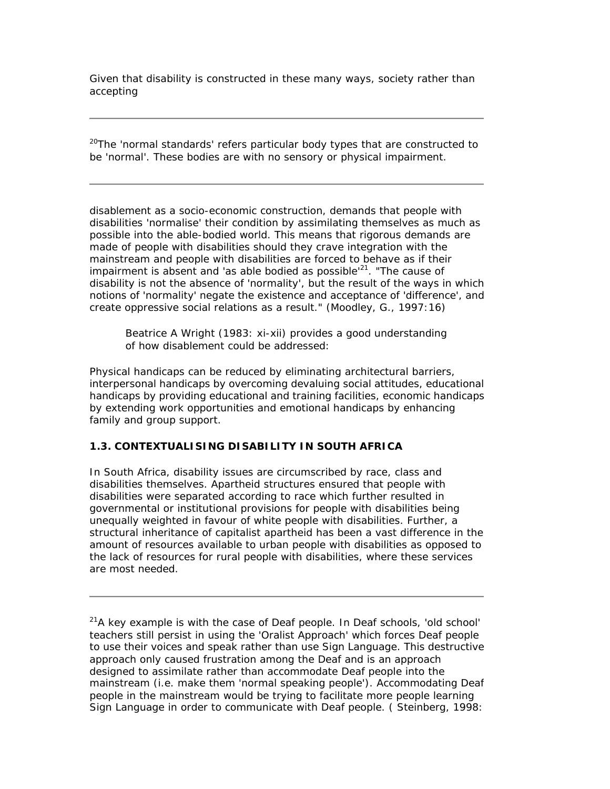Given that disability is constructed in these many ways, society rather than accepting

*<sup>20</sup>The 'normal standards' refers particular body types that are constructed to be 'normal'. These bodies are with no sensory or physical impairment.*

disablement as a socio-economic construction, demands that people with disabilities 'normalise' their condition by assimilating themselves as much as possible into the able-bodied world. This means that rigorous demands are made of people with disabilities should they crave integration with the mainstream and people with disabilities are forced to behave as if their impairment is absent and 'as able bodied as possible $^{21}$ . "The cause of disability is not the absence of 'normality', but the result of the ways in which notions of 'normality' negate the existence and acceptance of 'difference', and create oppressive social relations as a result." (Moodley, G., 1997:16)

Beatrice A Wright (1983: xi-xii) provides a good understanding of how disablement could be addressed:

Physical handicaps can be reduced by eliminating architectural barriers, interpersonal handicaps by overcoming devaluing social attitudes, educational handicaps by providing educational and training facilities, economic handicaps by extending work opportunities and emotional handicaps by enhancing family and group support.

# **1.3. CONTEXTUALISING DISABILITY IN SOUTH AFRICA**

In South Africa, disability issues are circumscribed by race, class and disabilities themselves. Apartheid structures ensured that people with disabilities were separated according to race which further resulted in governmental or institutional provisions for people with disabilities being unequally weighted in favour of white people with disabilities. Further, a structural inheritance of capitalist apartheid has been a vast difference in the amount of resources available to urban people with disabilities as opposed to the lack of resources for rural people with disabilities, where these services are most needed.

*<sup>21</sup>A key example is with the case of Deaf people. In Deaf schools, 'old school' teachers still persist in using the 'Oralist Approach' which forces Deaf people to use their voices and speak rather than use Sign Language. This destructive approach only caused frustration among the Deaf and is an approach designed to assimilate rather than accommodate Deaf people into the mainstream (i.e. make them 'normal speaking people'). Accommodating Deaf people in the mainstream would be trying to facilitate more people learning Sign Language in order to communicate with Deaf people. ( Steinberg, 1998:*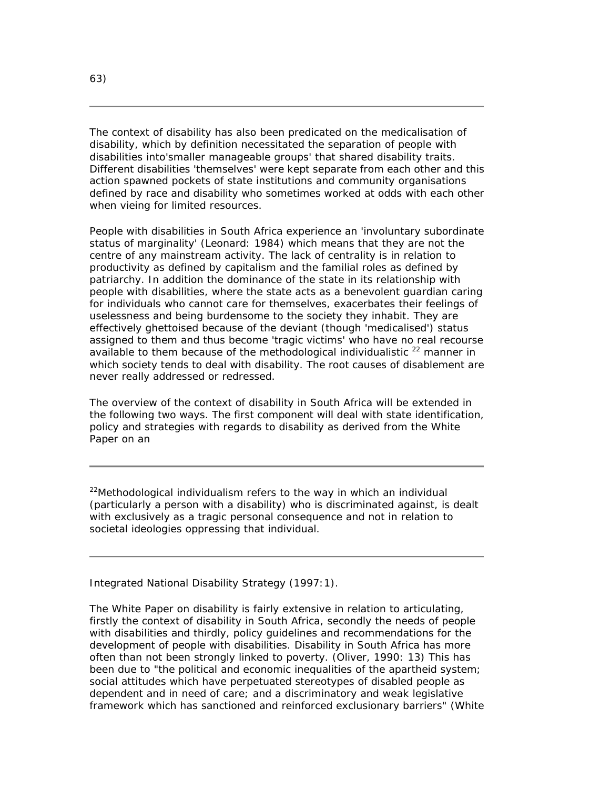The context of disability has also been predicated on the medicalisation of disability, which by definition necessitated the separation of people with disabilities into'smaller manageable groups' that shared disability traits. Different disabilities 'themselves' were kept separate from each other and this action spawned pockets of state institutions and community organisations defined by race and disability who sometimes worked at odds with each other when vieing for limited resources.

People with disabilities in South Africa experience an 'involuntary subordinate status of marginality' (Leonard: 1984) which means that they are not the centre of any mainstream activity. The lack of centrality is in relation to productivity as defined by capitalism and the familial roles as defined by patriarchy. In addition the dominance of the state in its relationship with people with disabilities, where the state acts as a benevolent guardian caring for individuals who cannot care for themselves, exacerbates their feelings of uselessness and being burdensome to the society they inhabit. They are effectively ghettoised because of the deviant (though 'medicalised') status assigned to them and thus become 'tragic victims' who have no real recourse available to them because of the methodological individualistic  $22$  manner in which society tends to deal with disability. The root causes of disablement are never really addressed or redressed.

The overview of the context of disability in South Africa will be extended in the following two ways. The first component will deal with state identification, policy and strategies with regards to disability as derived from the White Paper on an

*<sup>22</sup>Methodological individualism refers to the way in which an individual (particularly a person with a disability) who is discriminated against, is dealt with exclusively as a tragic personal consequence and not in relation to societal ideologies oppressing that individual.*

Integrated National Disability Strategy (1997:1).

The White Paper on disability is fairly extensive in relation to articulating, firstly the context of disability in South Africa, secondly the needs of people with disabilities and thirdly, policy guidelines and recommendations for the development of people with disabilities. Disability in South Africa has more often than not been strongly linked to poverty. (Oliver, 1990: 13) This has been due to "the political and economic inequalities of the apartheid system; social attitudes which have perpetuated stereotypes of disabled people as dependent and in need of care; and a discriminatory and weak legislative framework which has sanctioned and reinforced exclusionary barriers" (White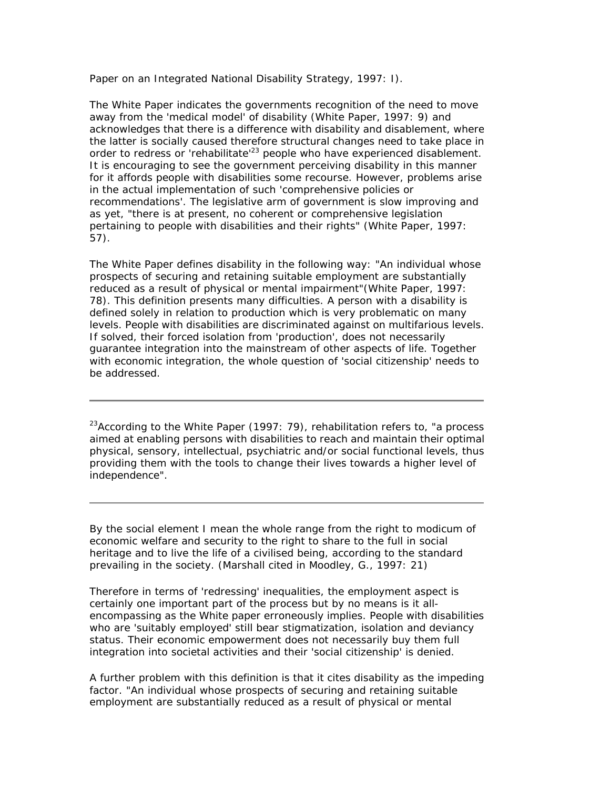Paper on an Integrated National Disability Strategy, 1997: I).

The White Paper indicates the governments recognition of the need to move away from the 'medical model' of disability (White Paper, 1997: 9) and acknowledges that there is a difference with disability and disablement, where the latter is socially caused therefore structural changes need to take place in order to redress or 'rehabilitate<sup>123</sup> people who have experienced disablement. It is encouraging to see the government perceiving disability in this manner for it affords people with disabilities some recourse. However, problems arise in the actual implementation of such 'comprehensive policies or recommendations'. The legislative arm of government is slow improving and as yet, "there is at present, no coherent or comprehensive legislation pertaining to people with disabilities and their rights" (White Paper, 1997: 57).

The White Paper defines disability in the following way: "An individual whose prospects of securing and retaining suitable employment are substantially reduced as a result of physical or mental impairment"(White Paper, 1997: 78). This definition presents many difficulties. A person with a disability is defined solely in relation to production which is very problematic on many levels. People with disabilities are discriminated against on multifarious levels. If solved, their forced isolation from 'production', does not necessarily guarantee integration into the mainstream of other aspects of life. Together with economic integration, the whole question of 'social citizenship' needs to be addressed.

*<sup>23</sup>According to the White Paper (1997: 79), rehabilitation refers to, "a process aimed at enabling persons with disabilities to reach and maintain their optimal physical, sensory, intellectual, psychiatric and/or social functional levels, thus providing them with the tools to change their lives towards a higher level of independence".*

By the social element I mean the whole range from the right to modicum of economic welfare and security to the right to share to the full in social heritage and to live the life of a civilised being, according to the standard prevailing in the society. (Marshall cited in Moodley, G., 1997: 21)

Therefore in terms of 'redressing' inequalities, the employment aspect is certainly one important part of the process but by no means is it allencompassing as the White paper erroneously implies. People with disabilities who are 'suitably employed' still bear stigmatization, isolation and deviancy status. Their economic empowerment does not necessarily buy them full integration into societal activities and their 'social citizenship' is denied.

A further problem with this definition is that it cites disability as the impeding factor. "An individual whose prospects of securing and retaining suitable employment are substantially reduced as a result of physical or mental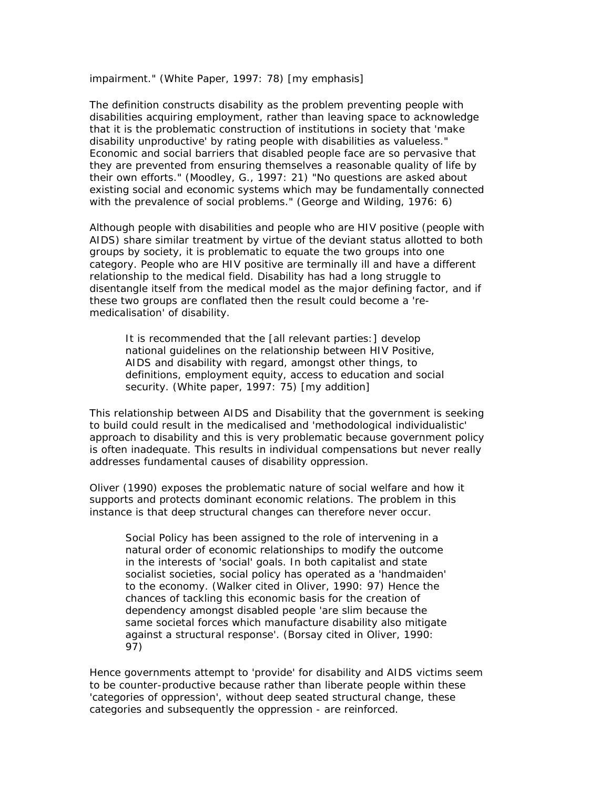impairment." (White Paper, 1997: 78) [my emphasis]

The definition constructs disability as the problem preventing people with disabilities acquiring employment, rather than leaving space to acknowledge that it is the problematic construction of institutions in society that 'make disability unproductive' by rating people with disabilities as valueless." Economic and social barriers that disabled people face are so pervasive that they are prevented from ensuring themselves a reasonable quality of life by their own efforts." (Moodley, G., 1997: 21) "No questions are asked about existing social and economic systems which may be fundamentally connected with the prevalence of social problems." (George and Wilding, 1976: 6)

Although people with disabilities and people who are HIV positive (people with AIDS) share similar treatment by virtue of the deviant status allotted to both groups by society, it is problematic to equate the two groups into one category. People who are HIV positive are terminally ill and have a different relationship to the medical field. Disability has had a long struggle to disentangle itself from the medical model as the major defining factor, and if these two groups are conflated then the result could become a 'remedicalisation' of disability.

It is recommended that the [all relevant parties:] develop national guidelines on the relationship between HIV Positive, AIDS and disability with regard, amongst other things, to definitions, employment equity, access to education and social security. (White paper, 1997: 75) [my addition]

This relationship between AIDS and Disability that the government is seeking to build could result in the medicalised and 'methodological individualistic' approach to disability and this is very problematic because government policy is often inadequate. This results in individual compensations but never really addresses fundamental causes of disability oppression.

Oliver (1990) exposes the problematic nature of social welfare and how it supports and protects dominant economic relations. The problem in this instance is that deep structural changes can therefore never occur.

Social Policy has been assigned to the role of intervening in a natural order of economic relationships to modify the outcome in the interests of 'social' goals. In both capitalist and state socialist societies, social policy has operated as a 'handmaiden' to the economy. (Walker cited in Oliver, 1990: 97) Hence the chances of tackling this economic basis for the creation of dependency amongst disabled people 'are slim because the same societal forces which manufacture disability also mitigate against a structural response'. (Borsay cited in Oliver, 1990: 97)

Hence governments attempt to 'provide' for disability and AIDS victims seem to be counter-productive because rather than liberate people within these 'categories of oppression', without deep seated structural change, these categories and subsequently the oppression - are reinforced.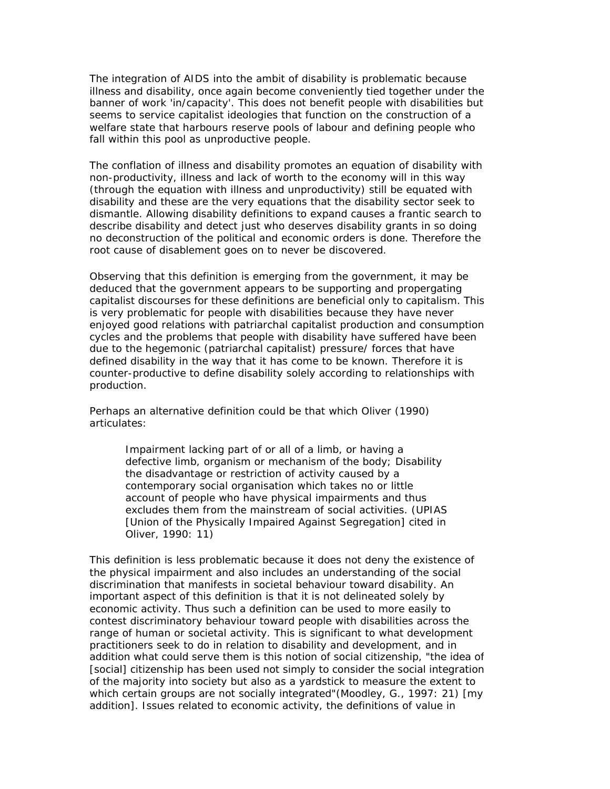The integration of AIDS into the ambit of disability is problematic because illness and disability, once again become conveniently tied together under the banner of work 'in/capacity'. This does not benefit people with disabilities but seems to service capitalist ideologies that function on the construction of a welfare state that harbours reserve pools of labour and defining people who fall within this pool as unproductive people.

The conflation of illness and disability promotes an equation of disability with non-productivity, illness and lack of worth to the economy will in this way (through the equation with illness and unproductivity) still be equated with disability and these are the very equations that the disability sector seek to dismantle. Allowing disability definitions to expand causes a frantic search to describe disability and detect just who deserves disability grants in so doing no deconstruction of the political and economic orders is done. Therefore the root cause of disablement goes on to never be discovered.

Observing that this definition is emerging from the government, it may be deduced that the government appears to be supporting and propergating capitalist discourses for these definitions are beneficial only to capitalism. This is very problematic for people with disabilities because they have never enjoyed good relations with patriarchal capitalist production and consumption cycles and the problems that people with disability have suffered have been due to the hegemonic (patriarchal capitalist) pressure/ forces that have defined disability in the way that it has come to be known. Therefore it is counter-productive to define disability solely according to relationships with production.

Perhaps an alternative definition could be that which Oliver (1990) articulates:

> *Impairment* lacking part of or all of a limb, or having a defective limb, organism or mechanism of the body; *Disability* the disadvantage or restriction of activity caused by a contemporary social organisation which takes no or little account of people who have physical impairments and thus excludes them from the mainstream of social activities. (UPIAS [Union of the Physically Impaired Against Segregation] cited in Oliver, 1990: 11)

This definition is less problematic because it does not deny the existence of the physical impairment and also includes an understanding of the social discrimination that manifests in societal behaviour toward disability. An important aspect of this definition is that it is not delineated solely by economic activity. Thus such a definition can be used to more easily to contest discriminatory behaviour toward people with disabilities across the range of human or societal activity. This is significant to what development practitioners seek to do in relation to disability and development, and in addition what could serve them is this notion of social citizenship, "the idea of [social] citizenship has been used not simply to consider the social integration of the majority into society but also as a yardstick to measure the extent to which certain groups are not socially integrated"(Moodley, G., 1997: 21) [my addition]. Issues related to economic activity, the definitions of value in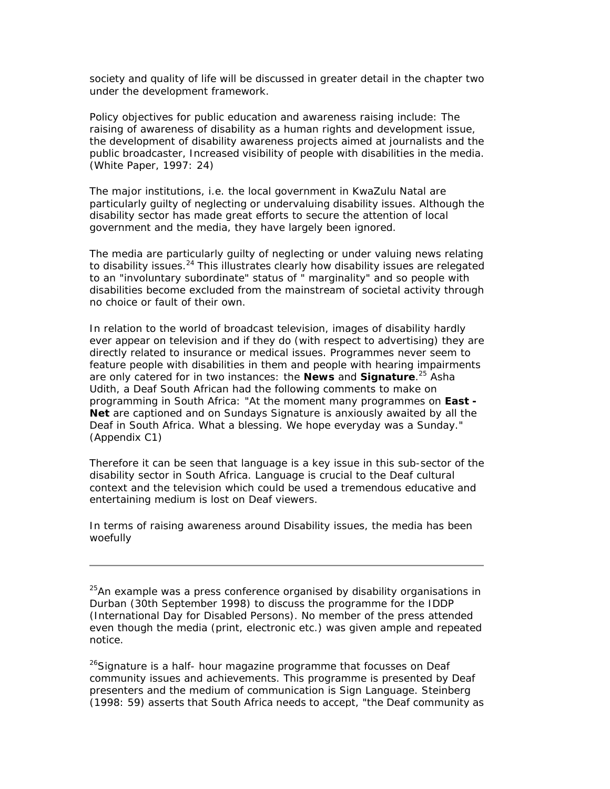society and quality of life will be discussed in greater detail in the chapter two under the development framework.

Policy objectives for public education and awareness raising include: The raising of awareness of disability as a human rights and development issue, the development of disability awareness projects aimed at journalists and the public broadcaster, Increased visibility of people with disabilities in the media. (White Paper, 1997: 24)

The major institutions, i.e. the local government in KwaZulu Natal are particularly guilty of neglecting or undervaluing disability issues. Although the disability sector has made great efforts to secure the attention of local government and the media, they have largely been ignored.

The media are particularly guilty of neglecting or under valuing news relating to disability issues. $^{24}$  This illustrates clearly how disability issues are relegated to an "involuntary subordinate" status of " marginality" and so people with disabilities become excluded from the mainstream of societal activity through no choice or fault of their own.

In relation to the world of broadcast television, images of disability hardly ever appear on television and if they do (with respect to advertising) they are directly related to insurance or medical issues. Programmes never seem to feature people with disabilities in them and people with hearing impairments are only catered for in two instances: the *News* and *Signature*. <sup>25</sup> Asha Udith, a Deaf South African had the following comments to make on programming in South Africa: "At the moment many programmes on *East - Net* are captioned and on Sundays Signature is anxiously awaited by all the Deaf in South Africa. What a blessing. We hope everyday was a Sunday." (Appendix C1)

Therefore it can be seen that language is a key issue in this sub-sector of the disability sector in South Africa. Language is crucial to the Deaf cultural context and the television which could be used a tremendous educative and entertaining medium is lost on Deaf viewers.

In terms of raising awareness around Disability issues, the media has been woefully

*<sup>25</sup>An example was a press conference organised by disability organisations in Durban (30th September 1998) to discuss the programme for the IDDP (International Day for Disabled Persons). No member of the press attended even though the media (print, electronic etc.) was given ample and repeated notice.*

*<sup>26</sup>Signature is a half- hour magazine programme that focusses on Deaf community issues and achievements. This programme is presented by Deaf presenters and the medium of communication is Sign Language. Steinberg (1998: 59) asserts that South Africa needs to accept, "the Deaf community as*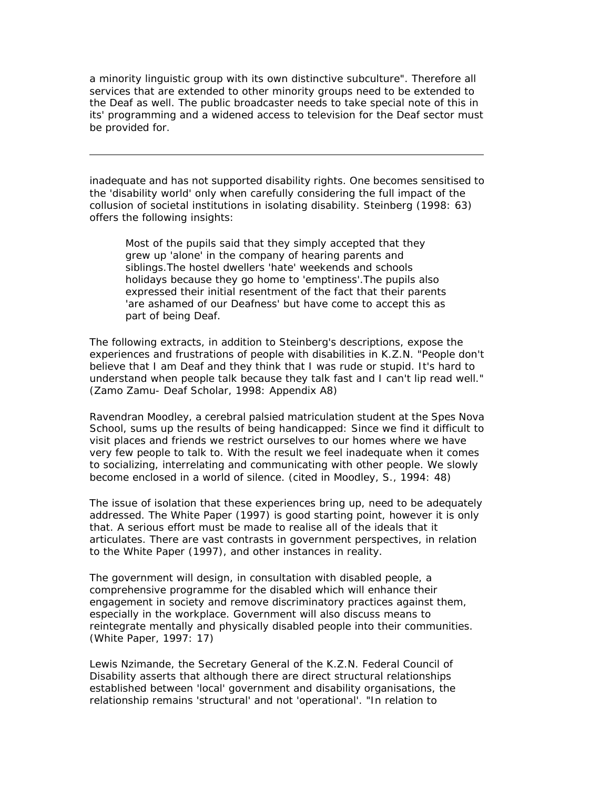*a minority linguistic group with its own distinctive subculture". Therefore all services that are extended to other minority groups need to be extended to the Deaf as well. The public broadcaster needs to take special note of this in its' programming and a widened access to television for the Deaf sector must be provided for.*

inadequate and has not supported disability rights. One becomes sensitised to the 'disability world' only when carefully considering the full impact of the collusion of societal institutions in isolating disability. Steinberg (1998: 63) offers the following insights:

Most of the pupils said that they simply accepted that they grew up 'alone' in the company of hearing parents and siblings.The hostel dwellers 'hate' weekends and schools holidays because they go home to 'emptiness'.The pupils also expressed their initial resentment of the fact that their parents 'are ashamed of our Deafness' but have come to accept this as part of being Deaf.

The following extracts, in addition to Steinberg's descriptions, expose the experiences and frustrations of people with disabilities in K.Z.N. "People don't believe that I am Deaf and they think that I was rude or stupid. It's hard to understand when people talk because they talk fast and I can't lip read well." (Zamo Zamu- Deaf Scholar, 1998: Appendix A8)

Ravendran Moodley, a cerebral palsied matriculation student at the Spes Nova School, sums up the results of being handicapped: Since we find it difficult to visit places and friends we restrict ourselves to our homes where we have very few people to talk to. With the result we feel inadequate when it comes to socializing, interrelating and communicating with other people. We slowly become enclosed in a world of silence. (cited in Moodley, S., 1994: 48)

The issue of isolation that these experiences bring up, need to be adequately addressed. The White Paper (1997) is good starting point, however it is only that. A serious effort must be made to realise all of the ideals that it articulates. There are vast contrasts in government perspectives, in relation to the White Paper (1997), and other instances in reality.

The government will design, in consultation with disabled people, a comprehensive programme for the disabled which will enhance their engagement in society and remove discriminatory practices against them, especially in the workplace. Government will also discuss means to reintegrate mentally and physically disabled people into their communities. (White Paper, 1997: 17)

Lewis Nzimande, the Secretary General of the K.Z.N. Federal Council of Disability asserts that although there are direct structural relationships established between 'local' government and disability organisations, the relationship remains 'structural' and not 'operational'. "In relation to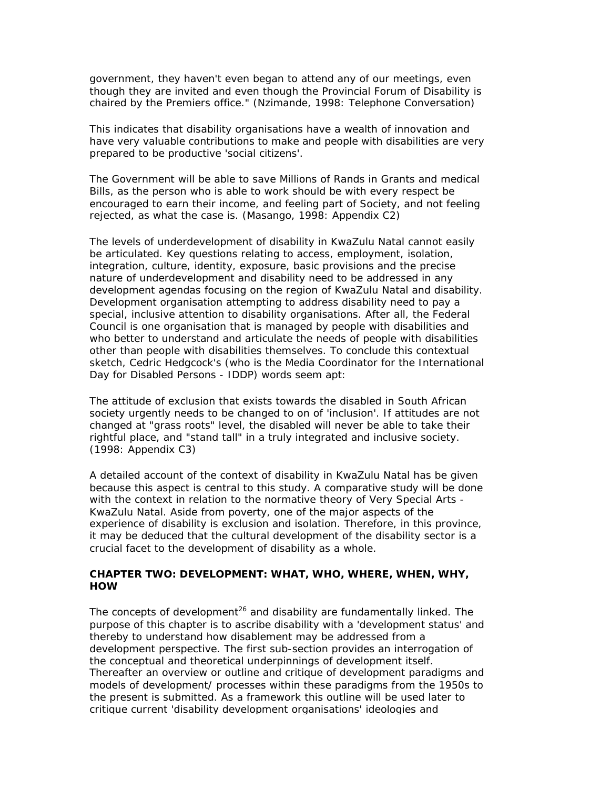government, they haven't even began to attend any of our meetings, even though they are invited and even though the Provincial Forum of Disability is chaired by the Premiers office." (Nzimande, 1998: Telephone Conversation)

This indicates that disability organisations have a wealth of innovation and have very valuable contributions to make and people with disabilities are very prepared to be productive 'social citizens'.

The Government will be able to save Millions of Rands in Grants and medical Bills, as the person who is able to work should be with every respect be encouraged to earn their income, and feeling part of Society, and not feeling rejected, as what the case is. (Masango, 1998: Appendix C2)

The levels of underdevelopment of disability in KwaZulu Natal cannot easily be articulated. Key questions relating to access, employment, isolation, integration, culture, identity, exposure, basic provisions and the precise nature of underdevelopment and disability need to be addressed in any development agendas focusing on the region of KwaZulu Natal and disability. Development organisation attempting to address disability need to pay a special, inclusive attention to disability organisations. After all, the Federal Council is one organisation that is managed by people with disabilities and who better to understand and articulate the needs of people with disabilities other than people with disabilities themselves. To conclude this contextual sketch, Cedric Hedgcock's (who is the Media Coordinator for the International Day for Disabled Persons - IDDP) words seem apt:

The attitude of exclusion that exists towards the disabled in South African society urgently needs to be changed to on of 'inclusion'. If attitudes are not changed at "grass roots" level, the disabled will never be able to take their rightful place, and "stand tall" in a truly integrated and inclusive society. (1998: Appendix C3)

A detailed account of the context of disability in KwaZulu Natal has be given because this aspect is central to this study. A comparative study will be done with the context in relation to the normative theory of Very Special Arts - KwaZulu Natal. Aside from poverty, one of the major aspects of the experience of disability is exclusion and isolation. Therefore, in this province, it may be deduced that the cultural development of the disability sector is a crucial facet to the development of disability as a whole.

#### **CHAPTER TWO: DEVELOPMENT: WHAT, WHO, WHERE, WHEN, WHY, HOW**

The concepts of development<sup>26</sup> and disability are fundamentally linked. The purpose of this chapter is to ascribe disability with a 'development status' and thereby to understand how disablement may be addressed from a development perspective. The first sub-section provides an interrogation of the conceptual and theoretical underpinnings of development itself. Thereafter an overview or outline and critique of development paradigms and models of development/ processes within these paradigms from the 1950s to the present is submitted. As a framework this outline will be used later to critique current 'disability development organisations' ideologies and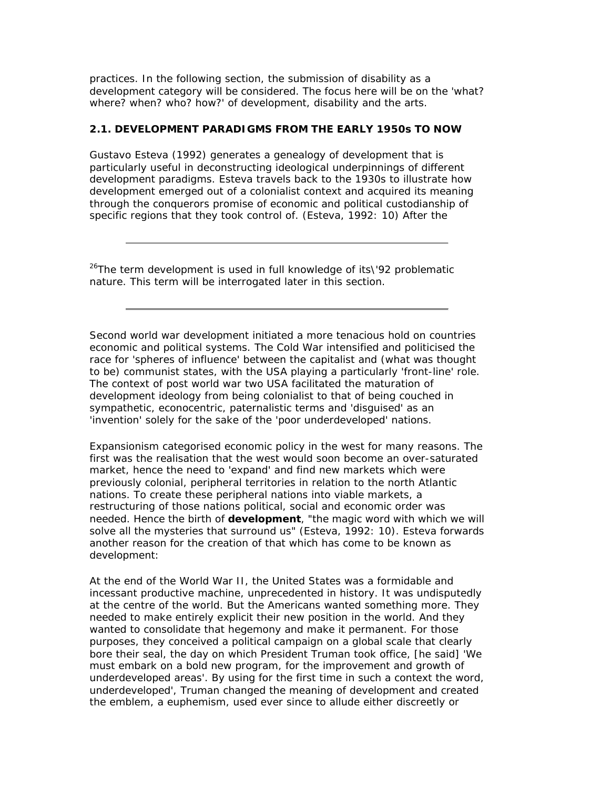practices. In the following section, the submission of disability as a development category will be considered. The focus here will be on the 'what? where? when? who? how?' of development, disability and the arts.

#### **2.1. DEVELOPMENT PARADIGMS FROM THE EARLY 1950s TO NOW**

Gustavo Esteva (1992) generates a genealogy of development that is particularly useful in deconstructing ideological underpinnings of different development paradigms. Esteva travels back to the 1930s to illustrate how development emerged out of a colonialist context and acquired its meaning through the conquerors promise of economic and political custodianship of specific regions that they took control of. (Esteva, 1992: 10) After the

*<sup>26</sup>The term development is used in full knowledge of its\'92 problematic nature. This term will be interrogated later in this section.*

Second world war development initiated a more tenacious hold on countries economic and political systems. The Cold War intensified and politicised the race for 'spheres of influence' between the capitalist and (what was thought to be) communist states, with the USA playing a particularly 'front-line' role. The context of post world war two USA facilitated the maturation of development ideology from being colonialist to that of being couched in sympathetic, econocentric, paternalistic terms and 'disguised' as an 'invention' solely for the sake of the '*poor* underdeveloped' nations.

Expansionism categorised economic policy in the west for many reasons. The first was the realisation that the west would soon become an over-saturated market, hence the need to 'expand' and find new markets which were previously colonial, peripheral territories in relation to the north Atlantic nations. To create these peripheral nations into viable markets, a restructuring of those nations political, social and economic order was needed. Hence the birth of **development**, "the magic word with which we will solve all the mysteries that surround us" (Esteva, 1992: 10). Esteva forwards another reason for the creation of that which has come to be known as development:

At the end of the World War II, the United States was a formidable and incessant productive machine, unprecedented in history. It was undisputedly at the centre of the world. But the Americans wanted something more. They needed to make entirely explicit their new position in the world. And they wanted to consolidate that hegemony and make it permanent. For those purposes, they conceived a political campaign on a global scale that clearly bore their seal, the day on which President Truman took office, [he said] 'We must embark on a bold new program, for the improvement and growth of underdeveloped areas'. By using for the first time in such a context the word, underdeveloped', Truman changed the meaning of development and created the emblem, a euphemism, used ever since to allude either discreetly or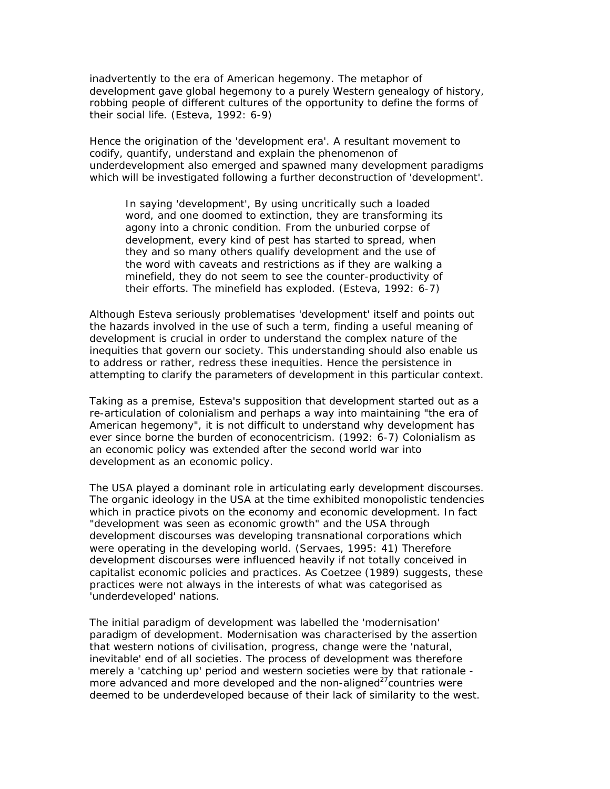inadvertently to the era of American hegemony. The metaphor of development gave global hegemony to a purely Western genealogy of history, robbing people of different cultures of the opportunity to define the forms of their social life. (Esteva, 1992: 6-9)

Hence the origination of the 'development era'. A resultant movement to codify, quantify, understand and explain the phenomenon of underdevelopment also emerged and spawned many development paradigms which will be investigated following a further deconstruction of 'development'.

In saying 'development', By using uncritically such a loaded word, and one doomed to extinction, they are transforming its agony into a chronic condition. From the unburied corpse of development, every kind of pest has started to spread, when they and so many others qualify development and the use of the word with caveats and restrictions as if they are walking a minefield, they do not seem to see the counter-productivity of their efforts. The minefield has exploded. (Esteva, 1992: 6-7)

Although Esteva seriously problematises 'development' itself and points out the hazards involved in the use of such a term, finding a useful meaning of development is crucial in order to understand the complex nature of the inequities that govern our society. This understanding should also enable us to address or rather, redress these inequities. Hence the persistence in attempting to clarify the parameters of development in this particular context.

Taking as a premise, Esteva's supposition that development started out as a re-articulation of colonialism and perhaps a way into maintaining "the era of American hegemony", it is not difficult to understand why development has ever since borne the burden of econocentricism. (1992: 6-7) Colonialism as an economic policy was extended after the second world war into development as an economic policy.

The USA played a dominant role in articulating early development discourses. The organic ideology in the USA at the time exhibited monopolistic tendencies which in practice pivots on the economy and economic development. In fact "development was seen as economic growth" and the USA through development discourses was developing transnational corporations which were operating in the developing world. (Servaes, 1995: 41) Therefore development discourses were influenced heavily if not totally conceived in capitalist economic policies and practices. As Coetzee (1989) suggests, these practices were not always in the interests of what was categorised as 'underdeveloped' nations.

The initial paradigm of development was labelled the 'modernisation' paradigm of development. Modernisation was characterised by the assertion that western notions of civilisation, progress, change were the 'natural, inevitable' end of all societies. The process of development was therefore merely a 'catching up' period and western societies were by that rationale more advanced and more developed and the non-aligned $27$ countries were deemed to be underdeveloped because of their lack of similarity to the west.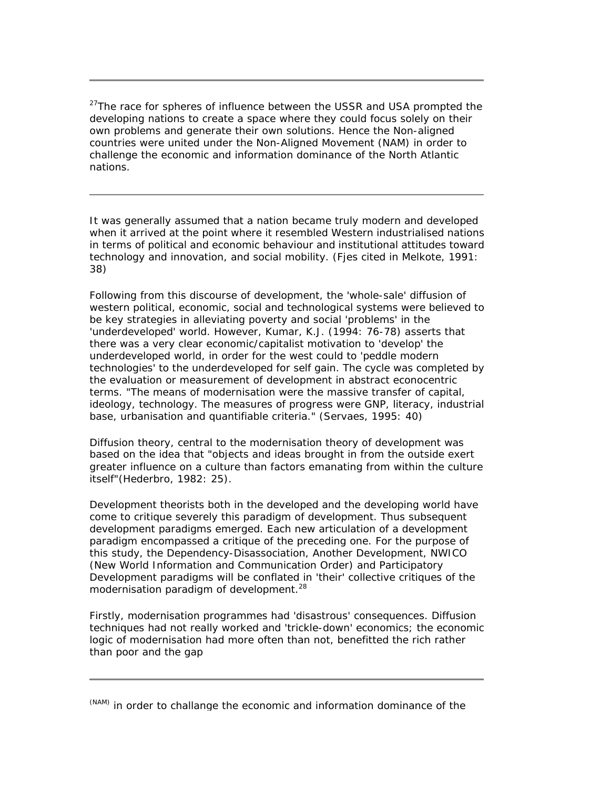*<sup>27</sup>The race for spheres of influence between the USSR and USA prompted the developing nations to create a space where they could focus solely on their own problems and generate their own solutions. Hence the Non-aligned countries were united under the Non-Aligned Movement (NAM) in order to challenge the economic and information dominance of the North Atlantic nations.*

It was generally assumed that a nation became truly modern and developed when it arrived at the point where it resembled Western industrialised nations in terms of political and economic behaviour and institutional attitudes toward technology and innovation, and social mobility. (Fjes cited in Melkote, 1991: 38)

Following from this discourse of development, the 'whole-sale' diffusion of western political, economic, social and technological systems were believed to be key strategies in alleviating poverty and social 'problems' in the 'underdeveloped' world. However, Kumar, K.J. (1994: 76-78) asserts that there was a very clear economic/capitalist motivation to 'develop' the underdeveloped world, in order for the west could to 'peddle modern technologies' to the underdeveloped for self gain. The cycle was completed by the evaluation or measurement of development in abstract econocentric terms. "The means of modernisation were the massive transfer of capital, ideology, technology. The measures of progress were GNP, literacy, industrial base, urbanisation and quantifiable criteria." (Servaes, 1995: 40)

Diffusion theory, central to the modernisation theory of development was based on the idea that "objects and ideas brought in from the outside exert greater influence on a culture than factors emanating from within the culture itself"(Hederbro, 1982: 25).

Development theorists both in the developed and the developing world have come to critique severely this paradigm of development. Thus subsequent development paradigms emerged. Each new articulation of a development paradigm encompassed a critique of the preceding one. For the purpose of this study, the Dependency-Disassociation, Another Development, NWICO (New World Information and Communication Order) and Participatory Development paradigms will be conflated in 'their' collective critiques of the modernisation paradigm of development.<sup>28</sup>

Firstly, modernisation programmes had 'disastrous' consequences. Diffusion techniques had not really worked and 'trickle-down' economics; the economic logic of modernisation had more often than not, benefitted the rich rather than poor and the gap

*<sup>(</sup>NAM) in order to challange the economic and information dominance of the*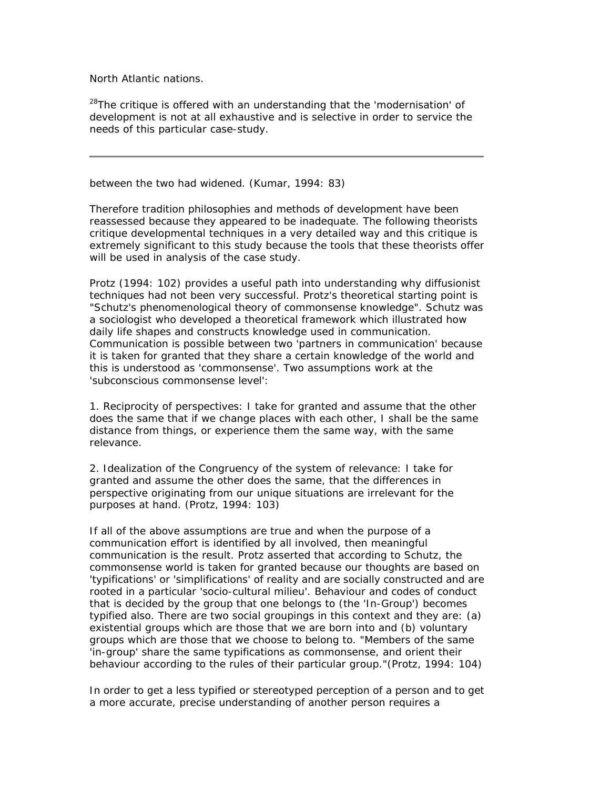*North Atlantic nations.*

*<sup>28</sup>The critique is offered with an understanding that the 'modernisation' of development is not at all exhaustive and is selective in order to service the needs of this particular case-study.*

between the two had widened. (Kumar, 1994: 83)

Therefore tradition philosophies and methods of development have been reassessed because they appeared to be inadequate. The following theorists critique developmental techniques in a very detailed way and this critique is extremely significant to this study because the tools that these theorists offer will be used in analysis of the case study.

Protz (1994: 102) provides a useful path into understanding why diffusionist techniques had not been very successful. Protz's theoretical starting point is "Schutz's phenomenological theory of commonsense knowledge". Schutz was a sociologist who developed a theoretical framework which illustrated how daily life shapes and constructs knowledge used in communication. Communication is possible between two 'partners in communication' because it is taken for granted that they share a certain knowledge of the world and this is understood as 'commonsense'. Two assumptions work at the 'subconscious commonsense level':

1. Reciprocity of perspectives: I take for granted and assume that the other does the same that if we change places with each other, I shall be the same distance from things, or experience them the same way, with the same relevance.

2. Idealization of the Congruency of the system of relevance: I take for granted and assume the other does the same, that the differences in perspective originating from our unique situations are irrelevant for the purposes at hand. (Protz, 1994: 103)

If all of the above assumptions are true and when the purpose of a communication effort is identified by all involved, then meaningful communication is the result. Protz asserted that according to Schutz, the commonsense world is taken for granted because our thoughts are based on 'typifications' or 'simplifications' of reality and are socially constructed and are rooted in a particular 'socio-cultural milieu'. Behaviour and codes of conduct that is decided by the group that one belongs to (the 'In-Group') becomes typified also. There are two social groupings in this context and they are: (a) existential groups which are those that we are born into and (b) voluntary groups which are those that we choose to belong to. "Members of the same 'in-group' share the same typifications as commonsense, and orient their behaviour according to the rules of their particular group."(Protz, 1994: 104)

In order to get a less typified or stereotyped perception of a person and to get a more accurate, precise understanding of another person requires a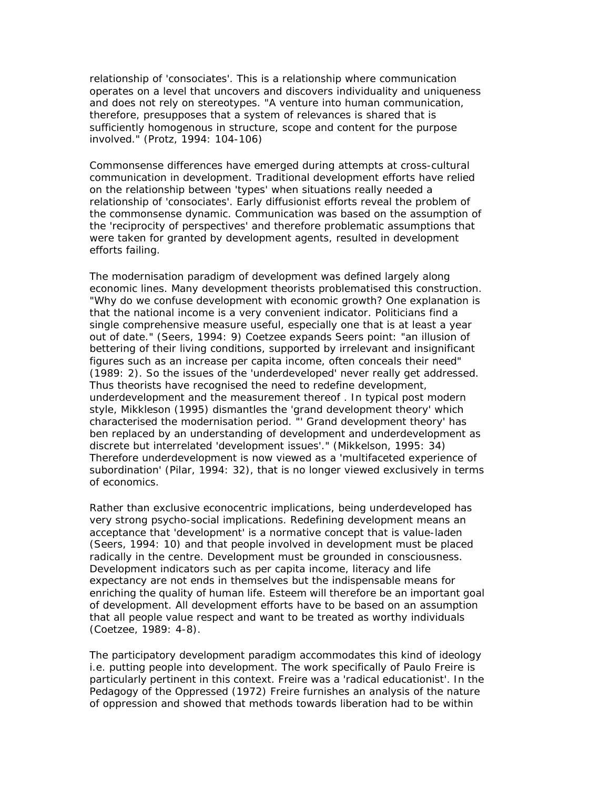relationship of 'consociates'. This is a relationship where communication operates on a level that uncovers and discovers individuality and uniqueness and does not rely on stereotypes. "A venture into human communication, therefore, presupposes that a system of relevances is shared that is sufficiently homogenous in structure, scope and content for the purpose involved." (Protz, 1994: 104-106)

Commonsense differences have emerged during attempts at cross-cultural communication in development. Traditional development efforts have relied on the relationship between 'types' when situations really needed a relationship of 'consociates'. Early diffusionist efforts reveal the problem of the commonsense dynamic. Communication was based on the assumption of the 'reciprocity of perspectives' and therefore problematic assumptions that were taken for granted by development agents, resulted in development efforts failing.

The modernisation paradigm of development was defined largely along economic lines. Many development theorists problematised this construction. "Why do we confuse development with economic growth? One explanation is that the national income is a very convenient indicator. Politicians find a single comprehensive measure useful, especially one that is at least a year out of date." (Seers, 1994: 9) Coetzee expands Seers point: "an illusion of bettering of their living conditions, supported by irrelevant and insignificant figures such as an increase per capita income, often conceals their need" (1989: 2). So the issues of the 'underdeveloped' never really get addressed. Thus theorists have recognised the need to redefine development, underdevelopment and the measurement thereof . In typical post modern style, Mikkleson (1995) dismantles the 'grand development theory' which characterised the modernisation period. "' Grand development theory' has ben replaced by an understanding of development and underdevelopment as discrete but interrelated 'development issues'." (Mikkelson, 1995: 34) Therefore underdevelopment is now viewed as a 'multifaceted experience of subordination' (Pilar, 1994: 32), that is no longer viewed exclusively in terms of economics.

Rather than exclusive econocentric implications, being underdeveloped has very strong psycho-social implications. Redefining development means an acceptance that 'development' is a normative concept that is value-laden (Seers, 1994: 10) and that people involved in development must be placed radically in the centre. Development must be grounded in consciousness. Development indicators such as per capita income, literacy and life expectancy are not ends in themselves but the indispensable means for enriching the quality of human life. Esteem will therefore be an important goal of development. All development efforts have to be based on an assumption that all people value respect and want to be treated as worthy individuals (Coetzee, 1989: 4-8).

The participatory development paradigm accommodates this kind of ideology i.e. putting people into development. The work specifically of Paulo Freire is particularly pertinent in this context. Freire was a 'radical educationist'. In the *Pedagogy of the Oppressed* (1972) Freire furnishes an analysis of the nature of oppression and showed that methods towards liberation had to be within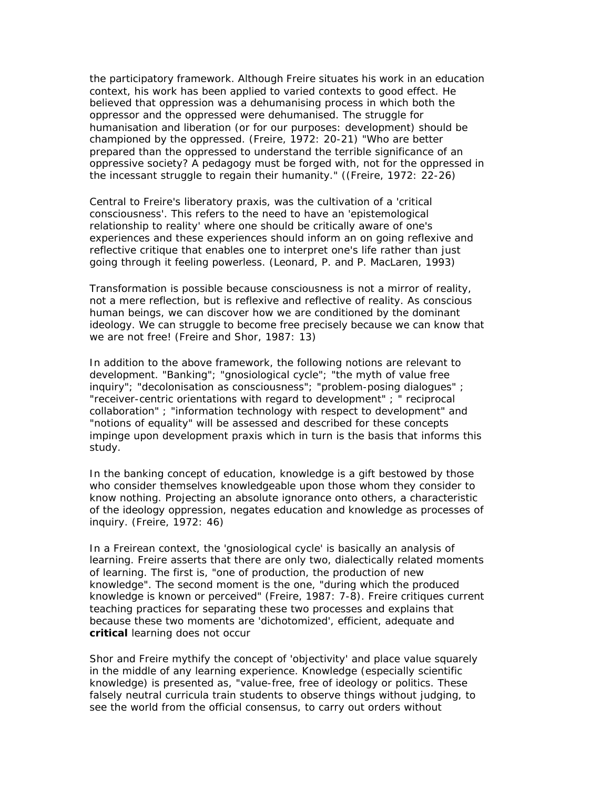the participatory framework. Although Freire situates his work in an education context, his work has been applied to varied contexts to good effect. He believed that oppression was a dehumanising process in which both the oppressor and the oppressed were dehumanised. The struggle for humanisation and liberation (or for our purposes: development) should be championed by the oppressed. (Freire, 1972: 20-21) "Who are better prepared than the oppressed to understand the terrible significance of an oppressive society? A pedagogy must be forged with, not for the oppressed in the incessant struggle to regain their humanity." ((Freire, 1972: 22-26)

Central to Freire's liberatory praxis, was the cultivation of a 'critical consciousness'. This refers to the need to have an 'epistemological relationship to reality' where one should be critically aware of one's experiences and these experiences should inform an on going reflexive and reflective critique that enables one to interpret one's life rather than just going through it feeling powerless. (Leonard, P. and P. MacLaren, 1993)

Transformation is possible because consciousness is not a mirror of reality, not a mere reflection, but is reflexive and reflective of reality. As conscious human beings, we can discover how we are conditioned by the dominant ideology. We can struggle to become free precisely because we can know that we are not free! (Freire and Shor, 1987: 13)

In addition to the above framework, the following notions are relevant to development. "Banking"; "gnosiological cycle"; "the myth of value free inquiry"; "decolonisation as consciousness"; "problem-posing dialogues" ; "receiver-centric orientations with regard to development" ; " reciprocal collaboration" ; "information technology with respect to development" and "notions of equality" will be assessed and described for these concepts impinge upon development praxis which in turn is the basis that informs this study.

In the banking concept of education, knowledge is a gift bestowed by those who consider themselves knowledgeable upon those whom they consider to know nothing. Projecting an absolute ignorance onto others, a characteristic of the ideology oppression, negates education and knowledge as processes of inquiry. (Freire, 1972: 46)

In a Freirean context, the 'gnosiological cycle' is basically an analysis of learning. Freire asserts that there are only two, dialectically related moments of learning. The first is, "one of production, the production of new knowledge". The second moment is the one, "during which the produced knowledge is known or perceived" (Freire, 1987: 7-8). Freire critiques current teaching practices for separating these two processes and explains that because these two moments are 'dichotomized', efficient, adequate and **critical** learning does not occur

Shor and Freire mythify the concept of 'objectivity' and place value squarely in the middle of any learning experience. Knowledge (especially scientific knowledge) is presented as, "value-free, free of ideology or politics. These falsely neutral curricula train students to observe things without judging, to see the world from the official consensus, to carry out orders without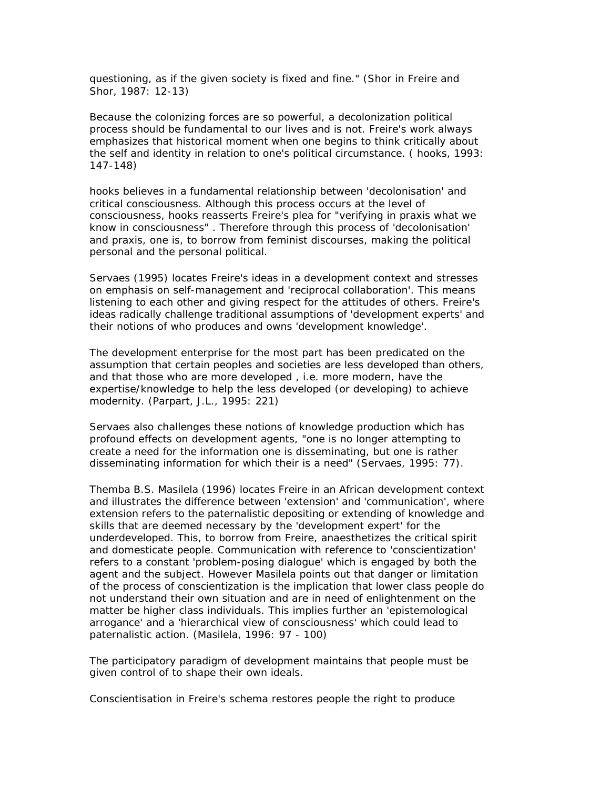questioning, as if the given society is fixed and fine." (Shor in Freire and Shor, 1987: 12-13)

Because the colonizing forces are so powerful, a decolonization political process should be fundamental to our lives and is not. Freire's work always emphasizes that historical moment when one begins to think critically about the self and identity in relation to one's political circumstance. ( hooks, 1993: 147-148)

hooks believes in a fundamental relationship between 'decolonisation' and critical consciousness. Although this process occurs at the level of consciousness, hooks reasserts Freire's plea for "verifying in praxis what we know in consciousness" . Therefore through this process of 'decolonisation' and praxis, one is, to borrow from feminist discourses, making the political personal and the personal political.

Servaes (1995) locates Freire's ideas in a development context and stresses on emphasis on self-management and 'reciprocal collaboration'. This means listening to each other and giving respect for the attitudes of others. Freire's ideas radically challenge traditional assumptions of 'development experts' and their notions of who produces and owns 'development knowledge'.

The development enterprise for the most part has been predicated on the assumption that certain peoples and societies are less developed than others, and that those who are more developed , i.e. more modern, have the expertise/knowledge to help the less developed (or developing) to achieve modernity. (Parpart, J.L., 1995: 221)

Servaes also challenges these notions of knowledge production which has profound effects on development agents, "one is no longer attempting to create a need for the information one is disseminating, but one is rather disseminating information for which their is a need" (Servaes, 1995: 77).

Themba B.S. Masilela (1996) locates Freire in an African development context and illustrates the difference between 'extension' and 'communication', where extension refers to the paternalistic depositing or extending of knowledge and skills that are deemed necessary by the 'development expert' for the underdeveloped. This, to borrow from Freire, anaesthetizes the critical spirit and domesticate people. Communication with reference to 'conscientization' refers to a constant 'problem-posing dialogue' which is engaged by both the agent and the subject. However Masilela points out that danger or limitation of the process of conscientization is the implication that lower class people do not understand their own situation and are in need of enlightenment on the matter be higher class individuals. This implies further an 'epistemological arrogance' and a 'hierarchical view of consciousness' which could lead to paternalistic action. (Masilela, 1996: 97 - 100)

The participatory paradigm of development maintains that people must be given control of to shape their own ideals.

Conscientisation in Freire's schema restores people the right to produce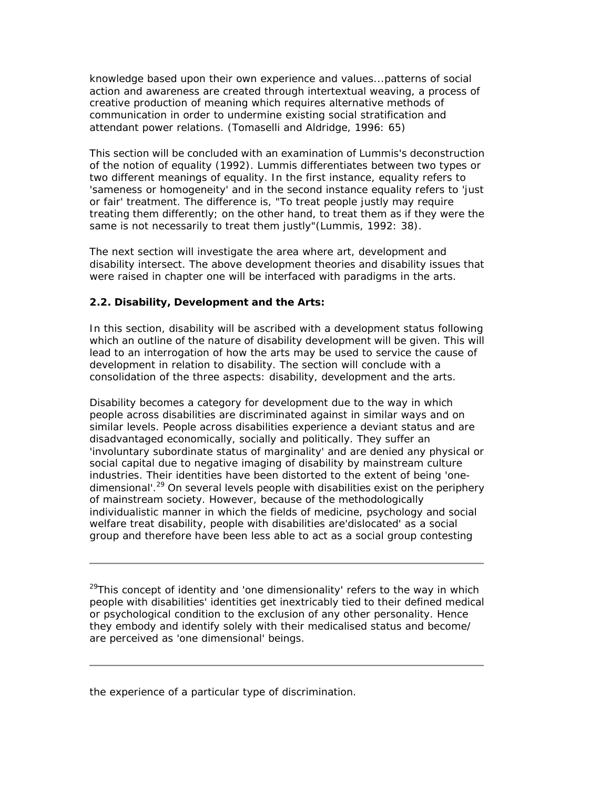knowledge based upon their own experience and values...patterns of social action and awareness are created through intertextual weaving, a process of creative production of meaning which requires alternative methods of communication in order to undermine existing social stratification and attendant power relations. (Tomaselli and Aldridge, 1996: 65)

This section will be concluded with an examination of Lummis's deconstruction of the notion of equality (1992). Lummis differentiates between two types or two different meanings of equality. In the first instance, equality refers to 'sameness or homogeneity' and in the second instance equality refers to 'just or fair' treatment. The difference is, "To treat people justly may require treating them differently; on the other hand, to treat them as if they were the same is not necessarily to treat them justly"(Lummis, 1992: 38).

The next section will investigate the area where art, development and disability intersect. The above development theories and disability issues that were raised in chapter one will be interfaced with paradigms in the arts.

### **2.2. Disability, Development and the Arts:**

In this section, disability will be ascribed with a development status following which an outline of the nature of disability development will be given. This will lead to an interrogation of how the arts may be used to service the cause of development in relation to disability. The section will conclude with a consolidation of the three aspects: disability, development and the arts.

Disability becomes a category for development due to the way in which people across disabilities are discriminated against in similar ways and on similar levels. People across disabilities experience a deviant status and are disadvantaged economically, socially and politically. They suffer an 'involuntary subordinate status of marginality' and are denied any physical or social capital due to negative imaging of disability by mainstream culture industries. Their identities have been distorted to the extent of being 'onedimensional'.<sup>29</sup> On several levels people with disabilities exist on the periphery of mainstream society. However, because of the methodologically individualistic manner in which the fields of medicine, psychology and social welfare treat disability, people with disabilities are'dislocated' as a social group and therefore have been less able to act as a social group contesting

*<sup>29</sup>This concept of identity and 'one dimensionality' refers to the way in which people with disabilities' identities get inextricably tied to their defined medical or psychological condition to the exclusion of any other personality. Hence they embody and identify solely with their medicalised status and become/ are perceived as 'one dimensional' beings.*

the experience of a particular type of discrimination.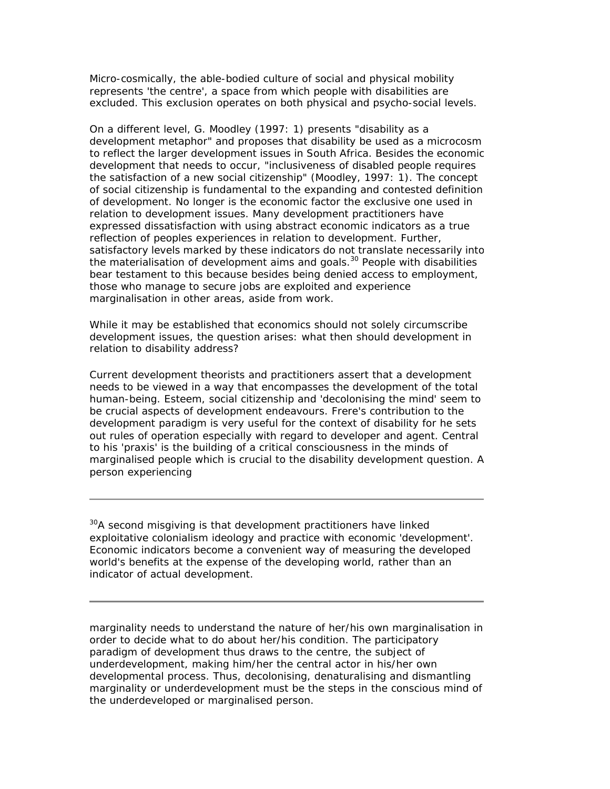Micro-cosmically, the able-bodied culture of social and physical mobility represents 'the centre', a space from which people with disabilities are excluded. This exclusion operates on both physical and psycho-social levels.

On a different level, G. Moodley (1997: 1) presents "disability as a development metaphor" and proposes that disability be used as a microcosm to reflect the larger development issues in South Africa. Besides the economic development that needs to occur, "inclusiveness of disabled people requires the satisfaction of a new social citizenship" (Moodley, 1997: 1). The concept of social citizenship is fundamental to the expanding and contested definition of development. No longer is the economic factor the exclusive one used in relation to development issues. Many development practitioners have expressed dissatisfaction with using abstract economic indicators as a true reflection of peoples experiences in relation to development. Further, satisfactory levels marked by these indicators do not translate necessarily into the materialisation of development aims and goals.<sup>30</sup> People with disabilities bear testament to this because besides being denied access to employment, those who manage to secure jobs are exploited and experience marginalisation in other areas, aside from work.

While it may be established that economics should not solely circumscribe development issues, the question arises: what then should development in relation to disability address?

Current development theorists and practitioners assert that a development needs to be viewed in a way that encompasses the development of the total human-being. Esteem, social citizenship and 'decolonising the mind' seem to be crucial aspects of development endeavours. Frere's contribution to the development paradigm is very useful for the context of disability for he sets out rules of operation especially with regard to developer and agent. Central to his 'praxis' is the building of a critical consciousness in the minds of marginalised people which is crucial to the disability development question. A person experiencing

*<sup>30</sup>A second misgiving is that development practitioners have linked exploitative colonialism ideology and practice with economic 'development'. Economic indicators become a convenient way of measuring the developed world's benefits at the expense of the developing world, rather than an indicator of actual development.*

marginality needs to understand the nature of her/his own marginalisation in order to decide what to do about her/his condition. The participatory paradigm of development thus draws to the centre, the subject of underdevelopment, making him/her the central actor in his/her own developmental process. Thus, decolonising, denaturalising and dismantling marginality or underdevelopment must be the steps in the conscious mind of the underdeveloped or marginalised person.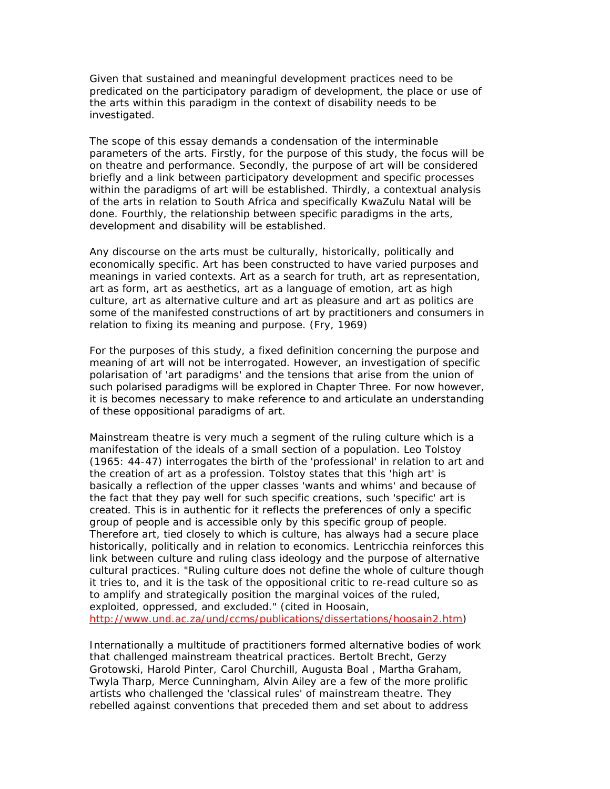Given that sustained and meaningful development practices need to be predicated on the participatory paradigm of development, the place or use of the arts within this paradigm in the context of disability needs to be investigated.

The scope of this essay demands a condensation of the interminable parameters of the arts. Firstly, for the purpose of this study, the focus will be on theatre and performance. Secondly, the purpose of art will be considered briefly and a link between participatory development and specific processes within the paradigms of art will be established. Thirdly, a contextual analysis of the arts in relation to South Africa and specifically KwaZulu Natal will be done. Fourthly, the relationship between specific paradigms in the arts, development and disability will be established.

Any discourse on the arts must be culturally, historically, politically and economically specific. Art has been constructed to have varied purposes and meanings in varied contexts. Art as a search for truth, art as representation, art as form, art as aesthetics, art as a language of emotion, art as high culture, art as alternative culture and art as pleasure and art as politics are some of the manifested constructions of art by practitioners and consumers in relation to fixing its meaning and purpose. (Fry, 1969)

For the purposes of this study, a fixed definition concerning the purpose and meaning of art will not be interrogated. However, an investigation of specific polarisation of 'art paradigms' and the tensions that arise from the union of such polarised paradigms will be explored in Chapter Three. For now however, it is becomes necessary to make reference to and articulate an understanding of these oppositional paradigms of art.

Mainstream theatre is very much a segment of the ruling culture which is a manifestation of the ideals of a small section of a population. Leo Tolstoy (1965: 44-47) interrogates the birth of the 'professional' in relation to art and the creation of art as a profession. Tolstoy states that this 'high art' is basically a reflection of the upper classes 'wants and whims' and because of the fact that they pay well for such specific creations, such 'specific' art is created. This is in authentic for it reflects the preferences of only a specific group of people and is accessible only by this specific group of people. Therefore art, tied closely to which is culture, has always had a secure place historically, politically and in relation to economics. Lentricchia reinforces this link between culture and ruling class ideology and the purpose of alternative cultural practices. "Ruling culture does not define the whole of culture though it tries to, and it is the task of the oppositional critic to re-read culture so as to amplify and strategically position the marginal voices of the ruled, exploited, oppressed, and excluded." (cited in Hoosain, http://www.und.ac.za/und/ccms/publications/dissertations/hoosain2.htm)

Internationally a multitude of practitioners formed alternative bodies of work that challenged mainstream theatrical practices. Bertolt Brecht, Gerzy Grotowski, Harold Pinter, Carol Churchill, Augusta Boal , Martha Graham, Twyla Tharp, Merce Cunningham, Alvin Ailey are a few of the more prolific artists who challenged the 'classical rules' of mainstream theatre. They rebelled against conventions that preceded them and set about to address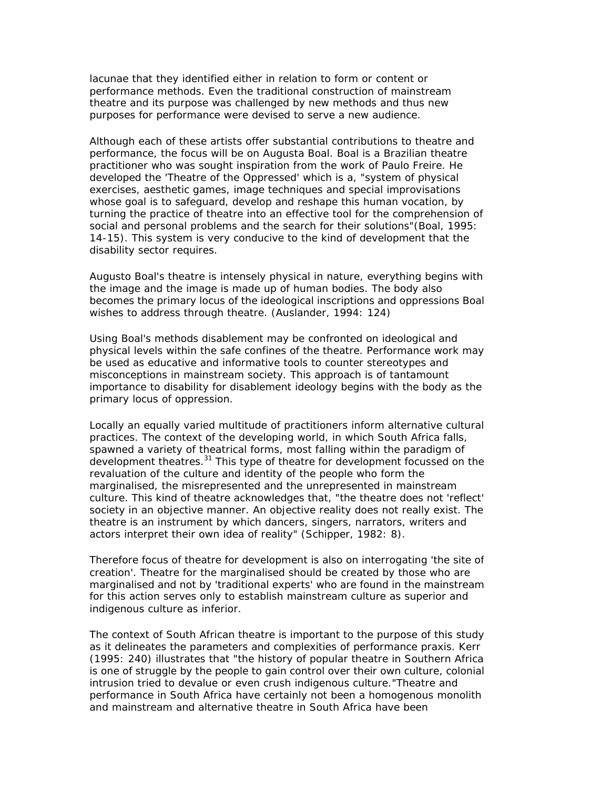lacunae that they identified either in relation to form or content or performance methods. Even the traditional construction of mainstream theatre and its purpose was challenged by new methods and thus new purposes for performance were devised to serve a new audience.

Although each of these artists offer substantial contributions to theatre and performance, the focus will be on Augusta Boal. Boal is a Brazilian theatre practitioner who was sought inspiration from the work of Paulo Freire. He developed the 'Theatre of the Oppressed' which is a, "system of physical exercises, aesthetic games, image techniques and special improvisations whose goal is to safeguard, develop and reshape this human vocation, by turning the practice of theatre into an effective tool for the comprehension of social and personal problems and the search for their solutions"(Boal, 1995: 14-15). This system is very conducive to the kind of development that the disability sector requires.

Augusto Boal's theatre is intensely physical in nature, everything begins with the image and the image is made up of human bodies. The body also becomes the primary locus of the ideological inscriptions and oppressions Boal wishes to address through theatre. (Auslander, 1994: 124)

Using Boal's methods disablement may be confronted on ideological and physical levels within the safe confines of the theatre. Performance work may be used as educative and informative tools to counter stereotypes and misconceptions in mainstream society. This approach is of tantamount importance to disability for disablement ideology begins with the body as the primary locus of oppression.

Locally an equally varied multitude of practitioners inform alternative cultural practices. The context of the developing world, in which South Africa falls, spawned a variety of theatrical forms, most falling within the paradigm of development theatres.<sup>31</sup> This type of theatre for development focussed on the revaluation of the culture and identity of the people who form the marginalised, the misrepresented and the unrepresented in mainstream culture. This kind of theatre acknowledges that, "the theatre does not 'reflect' society in an objective manner. An objective reality does not really exist. The theatre is an instrument by which dancers, singers, narrators, writers and actors interpret their own idea of reality" (Schipper, 1982: 8).

Therefore focus of theatre for development is also on interrogating 'the site of creation'. Theatre for the marginalised should be created by those who are marginalised and not by 'traditional experts' who are found in the mainstream for this action serves only to establish mainstream culture as superior and indigenous culture as inferior.

The context of South African theatre is important to the purpose of this study as it delineates the parameters and complexities of performance praxis. Kerr (1995: 240) illustrates that "the history of popular theatre in Southern Africa is one of struggle by the people to gain control over their own culture, colonial intrusion tried to devalue or even crush indigenous culture."Theatre and performance in South Africa have certainly not been a homogenous monolith and mainstream and alternative theatre in South Africa have been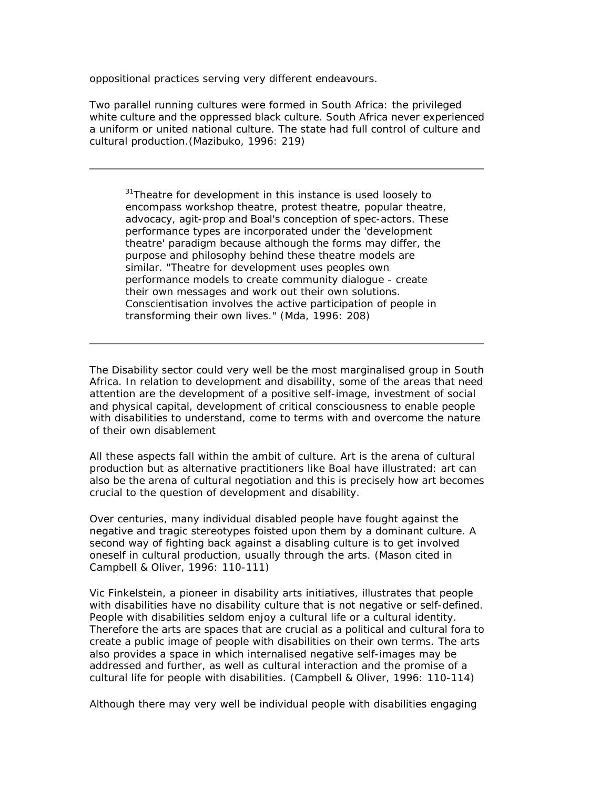oppositional practices serving very different endeavours.

Two parallel running cultures were formed in South Africa: the privileged white culture and the oppressed black culture. South Africa never experienced a uniform or united national culture. The state had full control of culture and cultural production.(Mazibuko, 1996: 219)

*<sup>31</sup>Theatre for development in this instance is used loosely to encompass workshop theatre, protest theatre, popular theatre, advocacy, agit-prop and Boal's conception of spec-actors. These performance types are incorporated under the 'development theatre' paradigm because although the forms may differ, the purpose and philosophy behind these theatre models are similar. "Theatre for development uses peoples own performance models to create community dialogue - create their own messages and work out their own solutions. Conscientisation involves the active participation of people in transforming their own lives." (Mda, 1996: 208)*

The Disability sector could very well be the most marginalised group in South Africa. In relation to development and disability, some of the areas that need attention are the development of a positive self-image, investment of social and physical capital, development of critical consciousness to enable people with disabilities to understand, come to terms with and overcome the nature of their own disablement

All these aspects fall within the ambit of culture. Art is the arena of cultural production but as alternative practitioners like Boal have illustrated: art can also be the arena of cultural negotiation and this is precisely how art becomes crucial to the question of development and disability.

Over centuries, many individual disabled people have fought against the negative and tragic stereotypes foisted upon them by a dominant culture. A second way of fighting back against a disabling culture is to get involved oneself in cultural production, usually through the arts. (Mason cited in Campbell & Oliver, 1996: 110-111)

Vic Finkelstein, a pioneer in disability arts initiatives, illustrates that people with disabilities have no disability culture that is not negative or self-defined. People with disabilities seldom enjoy a cultural life or a cultural identity. Therefore the arts are spaces that are crucial as a political and cultural fora to create a public image of people with disabilities on their own terms. The arts also provides a space in which internalised negative self-images may be addressed and further, as well as cultural interaction and the promise of a cultural life for people with disabilities. (Campbell & Oliver, 1996: 110-114)

Although there may very well be individual people with disabilities engaging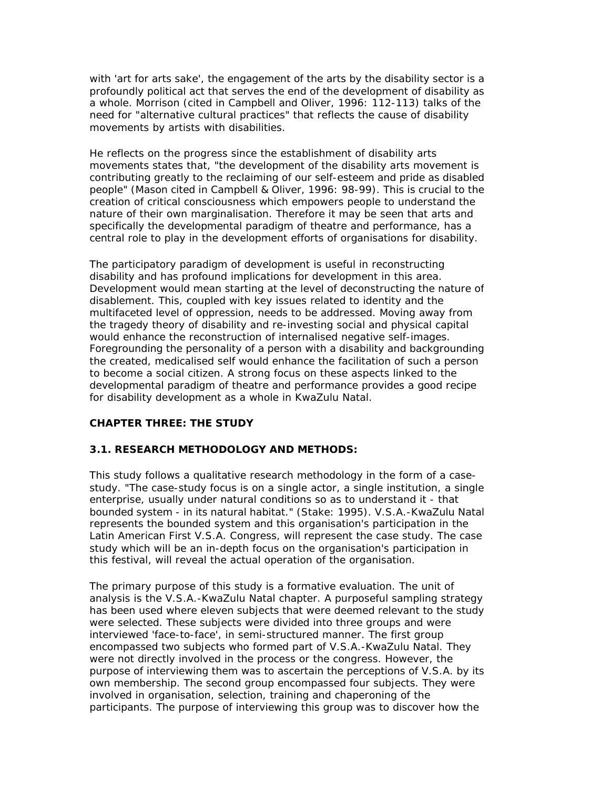with 'art for arts sake', the engagement of the arts by the disability sector is a profoundly political act that serves the end of the development of disability as a whole. Morrison (cited in Campbell and Oliver, 1996: 112-113) talks of the need for "alternative cultural practices" that reflects the cause of disability movements by artists with disabilities.

He reflects on the progress since the establishment of disability arts movements states that, "the development of the disability arts movement is contributing greatly to the reclaiming of our self-esteem and pride as disabled people" (Mason cited in Campbell & Oliver, 1996: 98-99). This is crucial to the creation of critical consciousness which empowers people to understand the nature of their own marginalisation. Therefore it may be seen that arts and specifically the developmental paradigm of theatre and performance, has a central role to play in the development efforts of organisations for disability.

The participatory paradigm of development is useful in reconstructing disability and has profound implications for development in this area. Development would mean starting at the level of deconstructing the nature of disablement. This, coupled with key issues related to identity and the multifaceted level of oppression, needs to be addressed. Moving away from the tragedy theory of disability and re-investing social and physical capital would enhance the reconstruction of internalised negative self-images. Foregrounding the personality of a person with a disability and backgrounding the created, medicalised self would enhance the facilitation of such a person to become a social citizen. A strong focus on these aspects linked to the developmental paradigm of theatre and performance provides a good recipe for disability development as a whole in KwaZulu Natal.

# **CHAPTER THREE: THE STUDY**

### **3.1. RESEARCH METHODOLOGY AND METHODS:**

This study follows a qualitative research methodology in the form of a casestudy. "The case-study focus is on a single actor, a single institution, a single enterprise, usually under natural conditions so as to understand it - that bounded system - in its natural habitat." (Stake: 1995). V.S.A.-KwaZulu Natal represents the bounded system and this organisation's participation in the Latin American First V.S.A. Congress, will represent the case study. The case study which will be an in-depth focus on the organisation's participation in this festival, will reveal the actual operation of the organisation.

The primary purpose of this study is a formative evaluation. The unit of analysis is the V.S.A.-KwaZulu Natal chapter. A purposeful sampling strategy has been used where eleven subjects that were deemed relevant to the study were selected. These subjects were divided into three groups and were interviewed 'face-to-face', in semi-structured manner. The first group encompassed two subjects who formed part of V.S.A.-KwaZulu Natal. They were not directly involved in the process or the congress. However, the purpose of interviewing them was to ascertain the perceptions of V.S.A. by its own membership. The second group encompassed four subjects. They were involved in organisation, selection, training and chaperoning of the participants. The purpose of interviewing this group was to discover how the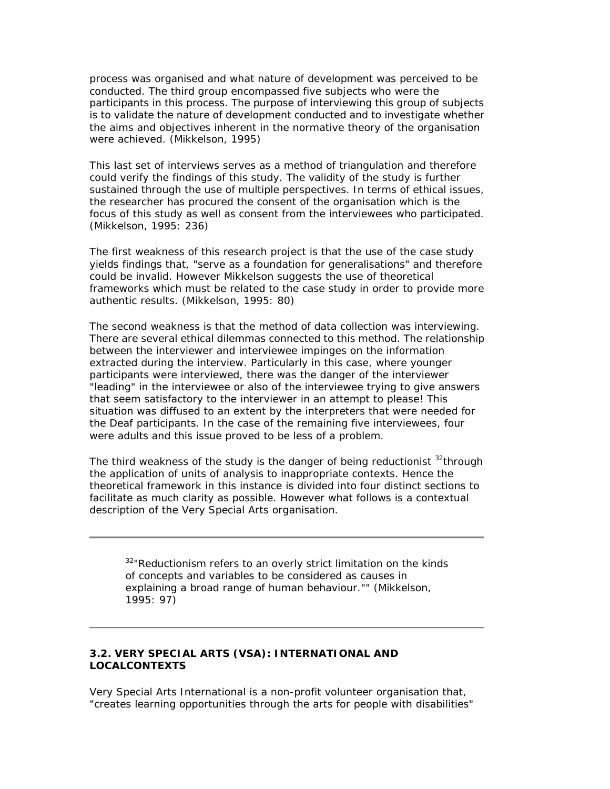process was organised and what nature of development was perceived to be conducted. The third group encompassed five subjects who were the participants in this process. The purpose of interviewing this group of subjects is to validate the nature of development conducted and to investigate whether the aims and objectives inherent in the normative theory of the organisation were achieved. (Mikkelson, 1995)

This last set of interviews serves as a method of triangulation and therefore could verify the findings of this study. The validity of the study is further sustained through the use of multiple perspectives. In terms of ethical issues, the researcher has procured the consent of the organisation which is the focus of this study as well as consent from the interviewees who participated. (Mikkelson, 1995: 236)

The first weakness of this research project is that the use of the case study yields findings that, "serve as a foundation for generalisations" and therefore could be invalid. However Mikkelson suggests the use of theoretical frameworks which must be related to the case study in order to provide more authentic results. (Mikkelson, 1995: 80)

The second weakness is that the method of data collection was interviewing. There are several ethical dilemmas connected to this method. The relationship between the interviewer and interviewee impinges on the information extracted during the interview. Particularly in this case, where younger participants were interviewed, there was the danger of the interviewer "leading" in the interviewee or also of the interviewee trying to give answers that seem satisfactory to the interviewer in an attempt to please! This situation was diffused to an extent by the interpreters that were needed for the Deaf participants. In the case of the remaining five interviewees, four were adults and this issue proved to be less of a problem.

The third weakness of the study is the danger of being reductionist  $32$ through the application of units of analysis to inappropriate contexts. Hence the theoretical framework in this instance is divided into four distinct sections to facilitate as much clarity as possible. However what follows is a contextual description of the Very Special Arts organisation.

*<sup>32</sup>"Reductionism refers to an overly strict limitation on the kinds of concepts and variables to be considered as causes in explaining a broad range of human behaviour."" (Mikkelson, 1995: 97)*

### **3.2. VERY SPECIAL ARTS (VSA): INTERNATIONAL AND LOCALCONTEXTS**

Very Special Arts International is a non-profit volunteer organisation that, "creates learning opportunities through the arts for people with disabilities"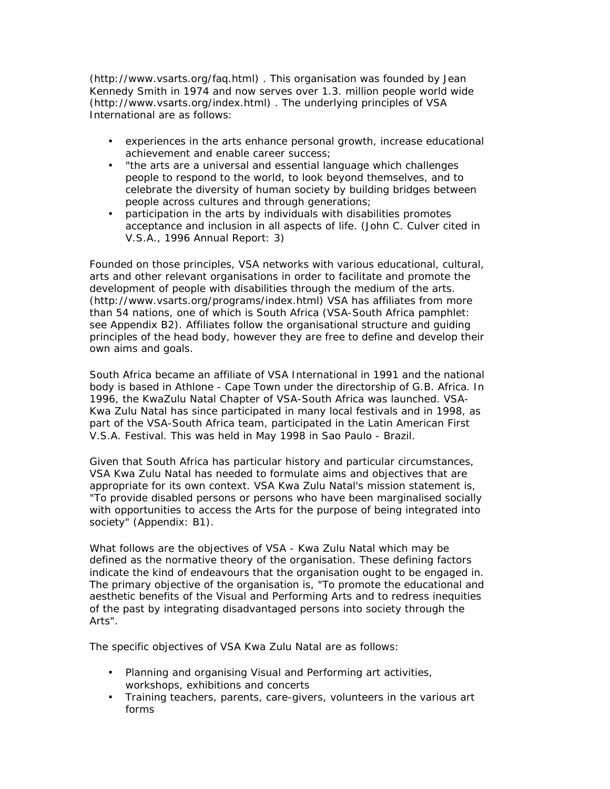(http://www.vsarts.org/faq.html) . This organisation was founded by Jean Kennedy Smith in 1974 and now serves over 1.3. million people world wide (http://www.vsarts.org/index.html) . The underlying principles of VSA International are as follows:

- experiences in the arts enhance personal growth, increase educational achievement and enable career success;
- "the arts are a universal and essential language which challenges people to respond to the world, to look beyond themselves, and to celebrate the diversity of human society by building bridges between people across cultures and through generations;
- participation in the arts by individuals with disabilities promotes acceptance and inclusion in all aspects of life. (John C. Culver cited in V.S.A., 1996 Annual Report: 3)

Founded on those principles, VSA networks with various educational, cultural, arts and other relevant organisations in order to facilitate and promote the development of people with disabilities through the medium of the arts. (http://www.vsarts.org/programs/index.html) VSA has affiliates from more than 54 nations, one of which is South Africa (VSA-South Africa pamphlet: see Appendix B2). Affiliates follow the organisational structure and guiding principles of the head body, however they are free to define and develop their own aims and goals.

South Africa became an affiliate of VSA International in 1991 and the national body is based in Athlone - Cape Town under the directorship of G.B. Africa. In 1996, the KwaZulu Natal Chapter of VSA-South Africa was launched. VSA-Kwa Zulu Natal has since participated in many local festivals and in 1998, as part of the VSA-South Africa team, participated in the Latin American First V.S.A. Festival. This was held in May 1998 in Sao Paulo - Brazil.

Given that South Africa has particular history and particular circumstances, VSA Kwa Zulu Natal has needed to formulate aims and objectives that are appropriate for its own context. VSA Kwa Zulu Natal's mission statement is, "To provide disabled persons or persons who have been marginalised socially with opportunities to access the Arts for the purpose of being integrated into society" (Appendix: B1).

What follows are the objectives of VSA - Kwa Zulu Natal which may be defined as the normative theory of the organisation. These defining factors indicate the kind of endeavours that the organisation ought to be engaged in. The primary objective of the organisation is, "To promote the educational and aesthetic benefits of the Visual and Performing Arts and to redress inequities of the past by integrating disadvantaged persons into society through the Arts".

The specific objectives of VSA Kwa Zulu Natal are as follows:

- Planning and organising Visual and Performing art activities, workshops, exhibitions and concerts
- Training teachers, parents, care-givers, volunteers in the various art forms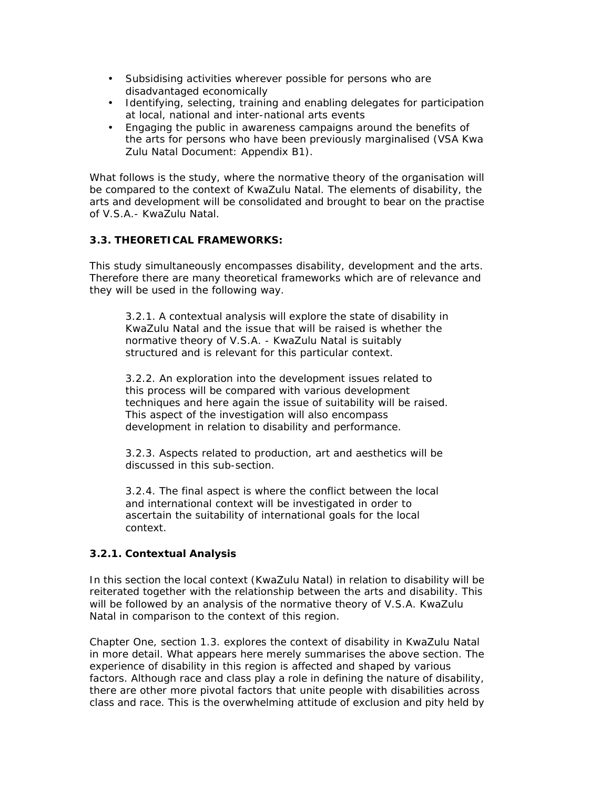- Subsidising activities wherever possible for persons who are disadvantaged economically
- Identifying, selecting, training and enabling delegates for participation at local, national and inter-national arts events
- Engaging the public in awareness campaigns around the benefits of the arts for persons who have been previously marginalised (VSA Kwa Zulu Natal Document: Appendix B1).

What follows is the study, where the normative theory of the organisation will be compared to the context of KwaZulu Natal. The elements of disability, the arts and development will be consolidated and brought to bear on the practise of V.S.A.- KwaZulu Natal.

# **3.3. THEORETICAL FRAMEWORKS:**

This study simultaneously encompasses disability, development and the arts. Therefore there are many theoretical frameworks which are of relevance and they will be used in the following way.

3.2.1. A contextual analysis will explore the state of disability in KwaZulu Natal and the issue that will be raised is whether the normative theory of V.S.A. - KwaZulu Natal is suitably structured and is relevant for this particular context.

3.2.2. An exploration into the development issues related to this process will be compared with various development techniques and here again the issue of suitability will be raised. This aspect of the investigation will also encompass development in relation to disability and performance.

3.2.3. Aspects related to production, art and aesthetics will be discussed in this sub-section.

3.2.4. The final aspect is where the conflict between the local and international context will be investigated in order to ascertain the suitability of international goals for the local context.

# **3.2.1. Contextual Analysis**

In this section the local context (KwaZulu Natal) in relation to disability will be reiterated together with the relationship between the arts and disability. This will be followed by an analysis of the normative theory of V.S.A. KwaZulu Natal in comparison to the context of this region.

Chapter One, section 1.3. explores the context of disability in KwaZulu Natal in more detail. What appears here merely summarises the above section. The experience of disability in this region is affected and shaped by various factors. Although race and class play a role in defining the nature of disability, there are other more pivotal factors that unite people with disabilities across class and race. This is the overwhelming attitude of exclusion and pity held by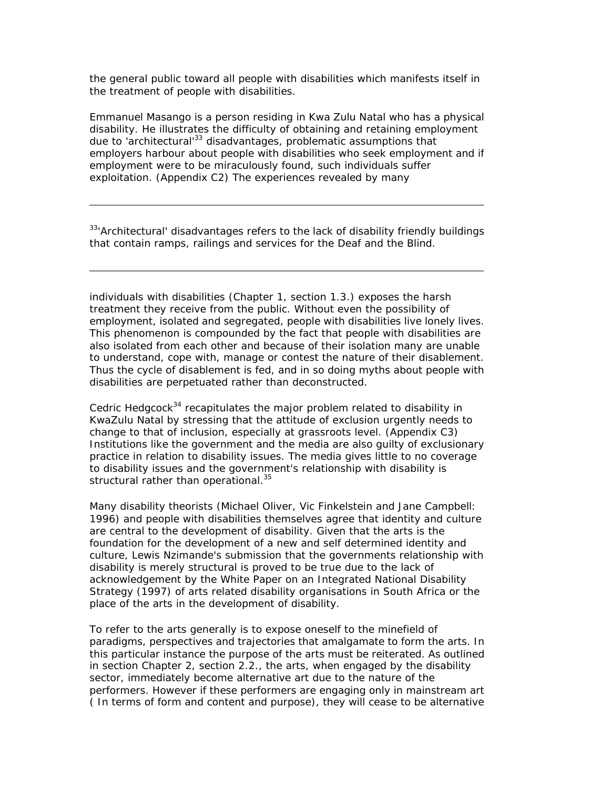the general public toward all people with disabilities which manifests itself in the treatment of people with disabilities.

Emmanuel Masango is a person residing in Kwa Zulu Natal who has a physical disability. He illustrates the difficulty of obtaining and retaining employment due to 'architectural'<sup>33</sup> disadvantages, problematic assumptions that employers harbour about people with disabilities who seek employment and if employment were to be miraculously found, such individuals suffer exploitation. (Appendix C2) The experiences revealed by many

*<sup>33</sup>'Architectural' disadvantages refers to the lack of disability friendly buildings that contain ramps, railings and services for the Deaf and the Blind.*

individuals with disabilities (Chapter 1, section 1.3.) exposes the harsh treatment they receive from the public. Without even the possibility of employment, isolated and segregated, people with disabilities live lonely lives. This phenomenon is compounded by the fact that people with disabilities are also isolated from each other and because of their isolation many are unable to understand, cope with, manage or contest the nature of their disablement. Thus the cycle of disablement is fed, and in so doing myths about people with disabilities are perpetuated rather than deconstructed.

Cedric Hedgcock<sup>34</sup> recapitulates the major problem related to disability in KwaZulu Natal by stressing that the attitude of exclusion urgently needs to change to that of inclusion, especially at grassroots level. (Appendix C3) Institutions like the government and the media are also guilty of exclusionary practice in relation to disability issues. The media gives little to no coverage to disability issues and the government's relationship with disability is structural rather than operational.<sup>35</sup>

Many disability theorists (Michael Oliver, Vic Finkelstein and Jane Campbell: 1996) and people with disabilities themselves agree that identity and culture are central to the development of disability. Given that the arts is the foundation for the development of a new and self determined identity and culture, Lewis Nzimande's submission that the governments relationship with disability is merely structural is proved to be true due to the lack of acknowledgement by the White Paper on an Integrated National Disability Strategy (1997) of arts related disability organisations in South Africa or the place of the arts in the development of disability.

To refer to the arts generally is to expose oneself to the minefield of paradigms, perspectives and trajectories that amalgamate to form the arts. In this particular instance the purpose of the arts must be reiterated. As outlined in section Chapter 2, section 2.2., the arts, when engaged by the disability sector, immediately become alternative art due to the nature of the performers. However if these performers are engaging only in mainstream art ( In terms of form and content and purpose), they will cease to be alternative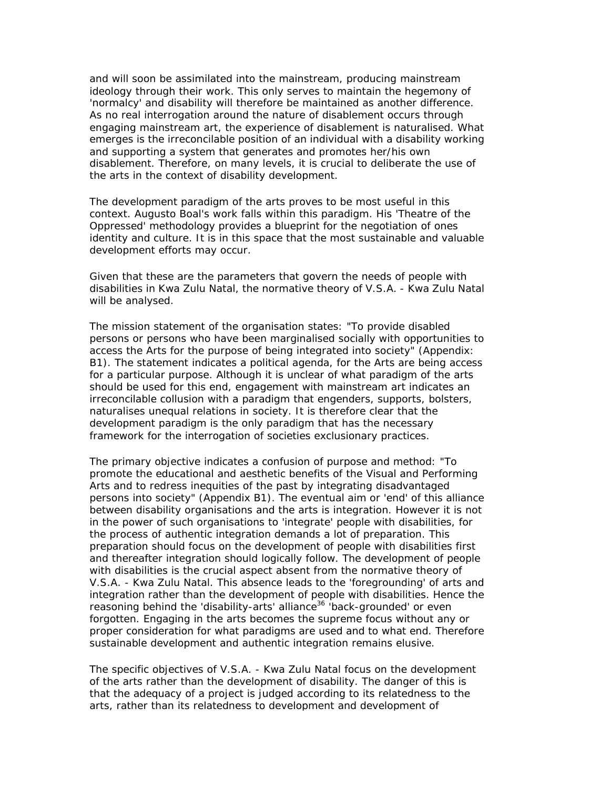and will soon be assimilated into the mainstream, producing mainstream ideology through their work. This only serves to maintain the hegemony of 'normalcy' and disability will therefore be maintained as another difference. As no real interrogation around the nature of disablement occurs through engaging mainstream art, the experience of disablement is naturalised. What emerges is the irreconcilable position of an individual with a disability working and supporting a system that generates and promotes her/his own disablement. Therefore, on many levels, it is crucial to deliberate the use of the arts in the context of disability development.

The development paradigm of the arts proves to be most useful in this context. Augusto Boal's work falls within this paradigm. His 'Theatre of the Oppressed' methodology provides a blueprint for the negotiation of ones identity and culture. It is in this space that the most sustainable and valuable development efforts may occur.

Given that these are the parameters that govern the needs of people with disabilities in Kwa Zulu Natal, the normative theory of V.S.A. - Kwa Zulu Natal will be analysed.

The mission statement of the organisation states: "To provide disabled persons or persons who have been marginalised socially with opportunities to access the Arts for the purpose of being integrated into society" (Appendix: B1). The statement indicates a political agenda, for the Arts are being access for a particular purpose. Although it is unclear of what paradigm of the arts should be used for this end, engagement with mainstream art indicates an irreconcilable collusion with a paradigm that engenders, supports, bolsters, naturalises unequal relations in society. It is therefore clear that the development paradigm is the only paradigm that has the necessary framework for the interrogation of societies exclusionary practices.

The primary objective indicates a confusion of purpose and method: "To promote the educational and aesthetic benefits of the Visual and Performing Arts and to redress inequities of the past by integrating disadvantaged persons into society" (Appendix B1). The eventual aim or 'end' of this alliance between disability organisations and the arts is integration. However it is not in the power of such organisations to 'integrate' people with disabilities, for the process of authentic integration demands a lot of preparation. This preparation should focus on the development of people with disabilities first and thereafter integration should logically follow. The development of people with disabilities is the crucial aspect absent from the normative theory of V.S.A. - Kwa Zulu Natal. This absence leads to the 'foregrounding' of arts and integration rather than the development of people with disabilities. Hence the reasoning behind the 'disability-arts' alliance<sup>36</sup> 'back-grounded' or even forgotten. Engaging in the arts becomes the supreme focus without any or proper consideration for what paradigms are used and to what end. Therefore sustainable development and authentic integration remains elusive.

The specific objectives of V.S.A. - Kwa Zulu Natal focus on the development of the arts rather than the development of disability. The danger of this is that the adequacy of a project is judged according to its relatedness to the arts, rather than its relatedness to development and development of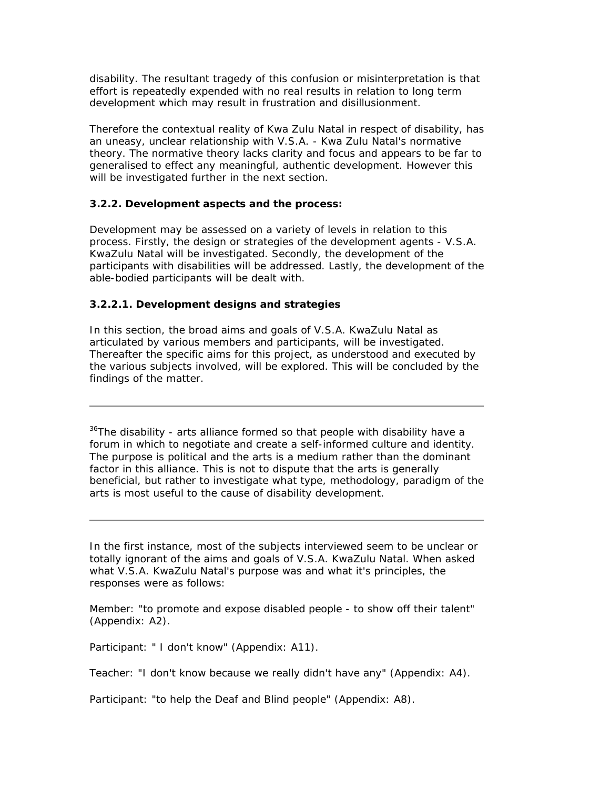disability. The resultant tragedy of this confusion or misinterpretation is that effort is repeatedly expended with no real results in relation to long term development which may result in frustration and disillusionment.

Therefore the contextual reality of Kwa Zulu Natal in respect of disability, has an uneasy, unclear relationship with V.S.A. - Kwa Zulu Natal's normative theory. The normative theory lacks clarity and focus and appears to be far to generalised to effect any meaningful, authentic development. However this will be investigated further in the next section.

### **3.2.2. Development aspects and the process:**

Development may be assessed on a variety of levels in relation to this process. Firstly, the design or strategies of the development agents - V.S.A. KwaZulu Natal will be investigated. Secondly, the development of the participants with disabilities will be addressed. Lastly, the development of the able-bodied participants will be dealt with.

### **3.2.2.1. Development designs and strategies**

In this section, the broad aims and goals of V.S.A. KwaZulu Natal as articulated by various members and participants, will be investigated. Thereafter the specific aims for this project, as understood and executed by the various subjects involved, will be explored. This will be concluded by the findings of the matter.

 $36$ <sup>36</sup>The disability - arts alliance formed so that people with disability have a forum in which to negotiate and create a self-informed culture and identity. The purpose is political and the arts is a medium rather than the dominant factor in this alliance. This is not to dispute that the arts is generally beneficial, but rather to investigate what type, methodology, paradigm of the arts is most useful to the cause of disability development.

In the first instance, most of the subjects interviewed seem to be unclear or totally ignorant of the aims and goals of V.S.A. KwaZulu Natal. When asked what V.S.A. KwaZulu Natal's purpose was and what it's principles, the responses were as follows:

Member: "to promote and expose disabled people - to show off their talent" (Appendix: A2).

Participant: " I don't know" (Appendix: A11).

Teacher: "I don't know because we really didn't have any" (Appendix: A4).

Participant: "to help the Deaf and Blind people" (Appendix: A8).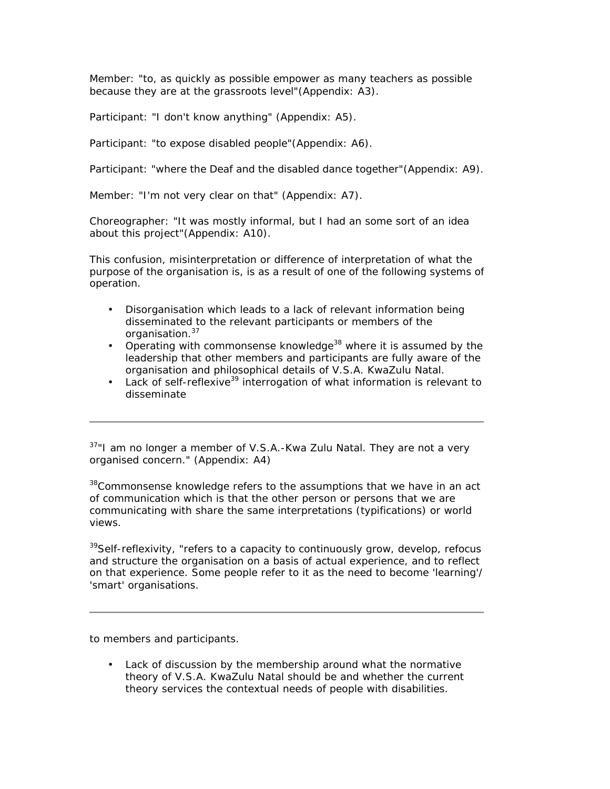Member: "to, as quickly as possible empower as many teachers as possible because they are at the grassroots level"(Appendix: A3).

Participant: "I don't know anything" (Appendix: A5).

Participant: "to expose disabled people"(Appendix: A6).

Participant: "where the Deaf and the disabled dance together"(Appendix: A9).

Member: "I'm not very clear on that" (Appendix: A7).

Choreographer: "It was mostly informal, but I had an some sort of an idea about this project"(Appendix: A10).

This confusion, misinterpretation or difference of interpretation of what the purpose of the organisation is, is as a result of one of the following systems of operation.

- Disorganisation which leads to a lack of relevant information being disseminated to the relevant participants or members of the organisation.<sup>37</sup>
- Operating with commonsense knowledge<sup>38</sup> where it is assumed by the leadership that other members and participants are fully aware of the organisation and philosophical details of V.S.A. KwaZulu Natal.
- Lack of self-reflexive<sup>39</sup> interrogation of what information is relevant to disseminate

 $37"$ I am no longer a member of V.S.A.-Kwa Zulu Natal. They are not a very organised concern." (Appendix: A4)

<sup>38</sup>Commonsense knowledge refers to the assumptions that we have in an act of communication which is that the other person or persons that we are communicating with share the same interpretations (typifications) or world views.

 $39$ Self-reflexivity, "refers to a capacity to continuously grow, develop, refocus and structure the organisation on a basis of actual experience, and to reflect on that experience. Some people refer to it as the need to become 'learning'/ 'smart' organisations.

to members and participants.

• Lack of discussion by the membership around what the normative theory of V.S.A. KwaZulu Natal should be and whether the current theory services the contextual needs of people with disabilities.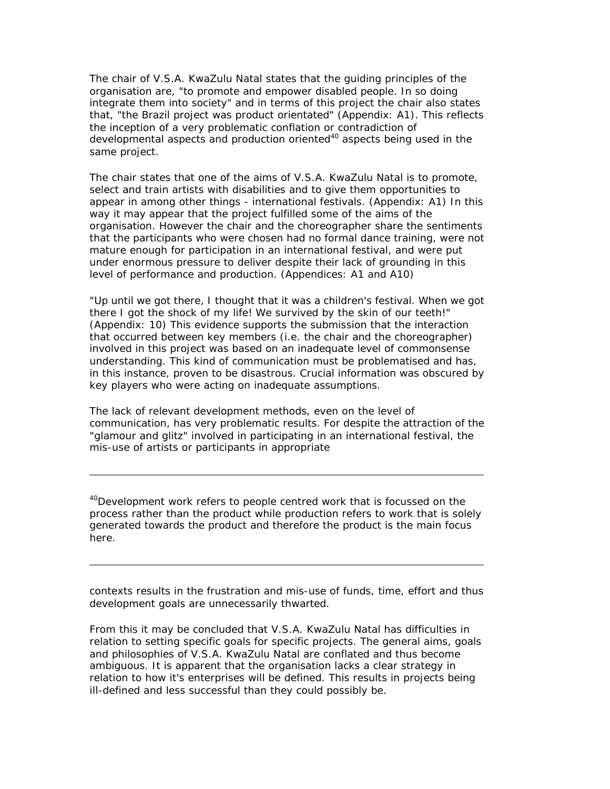The chair of V.S.A. KwaZulu Natal states that the guiding principles of the organisation are, "to promote and empower disabled people. In so doing integrate them into society" and in terms of this project the chair also states that, "the Brazil project was product orientated" (Appendix: A1). This reflects the inception of a very problematic conflation or contradiction of developmental aspects and production oriented<sup>40</sup> aspects being used in the same project.

The chair states that one of the aims of V.S.A. KwaZulu Natal is to promote, select and train artists with disabilities and to give them opportunities to appear in among other things - international festivals. (Appendix: A1) In this way it may appear that the project fulfilled some of the aims of the organisation. However the chair and the choreographer share the sentiments that the participants who were chosen had no formal dance training, were not mature enough for participation in an international festival, and were put under enormous pressure to deliver despite their lack of grounding in this level of performance and production. (Appendices: A1 and A10)

"Up until we got there, I thought that it was a children's festival. When we got there I got the shock of my life! We survived by the skin of our teeth!" (Appendix: 10) This evidence supports the submission that the interaction that occurred between key members (i.e. the chair and the choreographer) involved in this project was based on an inadequate level of commonsense understanding. This kind of communication must be problematised and has, in this instance, proven to be disastrous. Crucial information was obscured by key players who were acting on inadequate assumptions.

The lack of relevant development methods, even on the level of communication, has very problematic results. For despite the attraction of the "glamour and glitz" involved in participating in an international festival, the mis-use of artists or participants in appropriate

<sup>40</sup>Development work refers to people centred work that is focussed on the process rather than the product while production refers to work that is solely generated towards the product and therefore the product is the main focus here.

contexts results in the frustration and mis-use of funds, time, effort and thus development goals are unnecessarily thwarted.

From this it may be concluded that V.S.A. KwaZulu Natal has difficulties in relation to setting specific goals for specific projects. The general aims, goals and philosophies of V.S.A. KwaZulu Natal are conflated and thus become ambiguous. It is apparent that the organisation lacks a clear strategy in relation to how it's enterprises will be defined. This results in projects being ill-defined and less successful than they could possibly be.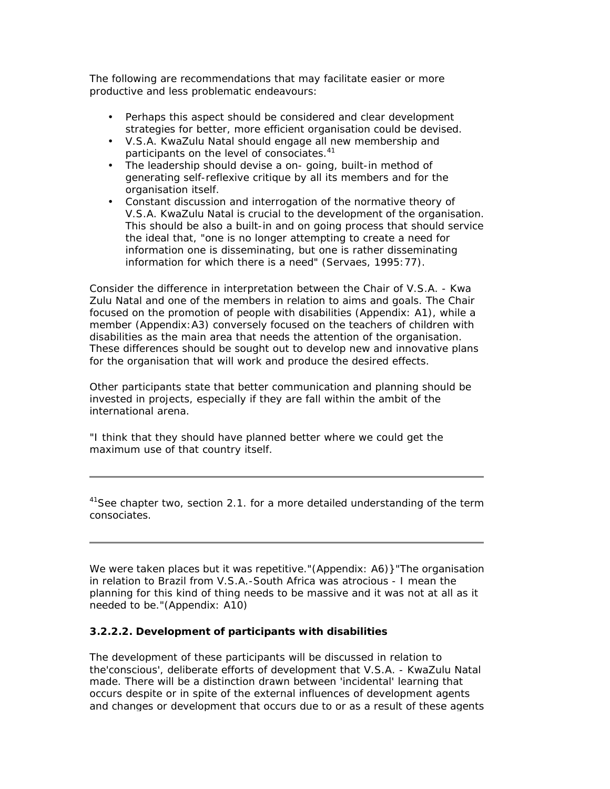The following are recommendations that may facilitate easier or more productive and less problematic endeavours:

- Perhaps this aspect should be considered and clear development strategies for better, more efficient organisation could be devised.
- V.S.A. KwaZulu Natal should engage all new membership and participants on the level of consociates.<sup>41</sup>
- The leadership should devise a on- going, built-in method of generating self-reflexive critique by all its members and for the organisation itself.
- Constant discussion and interrogation of the normative theory of V.S.A. KwaZulu Natal is crucial to the development of the organisation. This should be also a built-in and on going process that should service the ideal that, "one is no longer attempting to create a need for information one is disseminating, but one is rather disseminating information for which there is a need" (Servaes, 1995:77).

Consider the difference in interpretation between the Chair of V.S.A. - Kwa Zulu Natal and one of the members in relation to aims and goals. The Chair focused on the promotion of people with disabilities (Appendix: A1), while a member (Appendix:A3) conversely focused on the teachers of children with disabilities as the main area that needs the attention of the organisation. These differences should be sought out to develop new and innovative plans for the organisation that will work and produce the desired effects.

Other participants state that better communication and planning should be invested in projects, especially if they are fall within the ambit of the international arena.

"I think that they should have planned better where we could get the maximum use of that country itself.

<sup>41</sup>See chapter two, section 2.1. for a more detailed understanding of the term consociates.

We were taken places but it was repetitive."(Appendix: A6)}"The organisation in relation to Brazil from V.S.A.-South Africa was atrocious - I mean the planning for this kind of thing needs to be massive and it was not at all as it needed to be."(Appendix: A10)

### **3.2.2.2. Development of participants with disabilities**

The development of these participants will be discussed in relation to the'conscious', deliberate efforts of development that V.S.A. - KwaZulu Natal made. There will be a distinction drawn between 'incidental' learning that occurs despite or in spite of the external influences of development agents and changes or development that occurs due to or as a result of these agents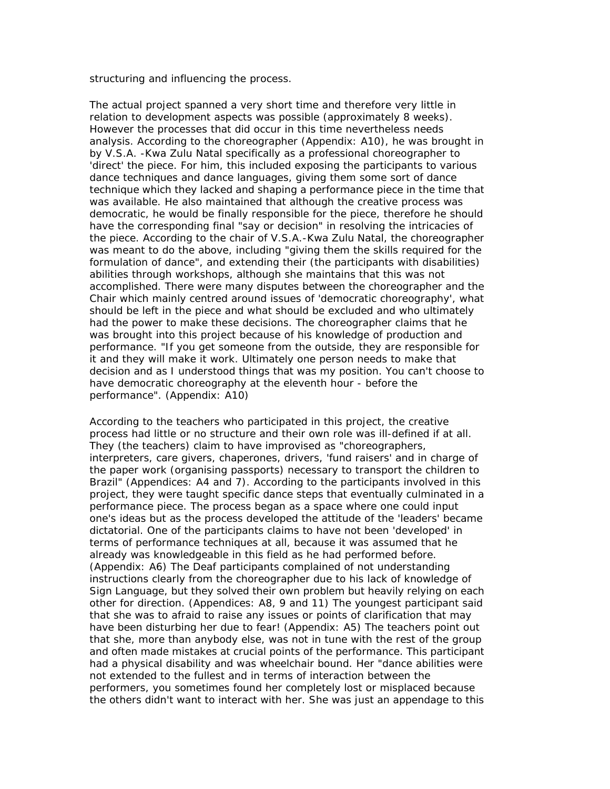structuring and influencing the process.

The actual project spanned a very short time and therefore very little in relation to development aspects was possible (approximately 8 weeks). However the processes that did occur in this time nevertheless needs analysis. According to the choreographer (Appendix: A10), he was brought in by V.S.A. -Kwa Zulu Natal specifically as a professional choreographer to 'direct' the piece. For him, this included exposing the participants to various dance techniques and dance languages, giving them some sort of dance technique which they lacked and shaping a performance piece in the time that was available. He also maintained that although the creative process was democratic, he would be finally responsible for the piece, therefore he should have the corresponding final "say or decision" in resolving the intricacies of the piece. According to the chair of V.S.A.-Kwa Zulu Natal, the choreographer was meant to do the above, including "giving them the skills required for the formulation of dance", and extending their (the participants with disabilities) abilities through workshops, although she maintains that this was not accomplished. There were many disputes between the choreographer and the Chair which mainly centred around issues of 'democratic choreography', what should be left in the piece and what should be excluded and who ultimately had the power to make these decisions. The choreographer claims that he was brought into this project because of his knowledge of production and performance. "If you get someone from the outside, they are responsible for it and they will make it work. Ultimately one person needs to make that decision and as I understood things that was my position. You can't choose to have democratic choreography at the eleventh hour - before the performance". (Appendix: A10)

According to the teachers who participated in this project, the creative process had little or no structure and their own role was ill-defined if at all. They (the teachers) claim to have improvised as "choreographers, interpreters, care givers, chaperones, drivers, 'fund raisers' and in charge of the paper work (organising passports) necessary to transport the children to Brazil" (Appendices: A4 and 7). According to the participants involved in this project, they were taught specific dance steps that eventually culminated in a performance piece. The process began as a space where one could input one's ideas but as the process developed the attitude of the 'leaders' became dictatorial. One of the participants claims to have not been 'developed' in terms of performance techniques at all, because it was assumed that he already was knowledgeable in this field as he had performed before. (Appendix: A6) The Deaf participants complained of not understanding instructions clearly from the choreographer due to his lack of knowledge of Sign Language, but they solved their own problem but heavily relying on each other for direction. (Appendices: A8, 9 and 11) The youngest participant said that she was to afraid to raise any issues or points of clarification that may have been disturbing her due to fear! (Appendix: A5) The teachers point out that she, more than anybody else, was not in tune with the rest of the group and often made mistakes at crucial points of the performance. This participant had a physical disability and was wheelchair bound. Her "dance abilities were not extended to the fullest and in terms of interaction between the performers, you sometimes found her completely lost or misplaced because the others didn't want to interact with her. She was just an appendage to this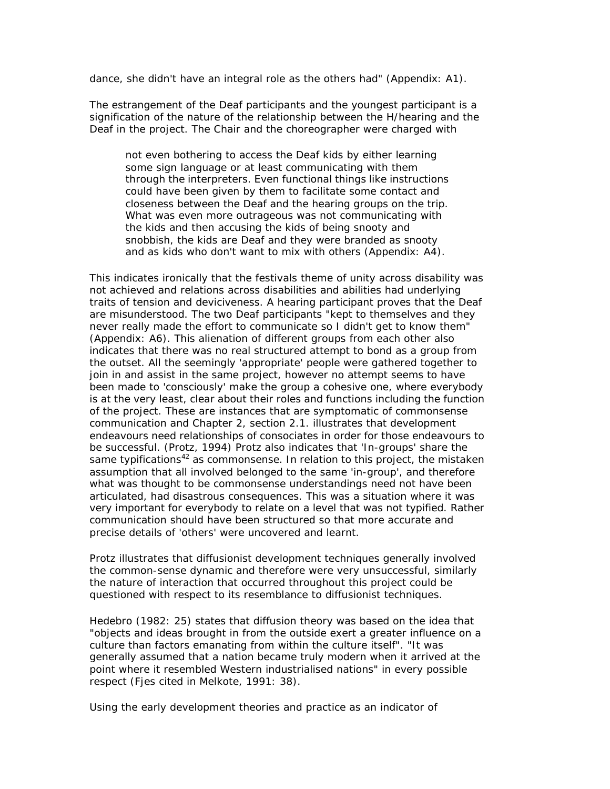dance, she didn't have an integral role as the others had" (Appendix: A1).

The estrangement of the Deaf participants and the youngest participant is a signification of the nature of the relationship between the H/hearing and the Deaf in the project. The Chair and the choreographer were charged with

not even bothering to access the Deaf kids by either learning some sign language or at least communicating with them through the interpreters. Even functional things like instructions could have been given by them to facilitate some contact and closeness between the Deaf and the hearing groups on the trip. What was even more outrageous was not communicating with the kids and then accusing the kids of being snooty and snobbish, the kids are Deaf and they were branded as snooty and as kids who don't want to mix with others (Appendix: A4).

This indicates ironically that the festivals theme of unity across disability was not achieved and relations across disabilities and abilities had underlying traits of tension and deviciveness. A hearing participant proves that the Deaf are misunderstood. The two Deaf participants "kept to themselves and they never really made the effort to communicate so I didn't get to know them" (Appendix: A6). This alienation of different groups from each other also indicates that there was no real structured attempt to bond as a group from the outset. All the seemingly 'appropriate' people were gathered together to join in and assist in the same project, however no attempt seems to have been made to 'consciously' make the group a cohesive one, where everybody is at the very least, clear about their roles and functions including the function of the project. These are instances that are symptomatic of commonsense communication and Chapter 2, section 2.1. illustrates that development endeavours need relationships of consociates in order for those endeavours to be successful. (Protz, 1994) Protz also indicates that 'In-groups' share the same typifications<sup>42</sup> as commonsense. In relation to this project, the mistaken assumption that all involved belonged to the same 'in-group', and therefore what was thought to be commonsense understandings need not have been articulated, had disastrous consequences. This was a situation where it was very important for everybody to relate on a level that was not typified. Rather communication should have been structured so that more accurate and precise details of 'others' were uncovered and learnt.

Protz illustrates that diffusionist development techniques generally involved the common-sense dynamic and therefore were very unsuccessful, similarly the nature of interaction that occurred throughout this project could be questioned with respect to its resemblance to diffusionist techniques.

Hedebro (1982: 25) states that diffusion theory was based on the idea that "objects and ideas brought in from the outside exert a greater influence on a culture than factors emanating from within the culture itself". "It was generally assumed that a nation became truly modern when it arrived at the point where it resembled Western industrialised nations" in every possible respect (Fjes cited in Melkote, 1991: 38).

Using the early development theories and practice as an indicator of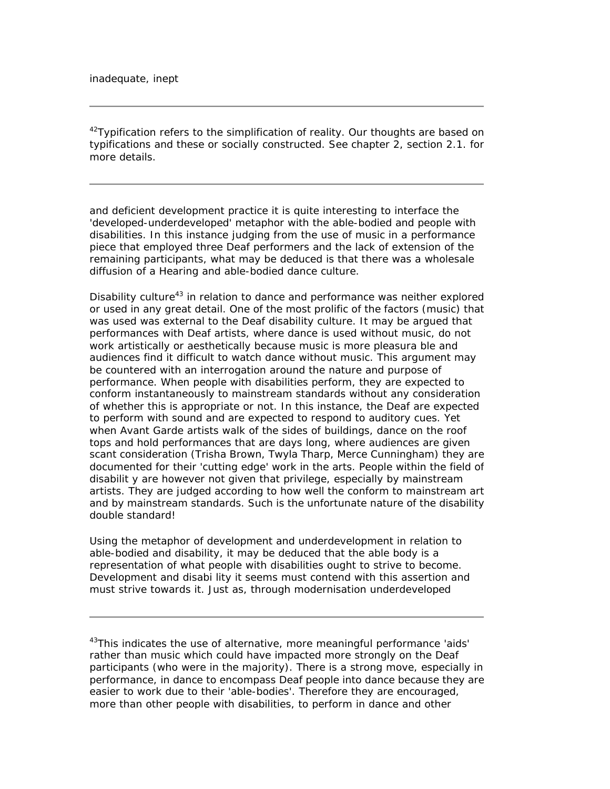$42$ Typification refers to the simplification of reality. Our thoughts are based on typifications and these or socially constructed. See chapter 2, section 2.1. for more details.

and deficient development practice it is quite interesting to interface the 'developed-underdeveloped' metaphor with the able-bodied and people with disabilities. In this instance judging from the use of music in a performance piece that employed three Deaf performers and the lack of extension of the remaining participants, what may be deduced is that there was a wholesale diffusion of a Hearing and able-bodied dance culture.

Disability culture<sup>43</sup> in relation to dance and performance was neither explored or used in any great detail. One of the most prolific of the factors (music) that was used was external to the Deaf disability culture. It may be argued that performances with Deaf artists, where dance is used without music, do not work artistically or aesthetically because music is more pleasura ble and audiences find it difficult to watch dance without music. This argument may be countered with an interrogation around the nature and purpose of performance. When people with disabilities perform, they are expected to conform instantaneously to mainstream standards without any consideration of whether this is appropriate or not. In this instance, the Deaf are expected to perform with sound and are expected to respond to auditory cues. Yet when Avant Garde artists walk of the sides of buildings, dance on the roof tops and hold performances that are days long, where audiences are given scant consideration (Trisha Brown, Twyla Tharp, Merce Cunningham) they are documented for their 'cutting edge' work in the arts. People within the field of disabilit y are however not given that privilege, especially by mainstream artists. They are judged according to how well the conform to mainstream art and by mainstream standards. Such is the unfortunate nature of the disability double standard!

Using the metaphor of development and underdevelopment in relation to able-bodied and disability, it may be deduced that the able body is a representation of what people with disabilities ought to strive to become. Development and disabi lity it seems must contend with this assertion and must strive towards it. Just as, through modernisation underdeveloped

<sup>43</sup>This indicates the use of alternative, more meaningful performance 'aids' rather than music which could have impacted more strongly on the Deaf participants (who were in the majority). There is a strong move, especially in performance, in dance to encompass Deaf people into dance because they are easier to work due to their 'able-bodies'. Therefore they are encouraged, more than other people with disabilities, to perform in dance and other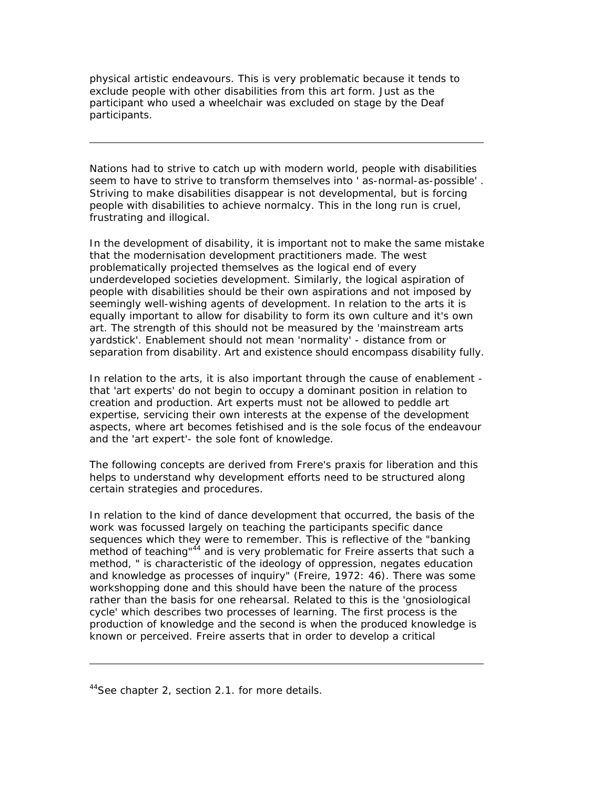physical artistic endeavours. This is very problematic because it tends to exclude people with other disabilities from this art form. Just as the participant who used a wheelchair was excluded on stage by the Deaf participants.

Nations had to strive to catch up with modern world, people with disabilities seem to have to strive to transform themselves into ' as-normal-as-possible' . Striving to make disabilities disappear is not developmental, but is forcing people with disabilities to achieve normalcy. This in the long run is cruel, frustrating and illogical.

In the development of disability, it is important not to make the same mistake that the modernisation development practitioners made. The west problematically projected themselves as the logical end of every underdeveloped societies development. Similarly, the logical aspiration of people with disabilities should be their own aspirations and not imposed by seemingly well-wishing agents of development. In relation to the arts it is equally important to allow for disability to form its own culture and it's own art. The strength of this should not be measured by the 'mainstream arts yardstick'. Enablement should not mean 'normality' - distance from or separation from disability. Art and existence should encompass disability fully.

In relation to the arts, it is also important through the cause of enablement that 'art experts' do not begin to occupy a dominant position in relation to creation and production. Art experts must not be allowed to peddle art expertise, servicing their own interests at the expense of the development aspects, where art becomes fetishised and is the sole focus of the endeavour and the 'art expert'- the sole font of knowledge.

The following concepts are derived from Frere's praxis for liberation and this helps to understand why development efforts need to be structured along certain strategies and procedures.

In relation to the kind of dance development that occurred, the basis of the work was focussed largely on teaching the participants specific dance sequences which they were to remember. This is reflective of the "banking method of teaching" $44$  and is very problematic for Freire asserts that such a method, " is characteristic of the ideology of oppression, negates education and knowledge as processes of inquiry" (Freire, 1972: 46). There was some workshopping done and this should have been the nature of the process rather than the basis for one rehearsal. Related to this is the 'gnosiological cycle' which describes two processes of learning. The first process is the production of knowledge and the second is when the produced knowledge is known or perceived. Freire asserts that in order to develop a critical

<sup>&</sup>lt;sup>44</sup>See chapter 2, section 2.1. for more details.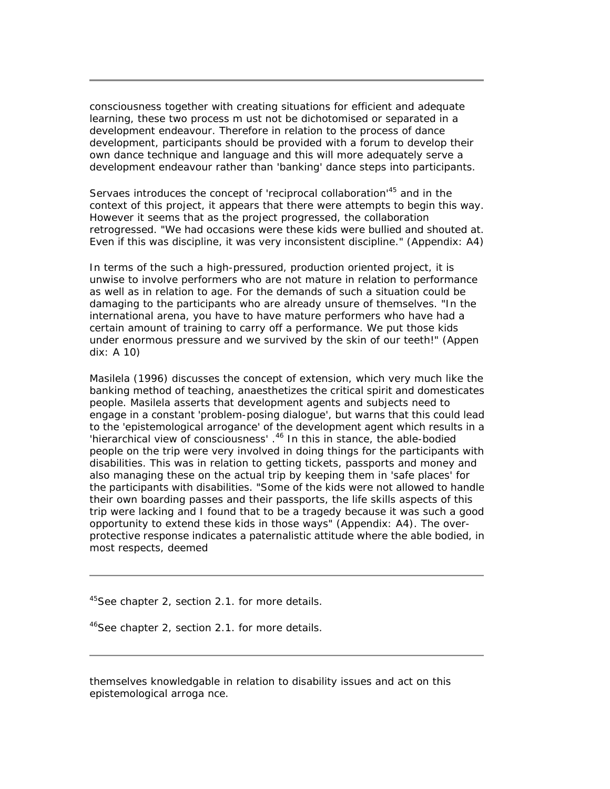consciousness together with creating situations for efficient and adequate learning, these two process m ust not be dichotomised or separated in a development endeavour. Therefore in relation to the process of dance development, participants should be provided with a forum to develop their own dance technique and language and this will more adequately serve a development endeavour rather than 'banking' dance steps into participants.

Servaes introduces the concept of 'reciprocal collaboration'<sup>45</sup> and in the context of this project, it appears that there were attempts to begin this way. However it seems that as the project progressed, the collaboration retrogressed. "We had occasions were these kids were bullied and shouted at. Even if this was discipline, it was very inconsistent discipline." (Appendix: A4)

In terms of the such a high-pressured, production oriented project, it is unwise to involve performers who are not mature in relation to performance as well as in relation to age. For the demands of such a situation could be damaging to the participants who are already unsure of themselves. "In the international arena, you have to have mature performers who have had a certain amount of training to carry off a performance. We put those kids under enormous pressure and we survived by the skin of our teeth!" (Appen dix: A 10)

Masilela (1996) discusses the concept of extension, which very much like the banking method of teaching, anaesthetizes the critical spirit and domesticates people. Masilela asserts that development agents and subjects need to engage in a constant 'problem-posing dialogue', but warns that this could lead to the 'epistemological arrogance' of the development agent which results in a 'hierarchical view of consciousness'.<sup>46</sup> In this in stance, the able-bodied people on the trip were very involved in doing things for the participants with disabilities. This was in relation to getting tickets, passports and money and also managing these on the actual trip by keeping them in 'safe places' for the participants with disabilities. "Some of the kids were not allowed to handle their own boarding passes and their passports, the life skills aspects of this trip were lacking and I found that to be a tragedy because it was such a good opportunity to extend these kids in those ways" (Appendix: A4). The overprotective response indicates a paternalistic attitude where the able bodied, in most respects, deemed

<sup>45</sup>See chapter 2, section 2.1. for more details.

<sup>46</sup>See chapter 2, section 2.1. for more details.

themselves knowledgable in relation to disability issues and act on this epistemological arroga nce.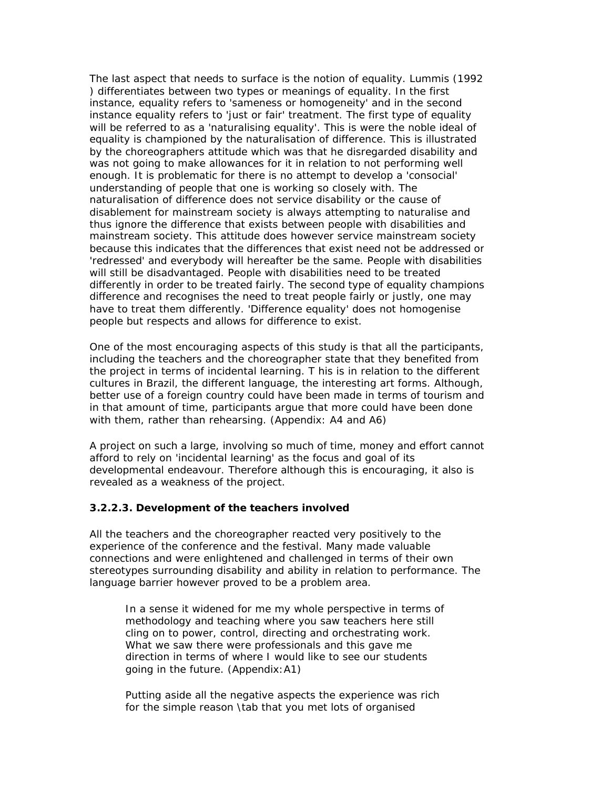The last aspect that needs to surface is the notion of equality. Lummis (1992 ) differentiates between two types or meanings of equality. In the first instance, equality refers to 'sameness or homogeneity' and in the second instance equality refers to 'just or fair' treatment. The first type of equality will be referred to as a 'naturalising equality'. This is were the noble ideal of equality is championed by the naturalisation of difference. This is illustrated by the choreographers attitude which was that he disregarded disability and was not going to make allowances for it in relation to not performing well enough. It is problematic for there is no attempt to develop a 'consocial' understanding of people that one is working so closely with. The naturalisation of difference does not service disability or the cause of disablement for mainstream society is always attempting to naturalise and thus ignore the difference that exists between people with disabilities and mainstream society. This attitude does however service mainstream society because this indicates that the differences that exist need not be addressed or 'redressed' and everybody will hereafter be the same. People with disabilities will still be disadvantaged. People with disabilities need to be treated differently in order to be treated fairly. The second type of equality champions difference and recognises the need to treat people fairly or justly, one may have to treat them differently. 'Difference equality' does not homogenise people but respects and allows for difference to exist.

One of the most encouraging aspects of this study is that all the participants, including the teachers and the choreographer state that they benefited from the project in terms of incidental learning. T his is in relation to the different cultures in Brazil, the different language, the interesting art forms. Although, better use of a foreign country could have been made in terms of tourism and in that amount of time, participants argue that more could have been done with them, rather than rehearsing. (Appendix: A4 and A6)

A project on such a large, involving so much of time, money and effort cannot afford to rely on 'incidental learning' as the focus and goal of its developmental endeavour. Therefore although this is encouraging, it also is revealed as a weakness of the project.

#### **3.2.2.3. Development of the teachers involved**

All the teachers and the choreographer reacted very positively to the experience of the conference and the festival. Many made valuable connections and were enlightened and challenged in terms of their own stereotypes surrounding disability and ability in relation to performance. The language barrier however proved to be a problem area.

In a sense it widened for me my whole perspective in terms of methodology and teaching where you saw teachers here still cling on to power, control, directing and orchestrating work. What we saw there were professionals and this gave me direction in terms of where I would like to see our students going in the future. (Appendix:A1)

Putting aside all the negative aspects the experience was rich for the simple reason \tab that you met lots of organised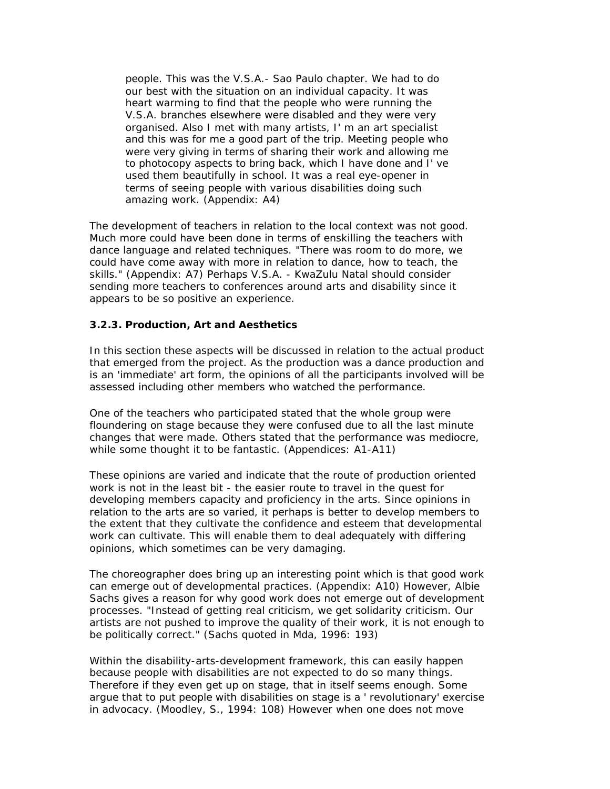people. This was the V.S.A.- Sao Paulo chapter. We had to do our best with the situation on an individual capacity. It was heart warming to find that the people who were running the V.S.A. branches elsewhere were disabled and they were very organised. Also I met with many artists, I' m an art specialist and this was for me a good part of the trip. Meeting people who were very giving in terms of sharing their work and allowing me to photocopy aspects to bring back, which I have done and I' ve used them beautifully in school. It was a real eye-opener in terms of seeing people with various disabilities doing such amazing work. (Appendix: A4)

The development of teachers in relation to the local context was not good. Much more could have been done in terms of enskilling the teachers with dance language and related techniques. "There was room to do more, we could have come away with more in relation to dance, how to teach, the skills." (Appendix: A7) Perhaps V.S.A. - KwaZulu Natal should consider sending more teachers to conferences around arts and disability since it appears to be so positive an experience.

### **3.2.3. Production, Art and Aesthetics**

In this section these aspects will be discussed in relation to the actual product that emerged from the project. As the production was a dance production and is an 'immediate' art form, the opinions of all the participants involved will be assessed including other members who watched the performance.

One of the teachers who participated stated that the whole group were floundering on stage because they were confused due to all the last minute changes that were made. Others stated that the performance was mediocre, while some thought it to be fantastic. (Appendices: A1-A11)

These opinions are varied and indicate that the route of production oriented work is not in the least bit - the easier route to travel in the quest for developing members capacity and proficiency in the arts. Since opinions in relation to the arts are so varied, it perhaps is better to develop members to the extent that they cultivate the confidence and esteem that developmental work can cultivate. This will enable them to deal adequately with differing opinions, which sometimes can be very damaging.

The choreographer does bring up an interesting point which is that good work can emerge out of developmental practices. (Appendix: A10) However, Albie Sachs gives a reason for why good work does not emerge out of development processes. "Instead of getting real criticism, we get solidarity criticism. Our artists are not pushed to improve the quality of their work, it is not enough to be politically correct." (Sachs quoted in Mda, 1996: 193)

Within the disability-arts-development framework, this can easily happen because people with disabilities are not expected to do so many things. Therefore if they even get up on stage, that in itself seems enough. Some argue that to put people with disabilities on stage is a ' revolutionary' exercise in advocacy. (Moodley, S., 1994: 108) However when one does not move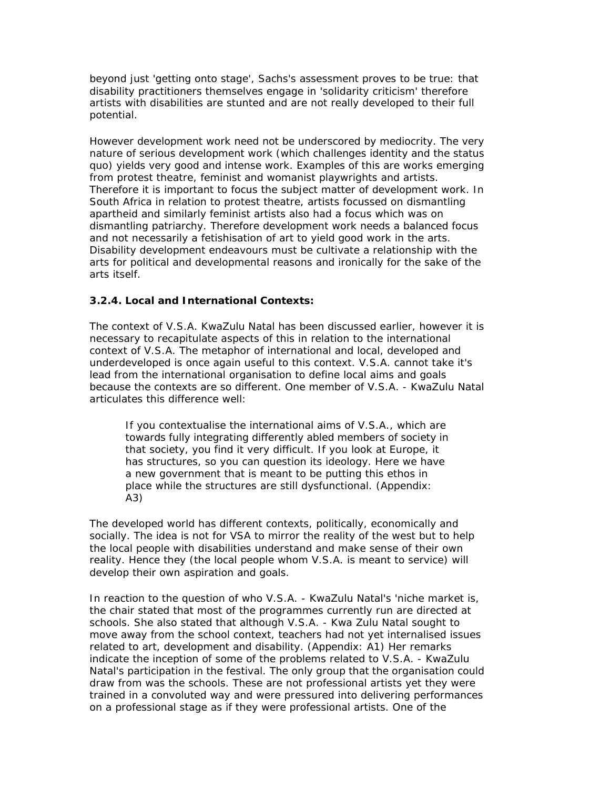beyond just 'getting onto stage', Sachs's assessment proves to be true: that disability practitioners themselves engage in 'solidarity criticism' therefore artists with disabilities are stunted and are not really developed to their full potential.

However development work need not be underscored by mediocrity. The very nature of serious development work (which challenges identity and the status quo) yields very good and intense work. Examples of this are works emerging from protest theatre, feminist and womanist playwrights and artists. Therefore it is important to focus the subject matter of development work. In South Africa in relation to protest theatre, artists focussed on dismantling apartheid and similarly feminist artists also had a focus which was on dismantling patriarchy. Therefore development work needs a balanced focus and not necessarily a fetishisation of art to yield good work in the arts. Disability development endeavours must be cultivate a relationship with the arts for political and developmental reasons and ironically for the sake of the arts itself.

#### **3.2.4. Local and International Contexts:**

The context of V.S.A. KwaZulu Natal has been discussed earlier, however it is necessary to recapitulate aspects of this in relation to the international context of V.S.A. The metaphor of international and local, developed and underdeveloped is once again useful to this context. V.S.A. cannot take it's lead from the international organisation to define local aims and goals because the contexts are so different. One member of V.S.A. - KwaZulu Natal articulates this difference well:

If you contextualise the international aims of V.S.A., which are towards fully integrating differently abled members of society in that society, you find it very difficult. If you look at Europe, it has structures, so you can question its ideology. Here we have a new government that is meant to be putting this ethos in place while the structures are still dysfunctional. (Appendix: A3)

The developed world has different contexts, politically, economically and socially. The idea is not for VSA to mirror the reality of the west but to help the local people with disabilities understand and make sense of their own reality. Hence they (the local people whom V.S.A. is meant to service) will develop their own aspiration and goals.

In reaction to the question of who V.S.A. - KwaZulu Natal's 'niche market is, the chair stated that most of the programmes currently run are directed at schools. She also stated that although V.S.A. - Kwa Zulu Natal sought to move away from the school context, teachers had not yet internalised issues related to art, development and disability. (Appendix: A1) Her remarks indicate the inception of some of the problems related to V.S.A. - KwaZulu Natal's participation in the festival. The only group that the organisation could draw from was the schools. These are not professional artists yet they were trained in a convoluted way and were pressured into delivering performances on a professional stage as if they were professional artists. One of the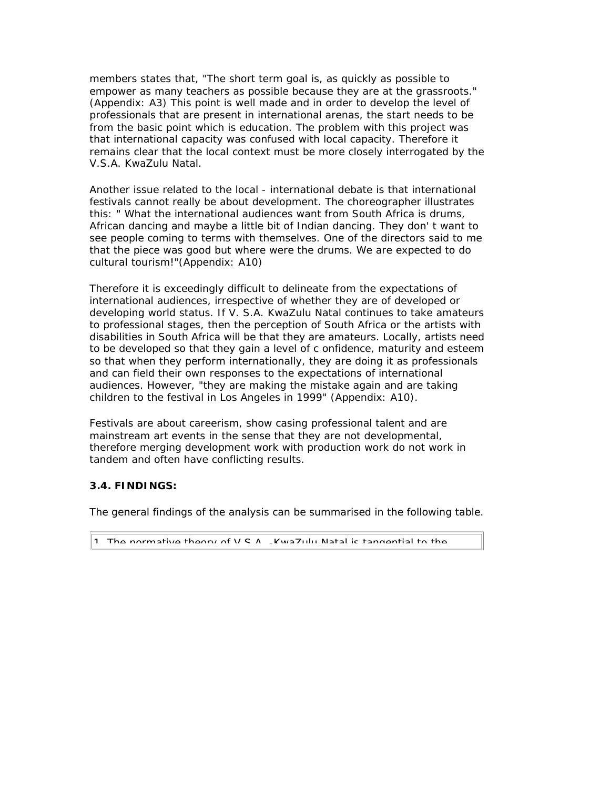members states that, "The short term goal is, as quickly as possible to empower as many teachers as possible because they are at the grassroots." (Appendix: A3) This point is well made and in order to develop the level of professionals that are present in international arenas, the start needs to be from the basic point which is education. The problem with this project was that international capacity was confused with local capacity. Therefore it remains clear that the local context must be more closely interrogated by the V.S.A. KwaZulu Natal.

Another issue related to the local - international debate is that international festivals cannot really be about development. The choreographer illustrates this: " What the international audiences want from South Africa is drums, African dancing and maybe a little bit of Indian dancing. They don' t want to see people coming to terms with themselves. One of the directors said to me that the piece was good but where were the drums. We are expected to do cultural tourism!"(Appendix: A10)

Therefore it is exceedingly difficult to delineate from the expectations of international audiences, irrespective of whether they are of developed or developing world status. If V. S.A. KwaZulu Natal continues to take amateurs to professional stages, then the perception of South Africa or the artists with disabilities in South Africa will be that they are amateurs. Locally, artists need to be developed so that they gain a level of c onfidence, maturity and esteem so that when they perform internationally, they are doing it as professionals and can field their own responses to the expectations of international audiences. However, "they are making the mistake again and are taking children to the festival in Los Angeles in 1999" (Appendix: A10).

Festivals are about careerism, show casing professional talent and are mainstream art events in the sense that they are not developmental, therefore merging development work with production work do not work in tandem and often have conflicting results.

### **3.4. FINDINGS:**

The general findings of the analysis can be summarised in the following table.

The normative theory of  $V \subseteq A$ . KwaZulu Natal is tangential to the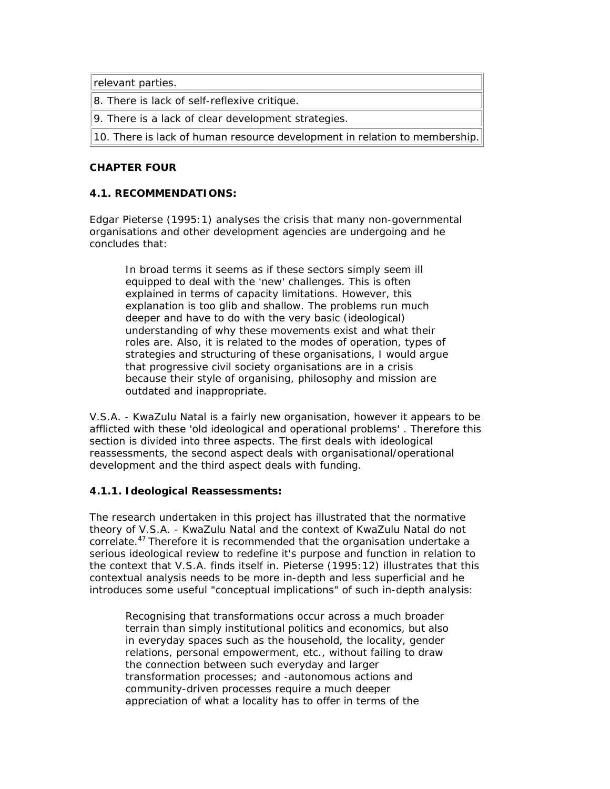relevant parties.

8. There is lack of self-reflexive critique.

9. There is a lack of clear development strategies.

10. There is lack of human resource development in relation to membership.

### **CHAPTER FOUR**

# **4.1. RECOMMENDATIONS:**

Edgar Pieterse (1995:1) analyses the crisis that many non-governmental organisations and other development agencies are undergoing and he concludes that:

In broad terms it seems as if these sectors simply seem ill equipped to deal with the 'new' challenges. This is often explained in terms of capacity limitations. However, this explanation is too glib and shallow. The problems run much deeper and have to do with the very basic (ideological) understanding of why these movements exist and what their roles are. Also, it is related to the modes of operation, types of strategies and structuring of these organisations, I would argue that progressive civil society organisations are in a crisis because their style of organising, philosophy and mission are outdated and inappropriate.

V.S.A. - KwaZulu Natal is a fairly new organisation, however it appears to be afflicted with these 'old ideological and operational problems' . Therefore this section is divided into three aspects. The first deals with ideological reassessments, the second aspect deals with organisational/operational development and the third aspect deals with funding.

### **4.1.1. Ideological Reassessments:**

The research undertaken in this project has illustrated that the normative theory of V.S.A. - KwaZulu Natal and the context of KwaZulu Natal do not correlate.<sup>47</sup> Therefore it is recommended that the organisation undertake a serious ideological review to redefine it's purpose and function in relation to the context that V.S.A. finds itself in. Pieterse (1995:12) illustrates that this contextual analysis needs to be more in-depth and less superficial and he introduces some useful "conceptual implications" of such in-depth analysis:

Recognising that transformations occur across a much broader terrain than simply institutional politics and economics, but also in everyday spaces such as the household, the locality, gender relations, personal empowerment, etc., without failing to draw the connection between such everyday and larger transformation processes; and -autonomous actions and community-driven processes require a much deeper appreciation of what a locality has to offer in terms of the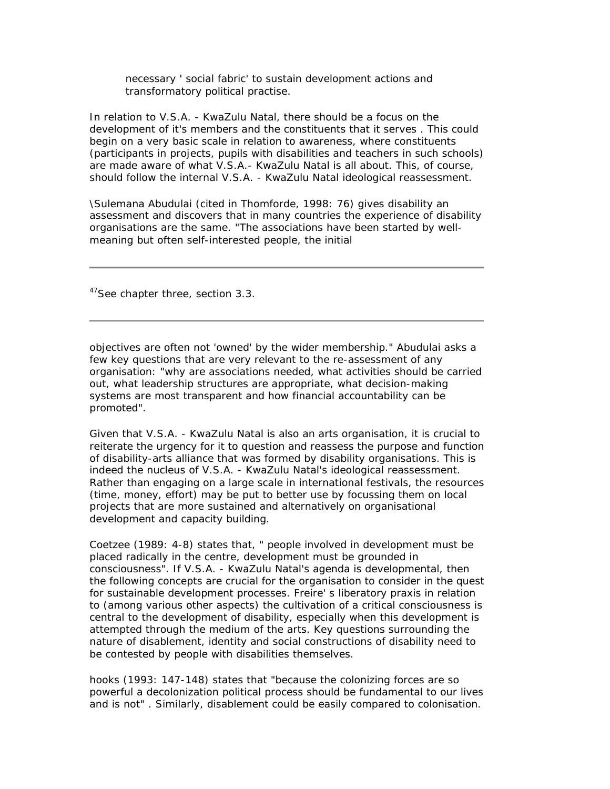necessary ' social fabric' to sustain development actions and transformatory political practise.

In relation to V.S.A. - KwaZulu Natal, there should be a focus on the development of it's members and the constituents that it serves . This could begin on a very basic scale in relation to awareness, where constituents (participants in projects, pupils with disabilities and teachers in such schools) are made aware of what V.S.A.- KwaZulu Natal is all about. This, of course, should follow the internal V.S.A. - KwaZulu Natal ideological reassessment.

\Sulemana Abudulai (cited in Thomforde, 1998: 76) gives disability an assessment and discovers that in many countries the experience of disability organisations are the same. "The associations have been started by wellmeaning but often self-interested people, the initial

<sup>47</sup>See chapter three, section 3.3.

objectives are often not 'owned' by the wider membership." Abudulai asks a few key questions that are very relevant to the re-assessment of any organisation: "why are associations needed, what activities should be carried out, what leadership structures are appropriate, what decision-making systems are most transparent and how financial accountability can be promoted".

Given that V.S.A. - KwaZulu Natal is also an arts organisation, it is crucial to reiterate the urgency for it to question and reassess the purpose and function of disability-arts alliance that was formed by disability organisations. This is indeed the nucleus of V.S.A. - KwaZulu Natal's ideological reassessment. Rather than engaging on a large scale in international festivals, the resources (time, money, effort) may be put to better use by focussing them on local projects that are more sustained and alternatively on organisational development and capacity building.

Coetzee (1989: 4-8) states that, " people involved in development must be placed radically in the centre, development must be grounded in consciousness". If V.S.A. - KwaZulu Natal's agenda is developmental, then the following concepts are crucial for the organisation to consider in the quest for sustainable development processes. Freire' s liberatory praxis in relation to (among various other aspects) the cultivation of a critical consciousness is central to the development of disability, especially when this development is attempted through the medium of the arts. Key questions surrounding the nature of disablement, identity and social constructions of disability need to be contested by people with disabilities themselves.

hooks (1993: 147-148) states that "because the colonizing forces are so powerful a decolonization political process should be fundamental to our lives and is not" . Similarly, disablement could be easily compared to colonisation.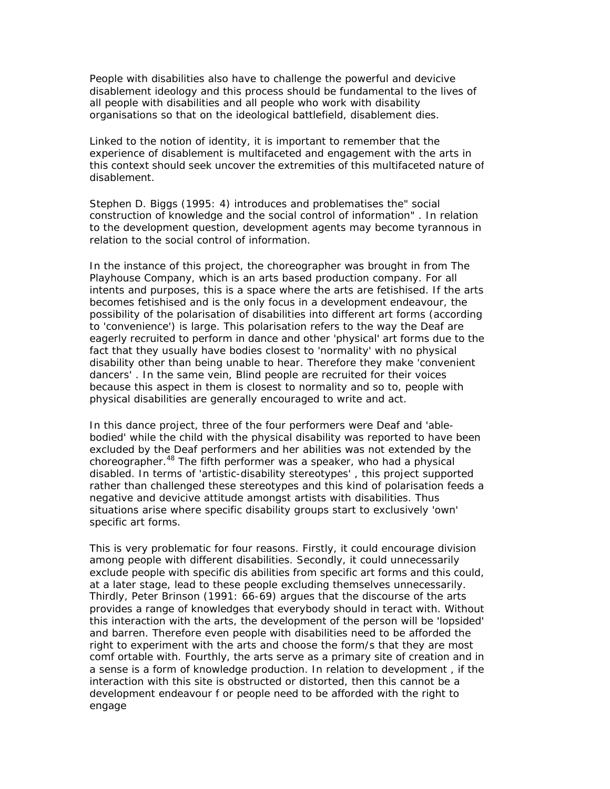People with disabilities also have to challenge the powerful and devicive disablement ideology and this process should be fundamental to the lives of all people with disabilities and all people who work with disability organisations so that on the ideological battlefield, disablement dies.

Linked to the notion of identity, it is important to remember that the experience of disablement is multifaceted and engagement with the arts in this context should seek uncover the extremities of this multifaceted nature of disablement.

Stephen D. Biggs (1995: 4) introduces and problematises the" social construction of knowledge and the social control of information" . In relation to the development question, development agents may become tyrannous in relation to the social control of information.

In the instance of this project, the choreographer was brought in from The Playhouse Company, which is an arts based production company. For all intents and purposes, this is a space where the arts are fetishised. If the arts becomes fetishised and is the only focus in a development endeavour, the possibility of the polarisation of disabilities into different art forms (according to 'convenience') is large. This polarisation refers to the way the Deaf are eagerly recruited to perform in dance and other 'physical' art forms due to the fact that they usually have bodies closest to 'normality' with no physical disability other than being unable to hear. Therefore they make 'convenient dancers' . In the same vein, Blind people are recruited for their voices because this aspect in them is closest to normality and so to, people with physical disabilities are generally encouraged to write and act.

In this dance project, three of the four performers were Deaf and 'ablebodied' while the child with the physical disability was reported to have been excluded by the Deaf performers and her abilities was not extended by the choreographer.<sup>48</sup> The fifth performer was a speaker, who had a physical disabled. In terms of 'artistic-disability stereotypes' , this project supported rather than challenged these stereotypes and this kind of polarisation feeds a negative and devicive attitude amongst artists with disabilities. Thus situations arise where specific disability groups start to exclusively 'own' specific art forms.

This is very problematic for four reasons. Firstly, it could encourage division among people with different disabilities. Secondly, it could unnecessarily exclude people with specific dis abilities from specific art forms and this could, at a later stage, lead to these people excluding themselves unnecessarily. Thirdly, Peter Brinson (1991: 66-69) argues that the discourse of the arts provides a range of knowledges that everybody should in teract with. Without this interaction with the arts, the development of the person will be 'lopsided' and barren. Therefore even people with disabilities need to be afforded the right to experiment with the arts and choose the form/s that they are most comf ortable with. Fourthly, the arts serve as a primary site of creation and in a sense is a form of knowledge production. In relation to development , if the interaction with this site is obstructed or distorted, then this cannot be a development endeavour f or people need to be afforded with the right to engage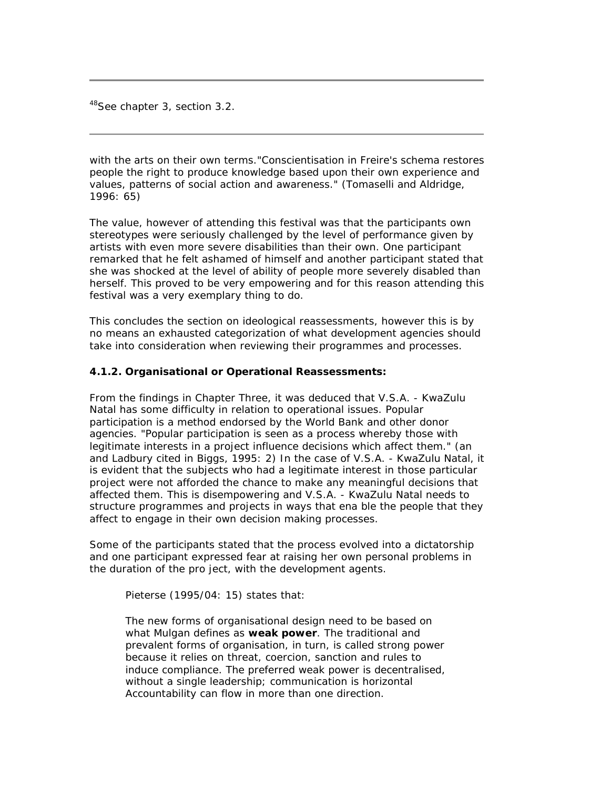<sup>48</sup>See chapter 3, section 3.2.

with the arts on their own terms."Conscientisation in Freire's schema restores people the right to produce knowledge based upon their own experience and values, patterns of social action and awareness." (Tomaselli and Aldridge, 1996: 65)

The value, however of attending this festival was that the participants own stereotypes were seriously challenged by the level of performance given by artists with even more severe disabilities than their own. One participant remarked that he felt ashamed of himself and another participant stated that she was shocked at the level of ability of people more severely disabled than herself. This proved to be very empowering and for this reason attending this festival was a very exemplary thing to do.

This concludes the section on ideological reassessments, however this is by no means an exhausted categorization of what development agencies should take into consideration when reviewing their programmes and processes.

#### **4.1.2. Organisational or Operational Reassessments:**

From the findings in Chapter Three, it was deduced that V.S.A. - KwaZulu Natal has some difficulty in relation to operational issues. Popular participation is a method endorsed by the World Bank and other donor agencies. "Popular participation is seen as a process whereby those with legitimate interests in a project influence decisions which affect them." (an and Ladbury cited in Biggs, 1995: 2) In the case of V.S.A. - KwaZulu Natal, it is evident that the subjects who had a legitimate interest in those particular project were not afforded the chance to make any meaningful decisions that affected them. This is disempowering and V.S.A. - KwaZulu Natal needs to structure programmes and projects in ways that ena ble the people that they affect to engage in their own decision making processes.

Some of the participants stated that the process evolved into a dictatorship and one participant expressed fear at raising her own personal problems in the duration of the pro ject, with the development agents.

Pieterse (1995/04: 15) states that:

The new forms of organisational design need to be based on what Mulgan defines as **weak power**. The traditional and prevalent forms of organisation, in turn, is called strong power because it relies on threat, coercion, sanction and rules to induce compliance. The preferred weak power is decentralised, without a single leadership; communication is horizontal Accountability can flow in more than one direction.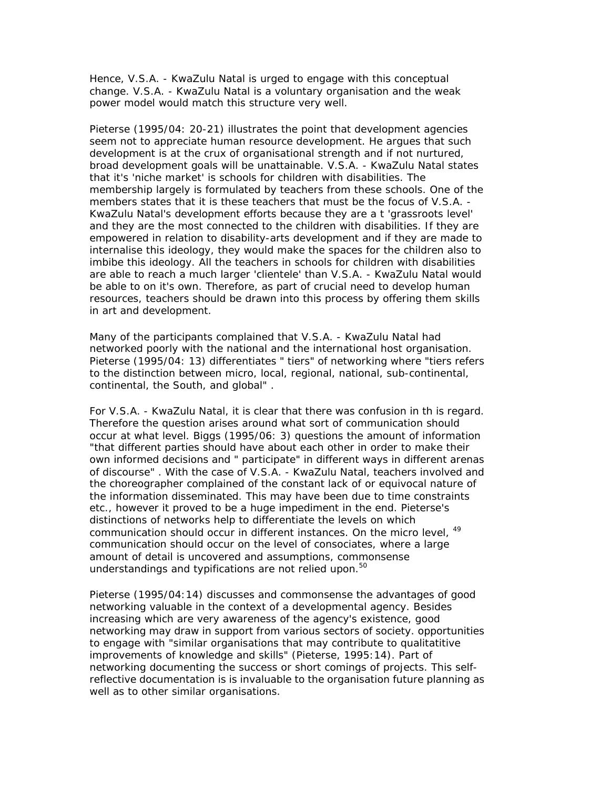Hence, V.S.A. - KwaZulu Natal is urged to engage with this conceptual change. V.S.A. - KwaZulu Natal is a voluntary organisation and the weak power model would match this structure very well.

Pieterse (1995/04: 20-21) illustrates the point that development agencies seem not to appreciate human resource development. He argues that such development is at the crux of organisational strength and if not nurtured, broad development goals will be unattainable. V.S.A. - KwaZulu Natal states that it's 'niche market' is schools for children with disabilities. The membership largely is formulated by teachers from these schools. One of the members states that it is these teachers that must be the focus of V.S.A. - KwaZulu Natal's development efforts because they are a t 'grassroots level' and they are the most connected to the children with disabilities. If they are empowered in relation to disability-arts development and if they are made to internalise this ideology, they would make the spaces for the children also to imbibe this ideology. All the teachers in schools for children with disabilities are able to reach a much larger 'clientele' than V.S.A. - KwaZulu Natal would be able to on it's own. Therefore, as part of crucial need to develop human resources, teachers should be drawn into this process by offering them skills in art and development.

Many of the participants complained that V.S.A. - KwaZulu Natal had networked poorly with the national and the international host organisation. Pieterse (1995/04: 13) differentiates " tiers" of networking where "tiers refers to the distinction between micro, local, regional, national, sub-continental, continental, the South, and global" .

For V.S.A. - KwaZulu Natal, it is clear that there was confusion in th is regard. Therefore the question arises around what sort of communication should occur at what level. Biggs (1995/06: 3) questions the amount of information "that different parties should have about each other in order to make their own informed decisions and " participate" in different ways in different arenas of discourse" . With the case of V.S.A. - KwaZulu Natal, teachers involved and the choreographer complained of the constant lack of or equivocal nature of the information disseminated. This may have been due to time constraints etc., however it proved to be a huge impediment in the end. Pieterse's distinctions of networks help to differentiate the levels on which communication should occur in different instances. On the micro level. <sup>49</sup> communication should occur on the level of consociates, where a large amount of detail is uncovered and assumptions, commonsense understandings and typifications are not relied upon. $50$ 

Pieterse (1995/04:14) discusses and commonsense the advantages of good networking valuable in the context of a developmental agency. Besides increasing which are very awareness of the agency's existence, good networking may draw in support from various sectors of society. opportunities to engage with "similar organisations that may contribute to qualitatitive improvements of knowledge and skills" (Pieterse, 1995:14). Part of networking documenting the success or short comings of projects. This selfreflective documentation is is invaluable to the organisation future planning as well as to other similar organisations.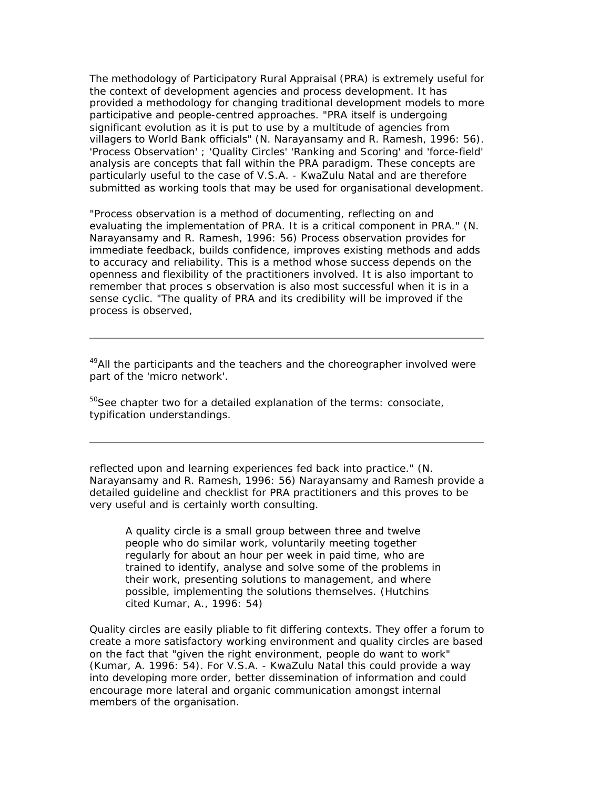The methodology of Participatory Rural Appraisal (PRA) is extremely useful for the context of development agencies and process development. It has provided a methodology for changing traditional development models to more participative and people-centred approaches. "PRA itself is undergoing significant evolution as it is put to use by a multitude of agencies from villagers to World Bank officials" (N. Narayansamy and R. Ramesh, 1996: 56). 'Process Observation' ; 'Quality Circles' 'Ranking and Scoring' and 'force-field' analysis are concepts that fall within the PRA paradigm. These concepts are particularly useful to the case of V.S.A. - KwaZulu Natal and are therefore submitted as working tools that may be used for organisational development.

"Process observation is a method of documenting, reflecting on and evaluating the implementation of PRA. It is a critical component in PRA." (N. Narayansamy and R. Ramesh, 1996: 56) Process observation provides for immediate feedback, builds confidence, improves existing methods and adds to accuracy and reliability. This is a method whose success depends on the openness and flexibility of the practitioners involved. It is also important to remember that proces s observation is also most successful when it is in a sense cyclic. "The quality of PRA and its credibility will be improved if the process is observed,

 $49$ All the participants and the teachers and the choreographer involved were part of the 'micro network'.

<sup>50</sup>See chapter two for a detailed explanation of the terms: consociate, typification understandings.

reflected upon and learning experiences fed back into practice." (N. Narayansamy and R. Ramesh, 1996: 56) Narayansamy and Ramesh provide a detailed guideline and checklist for PRA practitioners and this proves to be very useful and is certainly worth consulting.

A quality circle is a small group between three and twelve people who do similar work, voluntarily meeting together regularly for about an hour per week in paid time, who are trained to identify, analyse and solve some of the problems in their work, presenting solutions to management, and where possible, implementing the solutions themselves. (Hutchins cited Kumar, A., 1996: 54)

Quality circles are easily pliable to fit differing contexts. They offer a forum to create a more satisfactory working environment and quality circles are based on the fact that "given the right environment, people do want to work" (Kumar, A. 1996: 54). For V.S.A. - KwaZulu Natal this could provide a way into developing more order, better dissemination of information and could encourage more lateral and organic communication amongst internal members of the organisation.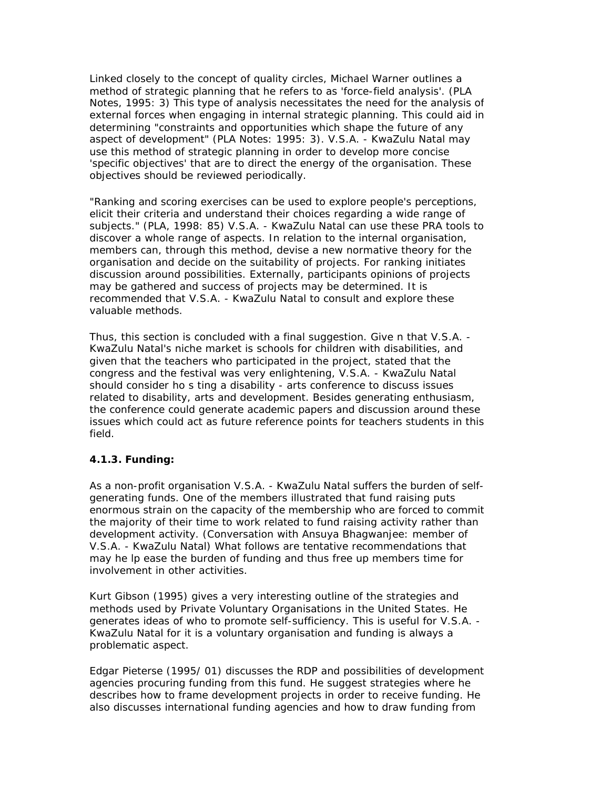Linked closely to the concept of quality circles, Michael Warner outlines a method of strategic planning that he refers to as 'force-field analysis'. (PLA Notes, 1995: 3) This type of analysis necessitates the need for the analysis of external forces when engaging in internal strategic planning. This could aid in determining "constraints and opportunities which shape the future of any aspect of development" (PLA Notes: 1995: 3). V.S.A. - KwaZulu Natal may use this method of strategic planning in order to develop more concise 'specific objectives' that are to direct the energy of the organisation. These objectives should be reviewed periodically.

"Ranking and scoring exercises can be used to explore people's perceptions, elicit their criteria and understand their choices regarding a wide range of subjects." (PLA, 1998: 85) V.S.A. - KwaZulu Natal can use these PRA tools to discover a whole range of aspects. In relation to the internal organisation, members can, through this method, devise a new normative theory for the organisation and decide on the suitability of projects. For ranking initiates discussion around possibilities. Externally, participants opinions of projects may be gathered and success of projects may be determined. It is recommended that V.S.A. - KwaZulu Natal to consult and explore these valuable methods.

Thus, this section is concluded with a final suggestion. Give n that V.S.A. - KwaZulu Natal's niche market is schools for children with disabilities, and given that the teachers who participated in the project, stated that the congress and the festival was very enlightening, V.S.A. - KwaZulu Natal should consider ho s ting a disability - arts conference to discuss issues related to disability, arts and development. Besides generating enthusiasm, the conference could generate academic papers and discussion around these issues which could act as future reference points for teachers students in this field.

### **4.1.3. Funding:**

As a non-profit organisation V.S.A. - KwaZulu Natal suffers the burden of selfgenerating funds. One of the members illustrated that fund raising puts enormous strain on the capacity of the membership who are forced to commit the majority of their time to work related to fund raising activity rather than development activity. (Conversation with Ansuya Bhagwanjee: member of V.S.A. - KwaZulu Natal) What follows are tentative recommendations that may he lp ease the burden of funding and thus free up members time for involvement in other activities.

Kurt Gibson (1995) gives a very interesting outline of the strategies and methods used by Private Voluntary Organisations in the United States. He generates ideas of who to promote self-sufficiency. This is useful for V.S.A. - KwaZulu Natal for it is a voluntary organisation and funding is always a problematic aspect.

Edgar Pieterse (1995/ 01) discusses the RDP and possibilities of development agencies procuring funding from this fund. He suggest strategies where he describes how to frame development projects in order to receive funding. He also discusses international funding agencies and how to draw funding from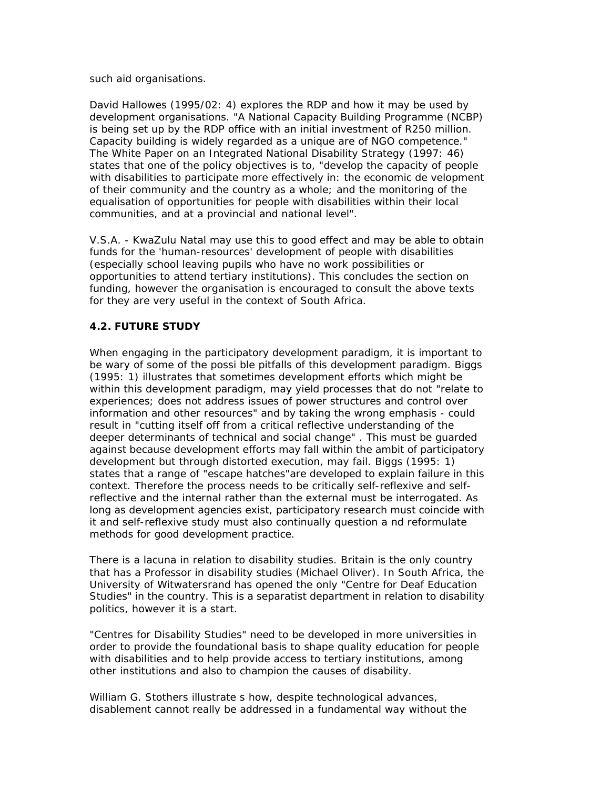such aid organisations.

David Hallowes (1995/02: 4) explores the RDP and how it may be used by development organisations. "A National Capacity Building Programme (NCBP) is being set up by the RDP office with an initial investment of R250 million. Capacity building is widely regarded as a unique are of NGO competence." The White Paper on an Integrated National Disability Strategy (1997: 46) states that one of the policy objectives is to, "develop the capacity of people with disabilities to participate more effectively in: the economic de velopment of their community and the country as a whole; and the monitoring of the equalisation of opportunities for people with disabilities within their local communities, and at a provincial and national level".

V.S.A. - KwaZulu Natal may use this to good effect and may be able to obtain funds for the 'human-resources' development of people with disabilities (especially school leaving pupils who have no work possibilities or opportunities to attend tertiary institutions). This concludes the section on funding, however the organisation is encouraged to consult the above texts for they are very useful in the context of South Africa.

# **4.2. FUTURE STUDY**

When engaging in the participatory development paradigm, it is important to be wary of some of the possi ble pitfalls of this development paradigm. Biggs (1995: 1) illustrates that sometimes development efforts which might be within this development paradigm, may yield processes that do not "relate to experiences; does not address issues of power structures and control over information and other resources" and by taking the wrong emphasis - could result in "cutting itself off from a critical reflective understanding of the deeper determinants of technical and social change" . This must be guarded against because development efforts may fall within the ambit of participatory development but through distorted execution, may fail. Biggs (1995: 1) states that a range of "escape hatches"are developed to explain failure in this context. Therefore the process needs to be critically self-reflexive and selfreflective and the internal rather than the external must be interrogated. As long as development agencies exist, participatory research must coincide with it and self-reflexive study must also continually question a nd reformulate methods for good development practice.

There is a lacuna in relation to disability studies. Britain is the only country that has a Professor in disability studies (Michael Oliver). In South Africa, the University of Witwatersrand has opened the only "Centre for Deaf Education Studies" in the country. This is a separatist department in relation to disability politics, however it is a start.

"Centres for Disability Studies" need to be developed in more universities in order to provide the foundational basis to shape quality education for people with disabilities and to help provide access to tertiary institutions, among other institutions and also to champion the causes of disability.

William G. Stothers illustrate s how, despite technological advances, disablement cannot really be addressed in a fundamental way without the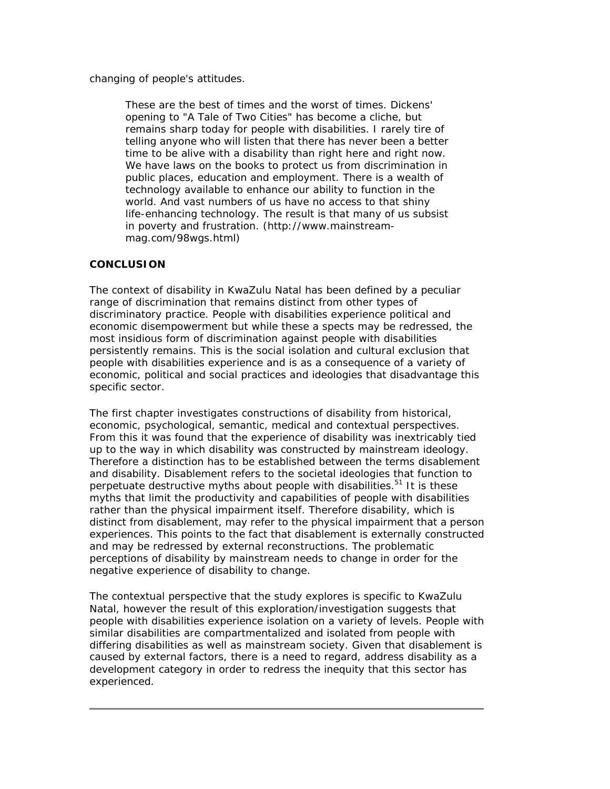changing of people's attitudes.

These are the best of times and the worst of times. Dickens' opening to "A Tale of Two Cities" has become a cliche, but remains sharp today for people with disabilities. I rarely tire of telling anyone who will listen that there has never been a better time to be alive with a disability than right here and right now. We have laws on the books to protect us from discrimination in public places, education and employment. There is a wealth of technology available to enhance our ability to function in the world. And vast numbers of us have no access to that shiny life-enhancing technology. The result is that many of us subsist in poverty and frustration. (http://www.mainstreammag.com/98wgs.html)

### **CONCLUSION**

The context of disability in KwaZulu Natal has been defined by a peculiar range of discrimination that remains distinct from other types of discriminatory practice. People with disabilities experience political and economic disempowerment but while these a spects may be redressed, the most insidious form of discrimination against people with disabilities persistently remains. This is the social isolation and cultural exclusion that people with disabilities experience and is as a consequence of a variety of economic, political and social practices and ideologies that disadvantage this specific sector.

The first chapter investigates constructions of disability from historical, economic, psychological, semantic, medical and contextual perspectives. From this it was found that the experience of disability was inextricably tied up to the way in which disability was constructed by mainstream ideology. Therefore a distinction has to be established between the terms disablement and disability. Disablement refers to the societal ideologies that function to perpetuate destructive myths about people with disabilities.<sup>51</sup> It is these myths that limit the productivity and capabilities of people with disabilities rather than the physical impairment itself. Therefore disability, which is distinct from disablement, may refer to the physical impairment that a person experiences. This points to the fact that disablement is externally constructed and may be redressed by external reconstructions. The problematic perceptions of disability by mainstream needs to change in order for the negative experience of disability to change.

The contextual perspective that the study explores is specific to KwaZulu Natal, however the result of this exploration/investigation suggests that people with disabilities experience isolation on a variety of levels. People with similar disabilities are compartmentalized and isolated from people with differing disabilities as well as mainstream society. Given that disablement is caused by external factors, there is a need to regard, address disability as a development category in order to redress the inequity that this sector has experienced.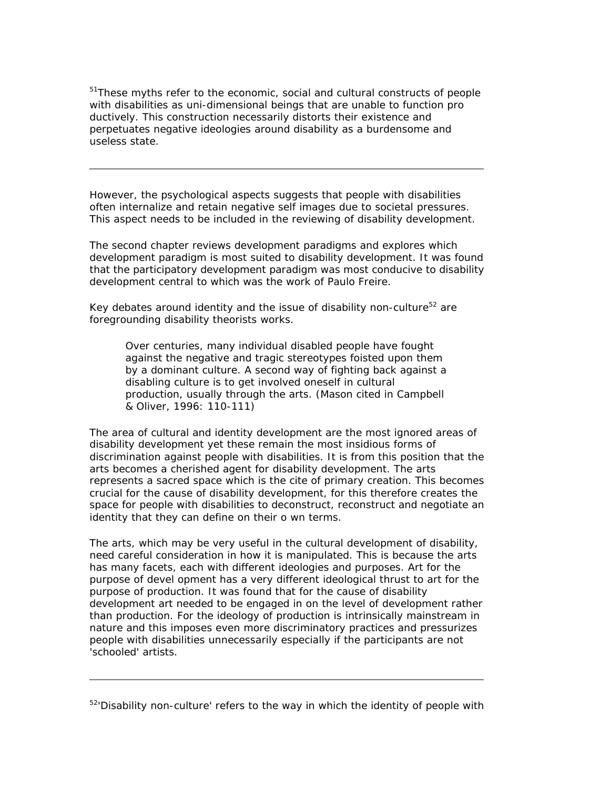<sup>51</sup>These myths refer to the economic, social and cultural constructs of people with disabilities as uni-dimensional beings that are unable to function pro ductively. This construction necessarily distorts their existence and perpetuates negative ideologies around disability as a burdensome and useless state.

However, the psychological aspects suggests that people with disabilities often internalize and retain negative self images due to societal pressures. This aspect needs to be included in the reviewing of disability development.

The second chapter reviews development paradigms and explores which development paradigm is most suited to disability development. It was found that the participatory development paradigm was most conducive to disability development central to which was the work of Paulo Freire.

Key debates around identity and the issue of disability non-culture<sup>52</sup> are foregrounding disability theorists works.

Over centuries, many individual disabled people have fought against the negative and tragic stereotypes foisted upon them by a dominant culture. A second way of fighting back against a disabling culture is to get involved oneself in cultural production, usually through the arts. (Mason cited in Campbell & Oliver, 1996: 110-111)

The area of cultural and identity development are the most ignored areas of disability development yet these remain the most insidious forms of discrimination against people with disabilities. It is from this position that the arts becomes a cherished agent for disability development. The arts represents a sacred space which is the cite of primary creation. This becomes crucial for the cause of disability development, for this therefore creates the space for people with disabilities to deconstruct, reconstruct and negotiate an identity that they can define on their o wn terms.

The arts, which may be very useful in the cultural development of disability, need careful consideration in how it is manipulated. This is because the arts has many facets, each with different ideologies and purposes. Art for the purpose of devel opment has a very different ideological thrust to art for the purpose of production. It was found that for the cause of disability development art needed to be engaged in on the level of development rather than production. For the ideology of production is intrinsically mainstream in nature and this imposes even more discriminatory practices and pressurizes people with disabilities unnecessarily especially if the participants are not 'schooled' artists.

 $52$ <sup>-</sup>Disability non-culture' refers to the way in which the identity of people with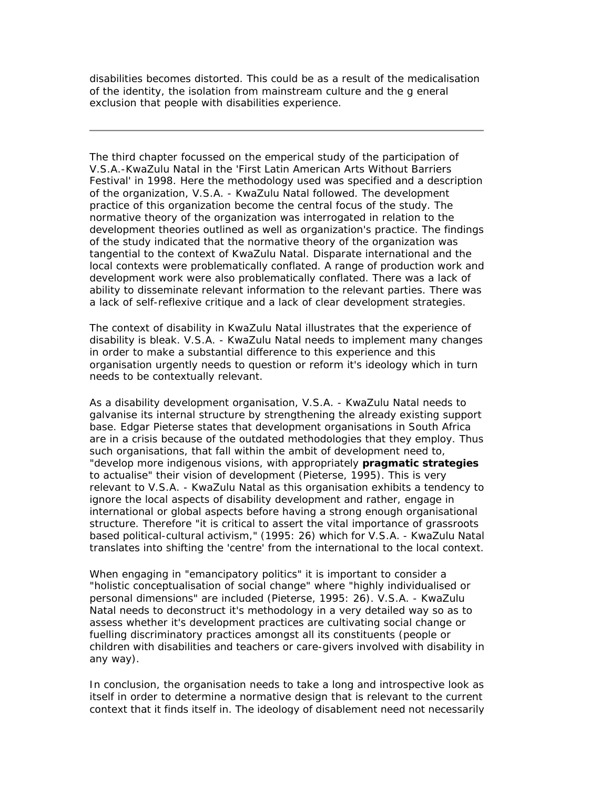disabilities becomes distorted. This could be as a result of the medicalisation of the identity, the isolation from mainstream culture and the g eneral exclusion that people with disabilities experience.

The third chapter focussed on the emperical study of the participation of V.S.A.-KwaZulu Natal in the 'First Latin American Arts Without Barriers Festival' in 1998. Here the methodology used was specified and a description of the organization, V.S.A. - KwaZulu Natal followed. The development practice of this organization become the central focus of the study. The normative theory of the organization was interrogated in relation to the development theories outlined as well as organization's practice. The findings of the study indicated that the normative theory of the organization was tangential to the context of KwaZulu Natal. Disparate international and the local contexts were problematically conflated. A range of production work and development work were also problematically conflated. There was a lack of ability to disseminate relevant information to the relevant parties. There was a lack of self-reflexive critique and a lack of clear development strategies.

The context of disability in KwaZulu Natal illustrates that the experience of disability is bleak. V.S.A. - KwaZulu Natal needs to implement many changes in order to make a substantial difference to this experience and this organisation urgently needs to question or reform it's ideology which in turn needs to be contextually relevant.

As a disability development organisation, V.S.A. - KwaZulu Natal needs to galvanise its internal structure by strengthening the already existing support base. Edgar Pieterse states that development organisations in South Africa are in a crisis because of the outdated methodologies that they employ. Thus such organisations, that fall within the ambit of development need to, "develop more indigenous visions, with appropriately **pragmatic strategies**  to actualise" their vision of development (Pieterse, 1995). This is very relevant to V.S.A. - KwaZulu Natal as this organisation exhibits a tendency to ignore the local aspects of disability development and rather, engage in international or global aspects before having a strong enough organisational structure. Therefore "it is critical to assert the vital importance of grassroots based political-cultural activism," (1995: 26) which for V.S.A. - KwaZulu Natal translates into shifting the 'centre' from the international to the local context.

When engaging in "emancipatory politics" it is important to consider a "holistic conceptualisation of social change" where "highly individualised or personal dimensions" are included (Pieterse, 1995: 26). V.S.A. - KwaZulu Natal needs to deconstruct it's methodology in a very detailed way so as to assess whether it's development practices are cultivating social change or fuelling discriminatory practices amongst all its constituents (people or children with disabilities and teachers or care-givers involved with disability in any way).

In conclusion, the organisation needs to take a long and introspective look as itself in order to determine a normative design that is relevant to the current context that it finds itself in. The ideology of disablement need not necessarily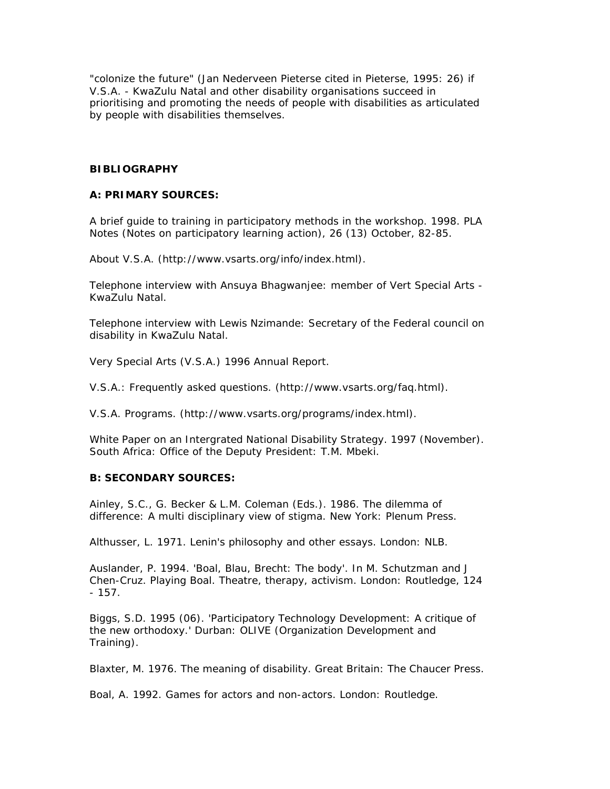"colonize the future" (Jan Nederveen Pieterse cited in Pieterse, 1995: 26) if V.S.A. - KwaZulu Natal and other disability organisations succeed in prioritising and promoting the needs of people with disabilities as articulated by people with disabilities themselves.

#### **BIBLIOGRAPHY**

#### *A: PRIMARY SOURCES:*

A brief guide to training in participatory methods in the workshop. 1998. *PLA Notes (Notes on participatory learning action)*, 26 (13) October, 82-85.

About V.S.A. (http://www.vsarts.org/info/index.html).

Telephone interview with Ansuya Bhagwanjee: member of Vert Special Arts - KwaZulu Natal.

Telephone interview with Lewis Nzimande: Secretary of the Federal council on disability in KwaZulu Natal.

Very Special Arts (V.S.A.) 1996 Annual Report.

V.S.A.: Frequently asked questions. (http://www.vsarts.org/faq.html).

V.S.A. Programs. (http://www.vsarts.org/programs/index.html).

White Paper on an Intergrated National Disability Strategy. 1997 (November). South Africa: Office of the Deputy President: T.M. Mbeki.

### *B: SECONDARY SOURCES:*

Ainley, S.C., G. Becker & L.M. Coleman (Eds.). 1986. *The dilemma of difference: A multi disciplinary view of stigma.* New York: Plenum Press.

Althusser, L. 1971. *Lenin's philosophy and other essays*. London: NLB.

Auslander, P. 1994. 'Boal, Blau, Brecht: The body'. In M. Schutzman and J Chen-Cruz. *Playing Boal. Theatre, therapy, activism*. London: Routledge, 124  $-157.$ 

Biggs, S.D. 1995 (06). 'Participatory Technology Development: A critique of the new orthodoxy.' Durban: OLIVE (Organization Development and Training).

Blaxter, M. 1976. *The meaning of disability*. Great Britain: The Chaucer Press.

Boal, A. 1992. *Games for actors and non-actors*. London: Routledge.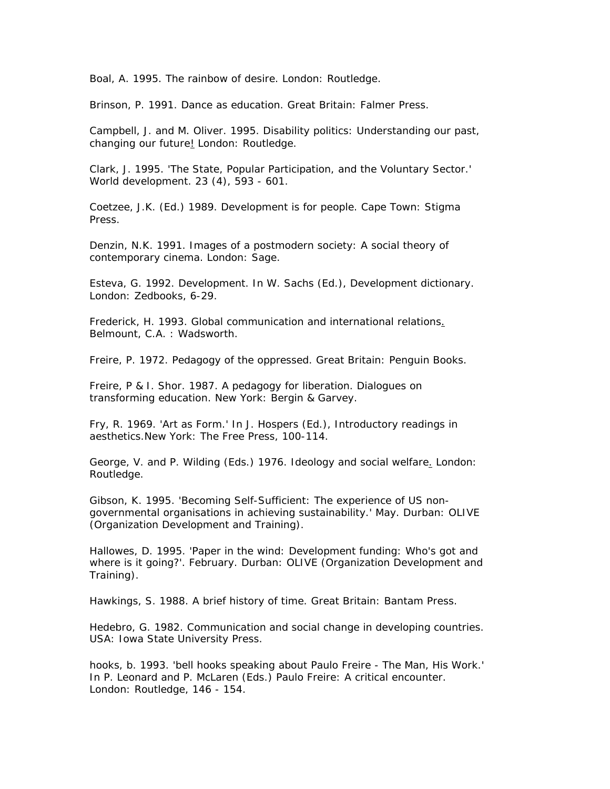Boal, A. 1995. *The rainbow of desire*. London: Routledge.

Brinson, P. 1991. *Dance as education*. Great Britain: Falmer Press.

Campbell, J. and M. Oliver. 1995. *Disability politics: Understanding our past, changing our future*! London: Routledge.

Clark, J. 1995. 'The State, Popular Participation, and the Voluntary Sector.' *World development.* 23 (4), 593 - 601.

Coetzee, J.K. (Ed.) 1989. *Development is for people*. Cape Town: Stigma Press.

Denzin, N.K. 1991. *Images of a postmodern society: A social theory of contemporary cinema*. London: Sage.

Esteva, G. 1992. Development. In W. Sachs (Ed.), *Development dictionary*. London: Zedbooks, 6-29.

Frederick, H. 1993. *Global communication and international relations*. Belmount, C.A. : Wadsworth.

Freire, P. 1972. *Pedagogy of the oppressed*. Great Britain: Penguin Books.

Freire, P & I. Shor. 1987. *A pedagogy for liberation. Dialogues on transforming education*. New York: Bergin & Garvey.

Fry, R. 1969. 'Art as Form.' In J. Hospers (Ed.), *Introductory readings in aesthetics*.New York: The Free Press, 100-114.

George, V. and P. Wilding (Eds.) 1976. *Ideology and social welfare*. London: Routledge.

Gibson, K. 1995. 'Becoming Self-Sufficient: The experience of US nongovernmental organisations in achieving sustainability.' May. Durban: OLIVE (Organization Development and Training).

Hallowes, D. 1995. 'Paper in the wind: Development funding: Who's got and where is it going?'. February. Durban: OLIVE (Organization Development and Training).

Hawkings, S. 1988. *A brief history of time*. Great Britain: Bantam Press.

Hedebro, G. 1982. *Communication and social change in developing countries*. USA: Iowa State University Press.

hooks, b. 1993. 'bell hooks speaking about Paulo Freire - The Man, His Work.' In P. Leonard and P. McLaren (Eds.) *Paulo Freire: A critical encounter*. London: Routledge, 146 - 154.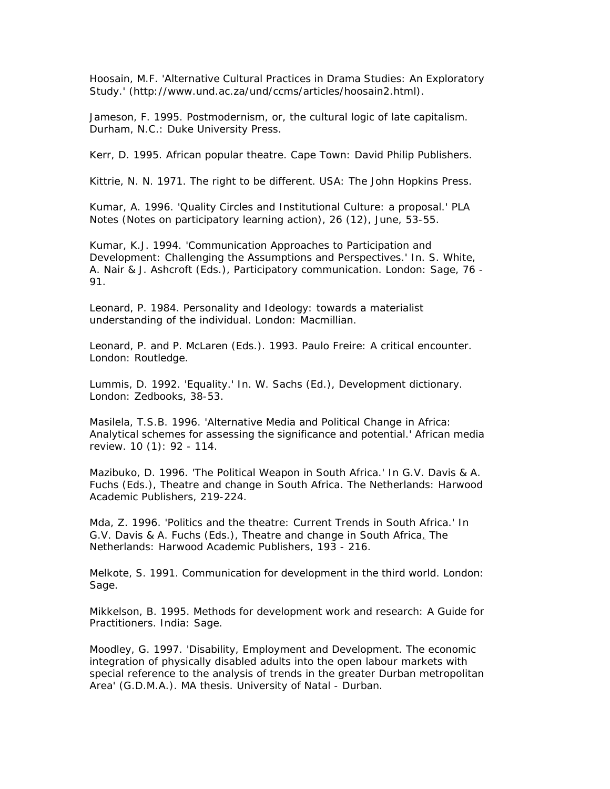Hoosain, M.F. 'Alternative Cultural Practices in Drama Studies: An Exploratory Study.' (http://www.und.ac.za/und/ccms/articles/hoosain2.html).

Jameson, F. 1995. *Postmodernism, or, the cultural logic of late capitalism.* Durham, N.C.: Duke University Press.

Kerr, D. 1995. *African popular theatre*. Cape Town: David Philip Publishers.

Kittrie, N. N. 1971. *The right to be different*. USA: The John Hopkins Press.

Kumar, A. 1996. 'Quality Circles and Institutional Culture: a proposal.' *PLA Notes (Notes on participatory learning action*), 26 (12), June, 53-55.

Kumar, K.J. 1994. 'Communication Approaches to Participation and Development: Challenging the Assumptions and Perspectives.' In. S. White, A. Nair & J. Ashcroft (Eds.), *Participatory communication*. London: Sage, 76 - 91.

Leonard, P. 1984. *Personality and Ideology: towards a materialist understanding of the individual.* London: Macmillian.

Leonard, P. and P. McLaren (Eds.). 1993. *Paulo Freire: A critical encounter*. London: Routledge.

Lummis, D. 1992. 'Equality.' In. W. Sachs (Ed.), *Development dictionary*. London: Zedbooks, 38-53.

Masilela, T.S.B. 1996. 'Alternative Media and Political Change in Africa: Analytical schemes for assessing the significance and potential.' *African media review*. 10 (1): 92 - 114.

Mazibuko, D. 1996. 'The Political Weapon in South Africa.' In G.V. Davis & A. Fuchs (Eds.), *Theatre and change in South Africa.* The Netherlands: Harwood Academic Publishers, 219-224.

Mda, Z. 1996. 'Politics and the theatre: Current Trends in South Africa.' In G.V. Davis & A. Fuchs (Eds.), *Theatre and change in South Africa*. The Netherlands: Harwood Academic Publishers, 193 - 216.

Melkote, S. 1991. *Communication for development in the third world*. London: Sage.

Mikkelson, B. 1995. *Methods for development work and research: A Guide for Practitioners*. India: Sage.

Moodley, G. 1997. 'Disability, Employment and Development. The economic integration of physically disabled adults into the open labour markets with special reference to the analysis of trends in the greater Durban metropolitan Area' (G.D.M.A.). MA thesis. University of Natal - Durban.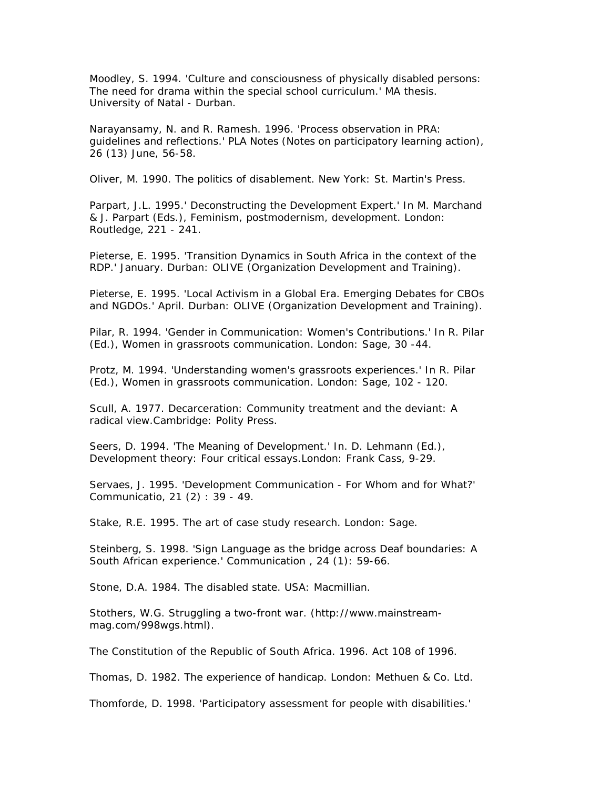Moodley, S. 1994. 'Culture and consciousness of physically disabled persons: The need for drama within the special school curriculum.' MA thesis. University of Natal - Durban.

Narayansamy, N. and R. Ramesh. 1996. 'Process observation in PRA: guidelines and reflections.' *PLA Notes (Notes on participatory learning action)*, 26 (13) June, 56-58.

Oliver, M. 1990. *The politics of disablement*. New York: St. Martin's Press.

Parpart, J.L. 1995.' Deconstructing the Development Expert.' In M. Marchand & J. Parpart (Eds.), *Feminism, postmodernism, development*. London: Routledge, 221 - 241.

Pieterse, E. 1995. 'Transition Dynamics in South Africa in the context of the RDP.' January. Durban: OLIVE (Organization Development and Training).

Pieterse, E. 1995. 'Local Activism in a Global Era. Emerging Debates for CBOs and NGDOs.' April. Durban: OLIVE (Organization Development and Training).

Pilar, R. 1994. 'Gender in Communication: Women's Contributions.' In R. Pilar (Ed.), *Women in grassroots communication*. London: Sage, 30 -44.

Protz, M. 1994. 'Understanding women's grassroots experiences.' In R. Pilar (Ed.), *Women in grassroots communication.* London: Sage, 102 - 120.

Scull, A. 1977. *Decarceration: Community treatment and the deviant: A radical view*.Cambridge: Polity Press.

Seers, D. 1994. 'The Meaning of Development.' In. D. Lehmann (Ed.), *Development theory: Four critical essays*.London: Frank Cass, 9-29.

Servaes, J. 1995. '*Development Communication - For Whom and for What?' Communicatio*, 21 (2) : 39 - 49.

Stake, R.E. 1995. *The art of case study research*. London: Sage.

Steinberg, S. 1998. 'Sign Language as the bridge across Deaf boundaries: A South African experience.' *Communication* , 24 (1): 59-66.

Stone, D.A. 1984. *The disabled state*. USA: Macmillian.

Stothers, W.G. Struggling a two-front war. (http://www.mainstreammag.com/998wgs.html).

The Constitution of the Republic of South Africa. 1996. Act 108 of 1996.

Thomas, D. 1982. *The experience of handicap*. London: Methuen & Co. Ltd.

Thomforde, D. 1998. 'Participatory assessment for people with disabilities.'